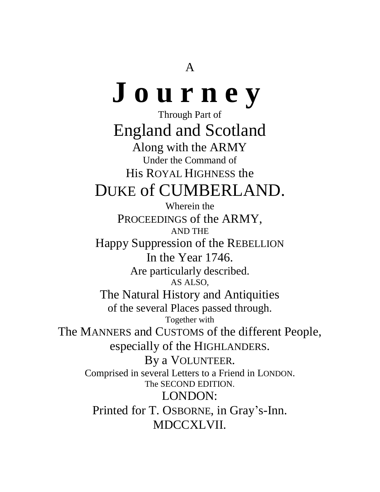# **J o u r n e y**

Through Part of England and Scotland Along with the ARMY Under the Command of His ROYAL HIGHNESS the DUKE of CUMBERLAND.

Wherein the PROCEEDINGS of the ARMY, AND THE Happy Suppression of the REBELLION In the Year 1746. Are particularly described. AS ALSO, The Natural History and Antiquities of the several Places passed through. Together with The MANNERS and CUSTOMS of the different People, especially of the HIGHLANDERS. By a VOLUNTEER. Comprised in several Letters to a Friend in LONDON. The SECOND EDITION. LONDON: Printed for T. OSBORNE, in Gray's-Inn. MDCCXLVII.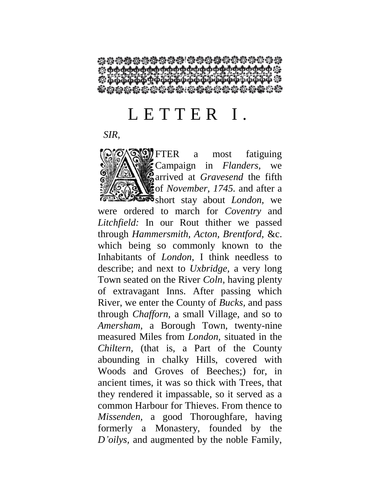<del>Ѽ</del>Ѽѱ҉<del>Ѽѱ҈Ѽѱ҈Ѽѱѱ</del>҅ѱѱѱѱѱѱѱѱѱѱ 0000000000000000

### L E T T E R I.

*SIR,*

FTER a most fatiguing Campaign in *Flanders,* we **a** arrived at *Gravesend* the fifth of *November, 1745.* and after a short stay about *London,* we were ordered to march for *Coventry* and *Litchfield:* In our Rout thither we passed through *Hammersmith, Acton, Brentford,* &c. which being so commonly known to the Inhabitants of *London,* I think needless to describe; and next to *Uxbridge,* a very long Town seated on the River *Coln,* having plenty of extravagant Inns. After passing which River, we enter the County of *Bucks,* and pass through *Chafforn,* a small Village, and so to *Amersham,* a Borough Town, twenty-nine measured Miles from *London,* situated in the *Chiltern,* (that is, a Part of the County abounding in chalky Hills, covered with Woods and Groves of Beeches;) for, in ancient times, it was so thick with Trees, that they rendered it impassable, so it served as a common Harbour for Thieves. From thence to *Missenden,* a good Thoroughfare, having formerly a Monastery, founded by the *D'oilys,* and augmented by the noble Family,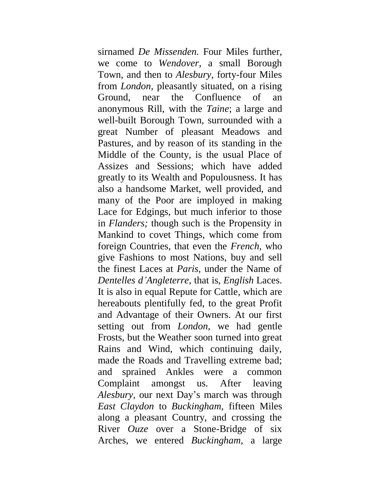sirnamed *De Missenden.* Four Miles further, we come to *Wendover,* a small Borough Town, and then to *Alesbury,* forty-four Miles from *London,* pleasantly situated, on a rising Ground, near the Confluence of an anonymous Rill, with the *Taine*; a large and well-built Borough Town, surrounded with a great Number of pleasant Meadows and Pastures, and by reason of its standing in the Middle of the County, is the usual Place of Assizes and Sessions; which have added greatly to its Wealth and Populousness. It has also a handsome Market, well provided, and many of the Poor are imployed in making Lace for Edgings, but much inferior to those in *Flanders;* though such is the Propensity in Mankind to covet Things, which come from foreign Countries, that even the *French,* who give Fashions to most Nations, buy and sell the finest Laces at *Paris,* under the Name of *Dentelles d'Angleterre,* that is, *English* Laces. It is also in equal Repute for Cattle, which are hereabouts plentifully fed, to the great Profit and Advantage of their Owners. At our first setting out from *London,* we had gentle Frosts, but the Weather soon turned into great Rains and Wind, which continuing daily, made the Roads and Travelling extreme bad; and sprained Ankles were a common Complaint amongst us. After leaving *Alesbury,* our next Day's march was through *East Claydon* to *Buckingham,* fifteen Miles along a pleasant Country, and crossing the River *Ouze* over a Stone-Bridge of six Arches, we entered *Buckingham,* a large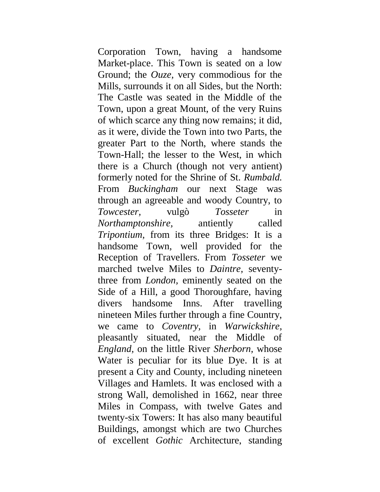Corporation Town, having a handsome Market-place. This Town is seated on a low Ground; the *Ouze,* very commodious for the Mills, surrounds it on all Sides, but the North: The Castle was seated in the Middle of the Town, upon a great Mount, of the very Ruins of which scarce any thing now remains; it did, as it were, divide the Town into two Parts, the greater Part to the North, where stands the Town-Hall; the lesser to the West, in which there is a Church (though not very antient) formerly noted for the Shrine of St. *Rumbald.*  From *Buckingham* our next Stage was through an agreeable and woody Country, to *Towcester,* vulgò *Tosseter* in *Northamptonshire,* antiently called *Tripontium,* from its three Bridges: It is a handsome Town, well provided for the Reception of Travellers. From *Tosseter* we marched twelve Miles to *Daintre,* seventythree from *London,* eminently seated on the Side of a Hill, a good Thoroughfare, having divers handsome Inns. After travelling nineteen Miles further through a fine Country, we came to *Coventry,* in *Warwickshire,*  pleasantly situated, near the Middle of *England,* on the little River *Sherborn,* whose Water is peculiar for its blue Dye. It is at present a City and County, including nineteen Villages and Hamlets. It was enclosed with a strong Wall, demolished in 1662, near three Miles in Compass, with twelve Gates and twenty-six Towers: It has also many beautiful Buildings, amongst which are two Churches of excellent *Gothic* Architecture, standing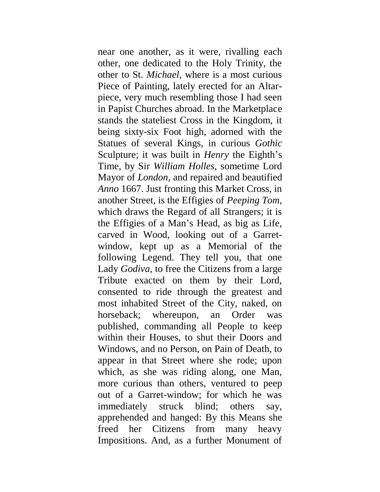near one another, as it were, rivalling each other, one dedicated to the Holy Trinity, the other to St. *Michael,* where is a most curious Piece of Painting, lately erected for an Altarpiece, very much resembling those I had seen in Papist Churches abroad. In the Marketplace stands the stateliest Cross in the Kingdom, it being sixty-six Foot high, adorned with the Statues of several Kings, in curious *Gothic*  Sculpture; it was built in *Henry* the Eighth's Time, by Sir *William Holles,* sometime Lord Mayor of *London,* and repaired and beautified *Anno* 1667. Just fronting this Market Cross, in another Street, is the Effigies of *Peeping Tom,*  which draws the Regard of all Strangers; it is the Effigies of a Man's Head, as big as Life, carved in Wood, looking out of a Garretwindow, kept up as a Memorial of the following Legend. They tell you, that one Lady *Godiva,* to free the Citizens from a large Tribute exacted on them by their Lord, consented to ride through the greatest and most inhabited Street of the City, naked, on horseback; whereupon, an Order was published, commanding all People to keep within their Houses, to shut their Doors and Windows, and no Person, on Pain of Death, to appear in that Street where she rode; upon which, as she was riding along, one Man, more curious than others, ventured to peep out of a Garret-window; for which he was immediately struck blind; others say, apprehended and hanged: By this Means she freed her Citizens from many heavy Impositions. And, as a further Monument of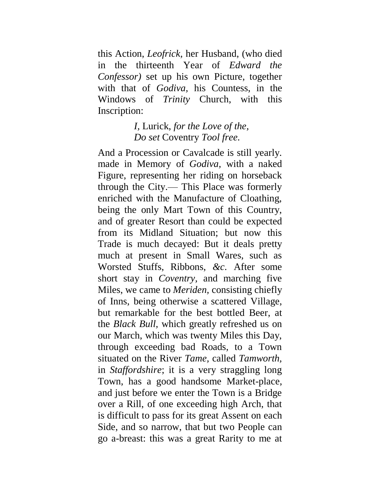this Action, *Leofrick,* her Husband, (who died in the thirteenth Year of *Edward the Confessor)* set up his own Picture, together with that of *Godiva,* his Countess, in the Windows of *Trinity* Church, with this Inscription:

> *I,* Lurick, *for the Love of the, Do set* Coventry *Tool free.*

And a Procession or Cavalcade is still yearly. made in Memory of *Godiva,* with a naked Figure, representing her riding on horseback through the City.— This Place was formerly enriched with the Manufacture of Cloathing, being the only Mart Town of this Country, and of greater Resort than could be expected from its Midland Situation; but now this Trade is much decayed: But it deals pretty much at present in Small Wares, such as Worsted Stuffs, Ribbons, *&c.* After some short stay in *Coventry,* and marching five Miles, we came to *Meriden,* consisting chiefly of Inns, being otherwise a scattered Village, but remarkable for the best bottled Beer, at the *Black Bull,* which greatly refreshed us on our March, which was twenty Miles this Day, through exceeding bad Roads, to a Town situated on the River *Tame,* called *Tamworth,*  in *Staffordshire*; it is a very straggling long Town, has a good handsome Market-place, and just before we enter the Town is a Bridge over a Rill, of one exceeding high Arch, that is difficult to pass for its great Assent on each Side, and so narrow, that but two People can go a-breast: this was a great Rarity to me at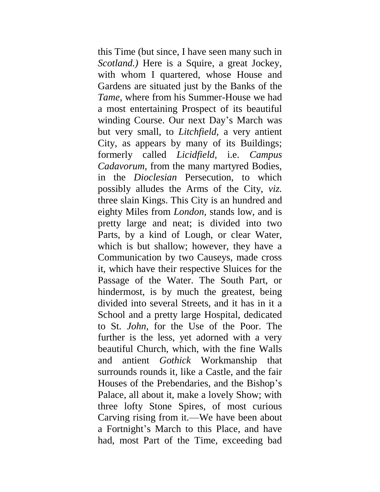this Time (but since, I have seen many such in *Scotland.)* Here is a Squire, a great Jockey, with whom I quartered, whose House and Gardens are situated just by the Banks of the *Tame,* where from his Summer-House we had a most entertaining Prospect of its beautiful winding Course. Our next Day's March was but very small, to *Litchfield,* a very antient City, as appears by many of its Buildings; formerly called *Licidfield,* i.e. *Campus Cadavorum,* from the many martyred Bodies, in the *Dioclesian* Persecution, to which possibly alludes the Arms of the City, *viz.*  three slain Kings. This City is an hundred and eighty Miles from *London,* stands low, and is pretty large and neat; is divided into two Parts, by a kind of Lough, or clear Water, which is but shallow; however, they have a Communication by two Causeys, made cross it, which have their respective Sluices for the Passage of the Water. The South Part, or hindermost, is by much the greatest, being divided into several Streets, and it has in it a School and a pretty large Hospital, dedicated to St. *John,* for the Use of the Poor. The further is the less, yet adorned with a very beautiful Church, which, with the fine Walls and antient *Gothick* Workmanship that surrounds rounds it, like a Castle, and the fair Houses of the Prebendaries, and the Bishop's Palace, all about it, make a lovely Show; with three lofty Stone Spires, of most curious Carving rising from it.—We have been about a Fortnight's March to this Place, and have had, most Part of the Time, exceeding bad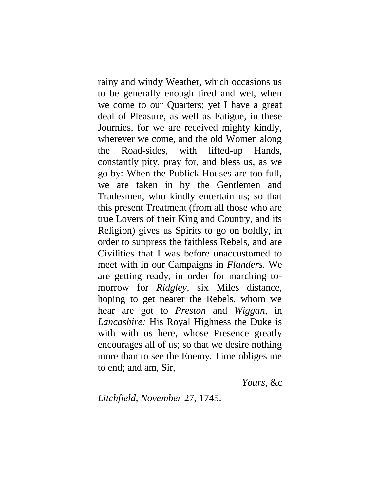rainy and windy Weather, which occasions us to be generally enough tired and wet, when we come to our Quarters; yet I have a great deal of Pleasure, as well as Fatigue, in these Journies, for we are received mighty kindly, wherever we come, and the old Women along the Road-sides, with lifted-up Hands, constantly pity, pray for, and bless us, as we go by: When the Publick Houses are too full, we are taken in by the Gentlemen and Tradesmen, who kindly entertain us; so that this present Treatment (from all those who are true Lovers of their King and Country, and its Religion) gives us Spirits to go on boldly, in order to suppress the faithless Rebels, and are Civilities that I was before unaccustomed to meet with in our Campaigns in *Flanders.* We are getting ready, in order for marching tomorrow for *Ridgley,* six Miles distance, hoping to get nearer the Rebels, whom we hear are got to *Preston* and *Wiggan,* in *Lancashire:* His Royal Highness the Duke is with with us here, whose Presence greatly encourages all of us; so that we desire nothing more than to see the Enemy. Time obliges me to end; and am, Sir,

*Yours,* &c

*Litchfield, November* 27, 1745.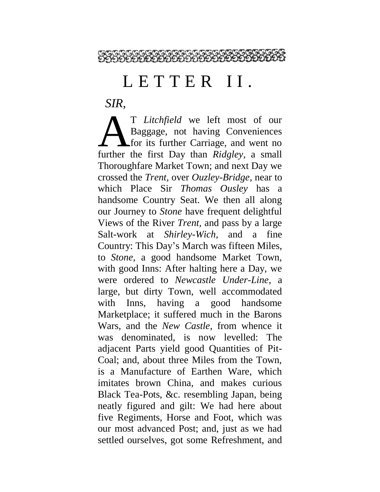

### LETTER II.

*SIR,*

T *Litchfield* we left most of our Baggage, not having Conveniences **A** for its further Carriage, and went no T Litchfield we left most of our<br>Baggage, not having Conveniences<br>for its further Carriage, and went no<br>further the first Day than *Ridgley*, a small Thoroughfare Market Town; and next Day we crossed the *Trent,* over *Ouzley-Bridge,* near to which Place Sir *Thomas Ousley* has a handsome Country Seat. We then all along our Journey to *Stone* have frequent delightful Views of the River *Trent,* and pass by a large Salt-work at *Shirley-Wich,* and a fine Country: This Day's March was fifteen Miles, to *Stone,* a good handsome Market Town, with good Inns: After halting here a Day, we were ordered to *Newcastle Under-Line,* a large, but dirty Town, well accommodated with Inns, having a good handsome Marketplace; it suffered much in the Barons Wars, and the *New Castle,* from whence it was denominated, is now levelled: The adjacent Parts yield good Quantities of Pit-Coal; and, about three Miles from the Town, is a Manufacture of Earthen Ware, which imitates brown China, and makes curious Black Tea-Pots, &c. resembling Japan, being neatly figured and gilt: We had here about five Regiments, Horse and Foot, which was our most advanced Post; and, just as we had settled ourselves, got some Refreshment, and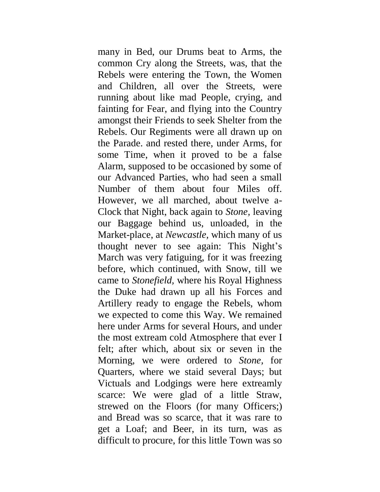many in Bed, our Drums beat to Arms, the common Cry along the Streets, was, that the Rebels were entering the Town, the Women and Children, all over the Streets, were running about like mad People, crying, and fainting for Fear, and flying into the Country amongst their Friends to seek Shelter from the Rebels. Our Regiments were all drawn up on the Parade. and rested there, under Arms, for some Time, when it proved to be a false Alarm, supposed to be occasioned by some of our Advanced Parties, who had seen a small Number of them about four Miles off. However, we all marched, about twelve a-Clock that Night, back again to *Stone,* leaving our Baggage behind us, unloaded, in the Market-place, at *Newcastle,* which many of us thought never to see again: This Night's March was very fatiguing, for it was freezing before, which continued, with Snow, till we came to *Stonefield,* where his Royal Highness the Duke had drawn up all his Forces and Artillery ready to engage the Rebels, whom we expected to come this Way. We remained here under Arms for several Hours, and under the most extream cold Atmosphere that ever I felt; after which, about six or seven in the Morning, we were ordered to *Stone,* for Quarters, where we staid several Days; but Victuals and Lodgings were here extreamly scarce: We were glad of a little Straw, strewed on the Floors (for many Officers;) and Bread was so scarce, that it was rare to get a Loaf; and Beer, in its turn, was as difficult to procure, for this little Town was so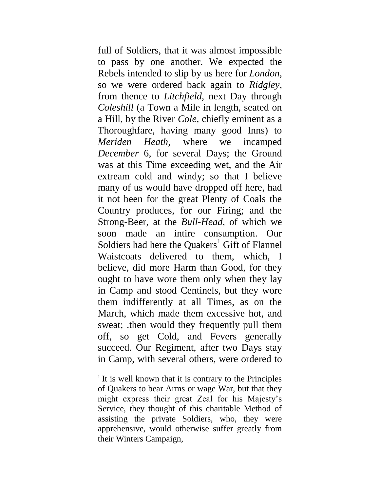full of Soldiers, that it was almost impossible to pass by one another. We expected the Rebels intended to slip by us here for *London,*  so we were ordered back again to *Ridgley,*  from thence to *Litchfield,* next Day through *Coleshill* (a Town a Mile in length, seated on a Hill, by the River *Cole,* chiefly eminent as a Thoroughfare, having many good Inns) to *Meriden Heath,* where we incamped *December* 6, for several Days; the Ground was at this Time exceeding wet, and the Air extream cold and windy; so that I believe many of us would have dropped off here, had it not been for the great Plenty of Coals the Country produces, for our Firing; and the Strong-Beer, at the *Bull-Head,* of which we soon made an intire consumption. Our Soldiers had here the Quakers<sup>1</sup> Gift of Flannel Waistcoats delivered to them, which, I believe, did more Harm than Good, for they ought to have wore them only when they lay in Camp and stood Centinels, but they wore them indifferently at all Times, as on the March, which made them excessive hot, and sweat; .then would they frequently pull them off, so get Cold, and Fevers generally succeed. Our Regiment, after two Days stay in Camp, with several others, were ordered to

 $\overline{a}$ 

<sup>&</sup>lt;sup>1</sup> It is well known that it is contrary to the Principles of Quakers to bear Arms or wage War, but that they might express their great Zeal for his Majesty's Service, they thought of this charitable Method of assisting the private Soldiers, who, they were apprehensive, would otherwise suffer greatly from their Winters Campaign,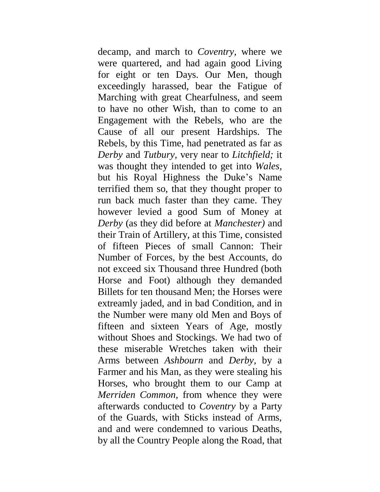decamp, and march to *Coventry,* where we were quartered, and had again good Living for eight or ten Days. Our Men, though exceedingly harassed, bear the Fatigue of Marching with great Chearfulness, and seem to have no other Wish, than to come to an Engagement with the Rebels, who are the Cause of all our present Hardships. The Rebels, by this Time, had penetrated as far as *Derby* and *Tutbury,* very near to *Litchfield;* it was thought they intended to get into *Wales,*  but his Royal Highness the Duke's Name terrified them so, that they thought proper to run back much faster than they came. They however levied a good Sum of Money at *Derby* (as they did before at *Manchester)* and their Train of Artillery, at this Time, consisted of fifteen Pieces of small Cannon: Their Number of Forces, by the best Accounts, do not exceed six Thousand three Hundred (both Horse and Foot) although they demanded Billets for ten thousand Men; the Horses were extreamly jaded, and in bad Condition, and in the Number were many old Men and Boys of fifteen and sixteen Years of Age, mostly without Shoes and Stockings. We had two of these miserable Wretches taken with their Arms between *Ashbourn* and *Derby,* by a Farmer and his Man, as they were stealing his Horses, who brought them to our Camp at *Merriden Common,* from whence they were afterwards conducted to *Coventry* by a Party of the Guards, with Sticks instead of Arms, and and were condemned to various Deaths, by all the Country People along the Road, that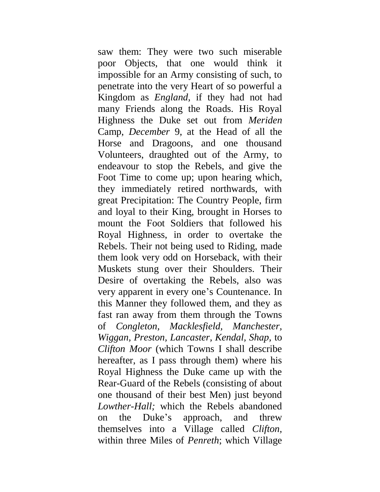saw them: They were two such miserable poor Objects, that one would think it impossible for an Army consisting of such, to penetrate into the very Heart of so powerful a Kingdom as *England,* if they had not had many Friends along the Roads. His Royal Highness the Duke set out from *Meriden*  Camp, *December* 9, at the Head of all the Horse and Dragoons, and one thousand Volunteers, draughted out of the Army, to endeavour to stop the Rebels, and give the Foot Time to come up; upon hearing which, they immediately retired northwards, with great Precipitation: The Country People, firm and loyal to their King, brought in Horses to mount the Foot Soldiers that followed his Royal Highness, in order to overtake the Rebels. Their not being used to Riding, made them look very odd on Horseback, with their Muskets stung over their Shoulders. Their Desire of overtaking the Rebels, also was very apparent in every one's Countenance. In this Manner they followed them, and they as fast ran away from them through the Towns of *Congleton, Macklesfield, Manchester, Wiggan, Preston, Lancaster, Kendal, Shap,* to *Clifton Moor* (which Towns I shall describe hereafter, as I pass through them) where his Royal Highness the Duke came up with the Rear-Guard of the Rebels (consisting of about one thousand of their best Men) just beyond *Lowther-Hall;* which the Rebels abandoned on the Duke's approach, and threw themselves into a Village called *Clifton,*  within three Miles of *Penreth*; which Village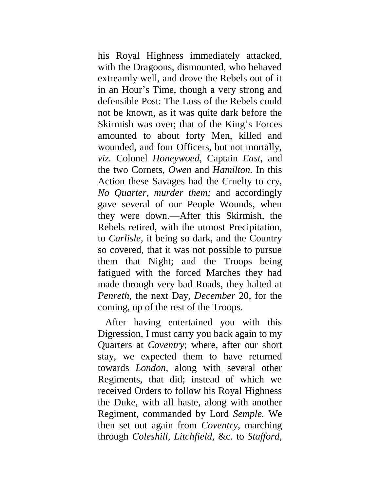his Royal Highness immediately attacked, with the Dragoons, dismounted, who behaved extreamly well, and drove the Rebels out of it in an Hour's Time, though a very strong and defensible Post: The Loss of the Rebels could not be known, as it was quite dark before the Skirmish was over; that of the King's Forces amounted to about forty Men, killed and wounded, and four Officers, but not mortally, *viz.* Colonel *Honeywoed,* Captain *East,* and the two Cornets, *Owen* and *Hamilton.* In this Action these Savages had the Cruelty to cry, *No Quarter, murder them;* and accordingly gave several of our People Wounds, when they were down.—After this Skirmish, the Rebels retired, with the utmost Precipitation, to *Carlisle,* it being so dark, and the Country so covered, that it was not possible to pursue them that Night; and the Troops being fatigued with the forced Marches they had made through very bad Roads, they halted at *Penreth,* the next Day, *December* 20, for the coming, up of the rest of the Troops.

After having entertained you with this Digression, I must carry you back again to my Quarters at *Coventry*; where, after our short stay, we expected them to have returned towards *London,* along with several other Regiments, that did; instead of which we received Orders to follow his Royal Highness the Duke, with all haste, along with another Regiment, commanded by Lord *Semple.* We then set out again from *Coventry,* marching through *Coleshill, Litchfield,* &c. to *Stafford,*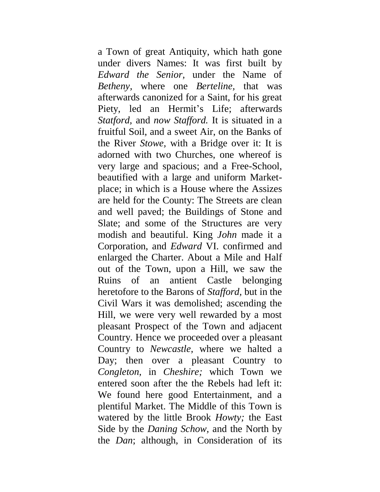a Town of great Antiquity, which hath gone under divers Names: It was first built by *Edward the Senior,* under the Name of *Betheny,* where one *Berteline,* that was afterwards canonized for a Saint, for his great Piety, led an Hermit's Life; afterwards *Statford,* and *now Stafford.* It is situated in a fruitful Soil, and a sweet Air, on the Banks of the River *Stowe,* with a Bridge over it: It is adorned with two Churches, one whereof is very large and spacious; and a Free-School, beautified with a large and uniform Marketplace; in which is a House where the Assizes are held for the County: The Streets are clean and well paved; the Buildings of Stone and Slate; and some of the Structures are very modish and beautiful. King *John* made it a Corporation, and *Edward* VI. confirmed and enlarged the Charter. About a Mile and Half out of the Town, upon a Hill, we saw the Ruins of an antient Castle belonging heretofore to the Barons of *Stafford,* but in the Civil Wars it was demolished; ascending the Hill, we were very well rewarded by a most pleasant Prospect of the Town and adjacent Country. Hence we proceeded over a pleasant Country to *Newcastle,* where we halted a Day; then over a pleasant Country to *Congleton,* in *Cheshire;* which Town we entered soon after the the Rebels had left it: We found here good Entertainment, and a plentiful Market. The Middle of this Town is watered by the little Brook *Howty;* the East Side by the *Daning Schow,* and the North by the *Dan*; although, in Consideration of its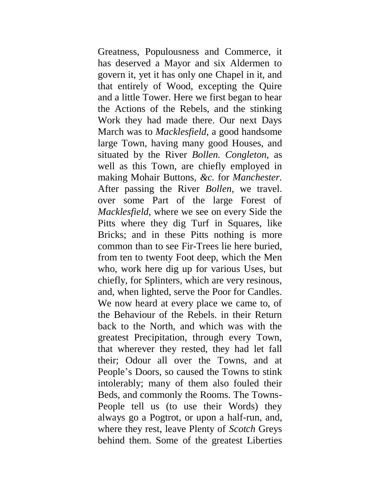Greatness, Populousness and Commerce, it has deserved a Mayor and six Aldermen to govern it, yet it has only one Chapel in it, and that entirely of Wood, excepting the Quire and a little Tower. Here we first began to hear the Actions of the Rebels, and the stinking Work they had made there. Our next Days March was to *Macklesfield,* a good handsome large Town, having many good Houses, and situated by the River *Bollen. Congleton,* as well as this Town, are chiefly employed in making Mohair Buttons, *&c.* for *Manchester.*  After passing the River *Bollen,* we travel. over some Part of the large Forest of *Macklesfield,* where we see on every Side the Pitts where they dig Turf in Squares, like Bricks; and in these Pitts nothing is more common than to see Fir-Trees lie here buried, from ten to twenty Foot deep, which the Men who, work here dig up for various Uses, but chiefly, for Splinters, which are very resinous, and, when lighted, serve the Poor for Candles. We now heard at every place we came to, of the Behaviour of the Rebels. in their Return back to the North, and which was with the greatest Precipitation, through every Town, that wherever they rested, they had let fall their; Odour all over the Towns, and at People's Doors, so caused the Towns to stink intolerably; many of them also fouled their Beds, and commonly the Rooms. The Towns-People tell us (to use their Words) they always go a Pogtrot, or upon a half-run, and, where they rest, leave Plenty of *Scotch* Greys behind them. Some of the greatest Liberties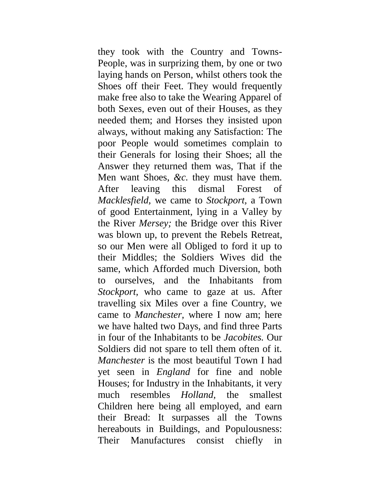they took with the Country and Towns-People, was in surprizing them, by one or two laying hands on Person, whilst others took the Shoes off their Feet. They would frequently make free also to take the Wearing Apparel of both Sexes, even out of their Houses, as they needed them; and Horses they insisted upon always, without making any Satisfaction: The poor People would sometimes complain to their Generals for losing their Shoes; all the Answer they returned them was, That if the Men want Shoes, *&c.* they must have them. After leaving this dismal Forest of *Macklesfield,* we came to *Stockport,* a Town of good Entertainment, lying in a Valley by the River *Mersey;* the Bridge over this River was blown up, to prevent the Rebels Retreat, so our Men were all Obliged to ford it up to their Middles; the Soldiers Wives did the same, which Afforded much Diversion, both to ourselves, and the Inhabitants from *Stockport,* who came to gaze at us. After travelling six Miles over a fine Country, we came to *Manchester,* where I now am; here we have halted two Days, and find three Parts in four of the Inhabitants to be *Jacobites.* Our Soldiers did not spare to tell them often of it. *Manchester* is the most beautiful Town I had yet seen in *England* for fine and noble Houses; for Industry in the Inhabitants, it very much resembles *Holland,* the smallest Children here being all employed, and earn their Bread: It surpasses all the Towns hereabouts in Buildings, and Populousness: Their Manufactures consist chiefly in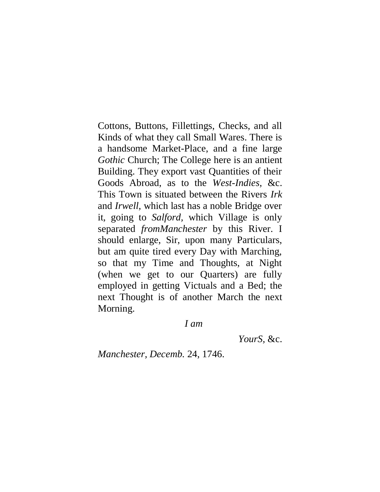Cottons, Buttons, Fillettings, Checks, and all Kinds of what they call Small Wares. There is a handsome Market-Place, and a fine large *Gothic* Church; The College here is an antient Building. They export vast Quantities of their Goods Abroad, as to the *West-Indies,* &c. This Town is situated between the Rivers *Irk*  and *Irwell,* which last has a noble Bridge over it, going to *Salford,* which Village is only separated *fromManchester* by this River. I should enlarge, Sir, upon many Particulars, but am quite tired every Day with Marching, so that my Time and Thoughts, at Night (when we get to our Quarters) are fully employed in getting Victuals and a Bed; the next Thought is of another March the next Morning.

#### *I am*

*YourS,* &c.

*Manchester, Decemb.* 24, 1746.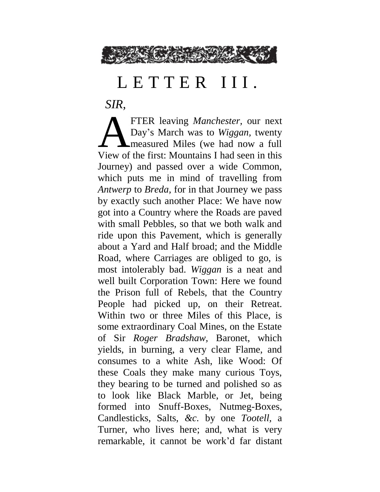

## LETTER III.

*SIR,*

FTER leaving *Manchester,* our next Day's March was to *Wiggan,* twenty measured Miles (we had now a full FTER leaving *Manchester*, our next<br>Day's March was to Wiggan, twenty<br>Wiew of the first: Mountains I had seen in this Journey) and passed over a wide Common, which puts me in mind of travelling from *Antwerp* to *Breda,* for in that Journey we pass by exactly such another Place: We have now got into a Country where the Roads are paved with small Pebbles, so that we both walk and ride upon this Pavement, which is generally about a Yard and Half broad; and the Middle Road, where Carriages are obliged to go, is most intolerably bad. *Wiggan* is a neat and well built Corporation Town: Here we found the Prison full of Rebels, that the Country People had picked up, on their Retreat. Within two or three Miles of this Place, is some extraordinary Coal Mines, on the Estate of Sir *Roger Bradshaw,* Baronet, which yields, in burning, a very clear Flame, and consumes to a white Ash, like Wood: Of these Coals they make many curious Toys, they bearing to be turned and polished so as to look like Black Marble, or Jet, being formed into Snuff-Boxes, Nutmeg-Boxes, Candlesticks, Salts, *&c.* by one *Tootell,* a Turner, who lives here; and, what is very remarkable, it cannot be work'd far distant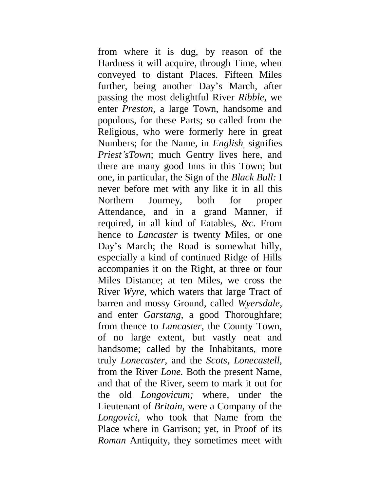from where it is dug, by reason of the Hardness it will acquire, through Time, when conveyed to distant Places. Fifteen Miles further, being another Day's March, after passing the most delightful River *Ribble,* we enter *Preston,* a large Town, handsome and populous, for these Parts; so called from the Religious, who were formerly here in great Numbers; for the Name, in *English,* signifies *Priest'sTown*; much Gentry lives here, and there are many good Inns in this Town; but one, in particular, the Sign of the *Black Bull:* I never before met with any like it in all this Northern Journey, both for proper Attendance, and in a grand Manner, if required, in all kind of Eatables, *&c.* From hence to *Lancaster* is twenty Miles, or one Day's March; the Road is somewhat hilly, especially a kind of continued Ridge of Hills accompanies it on the Right, at three or four Miles Distance; at ten Miles, we cross the River *Wyre,* which waters that large Tract of barren and mossy Ground, called *Wyersdale,*  and enter *Garstang,* a good Thoroughfare; from thence to *Lancaster,* the County Town, of no large extent, but vastly neat and handsome; called by the Inhabitants, more truly *Lonecaster,* and the *Scots, Lonecastell,*  from the River *Lone.* Both the present Name, and that of the River, seem to mark it out for the old *Longovicum;* where, under the Lieutenant of *Britain,* were a Company of the *Longovici,* who took that Name from the Place where in Garrison; yet, in Proof of its *Roman* Antiquity, they sometimes meet with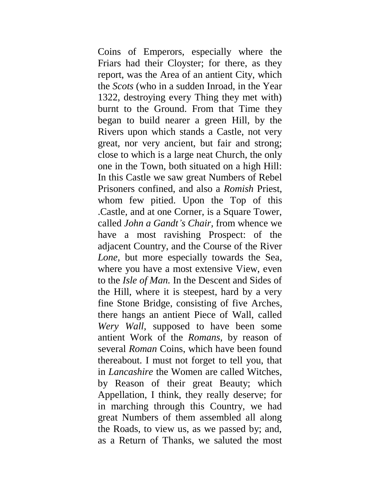Coins of Emperors, especially where the Friars had their Cloyster; for there, as they report, was the Area of an antient City, which the *Scots* (who in a sudden Inroad, in the Year 1322, destroying every Thing they met with) burnt to the Ground. From that Time they began to build nearer a green Hill, by the Rivers upon which stands a Castle, not very great, nor very ancient, but fair and strong; close to which is a large neat Church, the only one in the Town, both situated on a high Hill: In this Castle we saw great Numbers of Rebel Prisoners confined, and also a *Romish* Priest, whom few pitied. Upon the Top of this .Castle, and at one Corner, is a Square Tower, called *John a Gandt's Chair,* from whence we have a most ravishing Prospect: of the adjacent Country, and the Course of the River *Lone,* but more especially towards the Sea, where you have a most extensive View, even to the *Isle of Man.* In the Descent and Sides of the Hill, where it is steepest, hard by a very fine Stone Bridge, consisting of five Arches, there hangs an antient Piece of Wall, called *Wery Wall,* supposed to have been some antient Work of the *Romans,* by reason of several *Roman* Coins, which have been found thereabout. I must not forget to tell you, that in *Lancashire* the Women are called Witches, by Reason of their great Beauty; which Appellation, I think, they really deserve; for in marching through this Country, we had great Numbers of them assembled all along the Roads, to view us, as we passed by; and, as a Return of Thanks, we saluted the most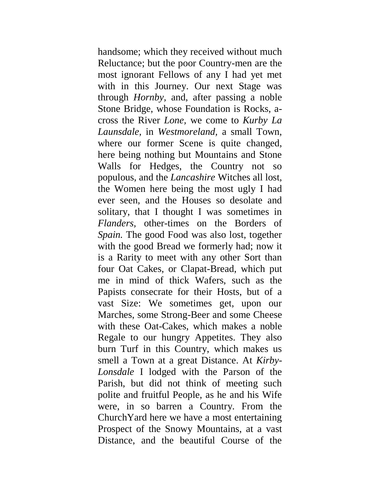handsome; which they received without much Reluctance; but the poor Country-men are the most ignorant Fellows of any I had yet met with in this Journey. Our next Stage was through *Hornby,* and, after passing a noble Stone Bridge, whose Foundation is Rocks, across the River *Lone,* we come to *Kurby La Launsdale,* in *Westmoreland,* a small Town, where our former Scene is quite changed, here being nothing but Mountains and Stone Walls for Hedges, the Country not so populous, and the *Lancashire* Witches all lost, the Women here being the most ugly I had ever seen, and the Houses so desolate and solitary, that I thought I was sometimes in *Flanders,* other-times on the Borders of *Spain.* The good Food was also lost, together with the good Bread we formerly had; now it is a Rarity to meet with any other Sort than four Oat Cakes, or Clapat-Bread, which put me in mind of thick Wafers, such as the Papists consecrate for their Hosts, but of a vast Size: We sometimes get, upon our Marches, some Strong-Beer and some Cheese with these Oat-Cakes, which makes a noble Regale to our hungry Appetites. They also burn Turf in this Country, which makes us smell a Town at a great Distance. At *Kirby-Lonsdale* I lodged with the Parson of the Parish, but did not think of meeting such polite and fruitful People, as he and his Wife were, in so barren a Country. From the ChurchYard here we have a most entertaining Prospect of the Snowy Mountains, at a vast Distance, and the beautiful Course of the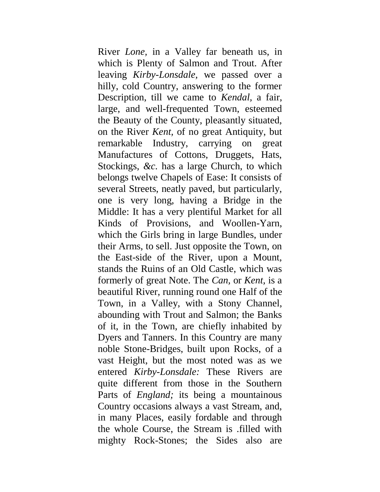River *Lone,* in a Valley far beneath us, in which is Plenty of Salmon and Trout. After leaving *Kirby-Lonsdale,* we passed over a hilly, cold Country, answering to the former Description, till we came to *Kendal,* a fair, large, and well-frequented Town, esteemed the Beauty of the County, pleasantly situated, on the River *Kent,* of no great Antiquity, but remarkable Industry, carrying on great Manufactures of Cottons, Druggets, Hats, Stockings, *&c.* has a large Church, to which belongs twelve Chapels of Ease: It consists of several Streets, neatly paved, but particularly, one is very long, having a Bridge in the Middle: It has a very plentiful Market for all Kinds of Provisions, and Woollen-Yarn, which the Girls bring in large Bundles, under their Arms, to sell. Just opposite the Town, on the East-side of the River, upon a Mount, stands the Ruins of an Old Castle, which was formerly of great Note. The *Can,* or *Kent,* is a beautiful River, running round one Half of the Town, in a Valley, with a Stony Channel, abounding with Trout and Salmon; the Banks of it, in the Town, are chiefly inhabited by Dyers and Tanners. In this Country are many noble Stone-Bridges, built upon Rocks, of a vast Height, but the most noted was as we entered *Kirby-Lonsdale:* These Rivers are quite different from those in the Southern Parts of *England;* its being a mountainous Country occasions always a vast Stream, and, in many Places, easily fordable and through the whole Course, the Stream is .filled with mighty Rock-Stones; the Sides also are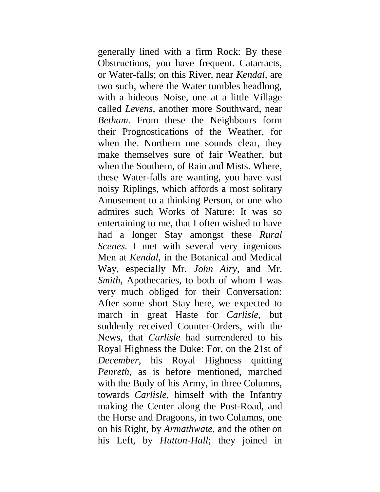generally lined with a firm Rock: By these Obstructions, you have frequent. Catarracts, or Water-falls; on this River, near *Kendal,* are two such, where the Water tumbles headlong, with a hideous Noise, one at a little Village called *Levens,* another more Southward, near *Betham.* From these the Neighbours form their Prognostications of the Weather, for when the. Northern one sounds clear, they make themselves sure of fair Weather, but when the Southern, of Rain and Mists. Where, these Water-falls are wanting, you have vast noisy Riplings, which affords a most solitary Amusement to a thinking Person, or one who admires such Works of Nature: It was so entertaining to me, that I often wished to have had a longer Stay amongst these *Rural Scenes.* I met with several very ingenious Men at *Kendal,* in the Botanical and Medical Way, especially Mr. *John Airy,* and Mr. *Smith, Apothecaries, to both of whom I was* very much obliged for their Conversation: After some short Stay here, we expected to march in great Haste for *Carlisle,* but suddenly received Counter-Orders, with the News, that *Carlisle* had surrendered to his Royal Highness the Duke: For, on the 21st of *December,* his Royal Highness quitting *Penreth,* as is before mentioned, marched with the Body of his Army, in three Columns, towards *Carlisle,* himself with the Infantry making the Center along the Post-Road, and the Horse and Dragoons, in two Columns, one on his Right, by *Armathwate,* and the other on his Left, by *Hutton-Hall*; they joined in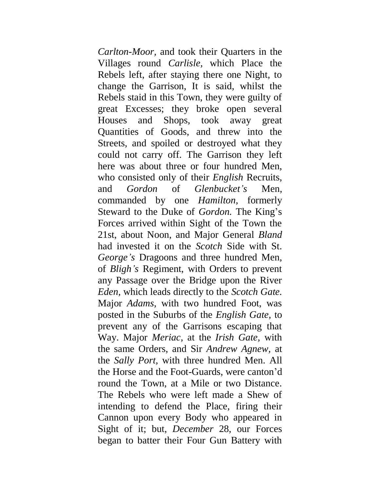*Carlton-Moor,* and took their Quarters in the Villages round *Carlisle,* which Place the Rebels left, after staying there one Night, to change the Garrison, It is said, whilst the Rebels staid in this Town, they were guilty of great Excesses; they broke open several Houses and Shops, took away great Quantities of Goods, and threw into the Streets, and spoiled or destroyed what they could not carry off. The Garrison they left here was about three or four hundred Men, who consisted only of their *English* Recruits, and *Gordon* of *Glenbucket's* Men, commanded by one *Hamilton,* formerly Steward to the Duke of *Gordon.* The King's Forces arrived within Sight of the Town the 21st, about Noon, and Major General *Bland*  had invested it on the *Scotch* Side with St. *George's* Dragoons and three hundred Men, of *Bligh's* Regiment, with Orders to prevent any Passage over the Bridge upon the River *Eden,* which leads directly to the *Scotch Gate.*  Major *Adams*, with two hundred Foot, was posted in the Suburbs of the *English Gate,* to prevent any of the Garrisons escaping that Way. Major *Meriac,* at the *Irish Gate,* with the same Orders, and Sir *Andrew Agnew,* at the *Sally Port,* with three hundred Men. All the Horse and the Foot-Guards, were canton'd round the Town, at a Mile or two Distance. The Rebels who were left made a Shew of intending to defend the Place, firing their Cannon upon every Body who appeared in Sight of it; but, *December* 28, our Forces began to batter their Four Gun Battery with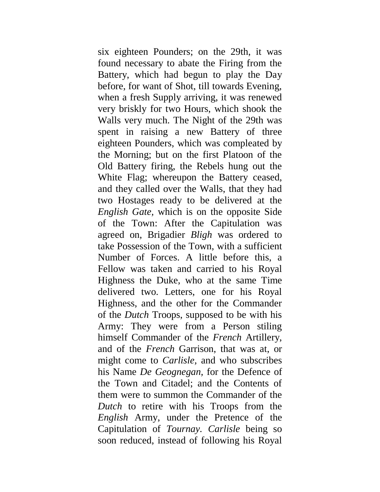six eighteen Pounders; on the 29th, it was found necessary to abate the Firing from the Battery, which had begun to play the Day before, for want of Shot, till towards Evening, when a fresh Supply arriving, it was renewed very briskly for two Hours, which shook the Walls very much. The Night of the 29th was spent in raising a new Battery of three eighteen Pounders, which was compleated by the Morning; but on the first Platoon of the Old Battery firing, the Rebels hung out the White Flag; whereupon the Battery ceased, and they called over the Walls, that they had two Hostages ready to be delivered at the *English Gate,* which is on the opposite Side of the Town: After the Capitulation was agreed on, Brigadier *Bligh* was ordered to take Possession of the Town, with a sufficient Number of Forces. A little before this, a Fellow was taken and carried to his Royal Highness the Duke, who at the same Time delivered two. Letters, one for his Royal Highness, and the other for the Commander of the *Dutch* Troops, supposed to be with his Army: They were from a Person stiling himself Commander of the *French* Artillery, and of the *French* Garrison, that was at, or might come to *Carlisle,* and who subscribes his Name *De Geognegan,* for the Defence of the Town and Citadel; and the Contents of them were to summon the Commander of the *Dutch* to retire with his Troops from the *English* Army, under the Pretence of the Capitulation of *Tournay. Carlisle* being so soon reduced, instead of following his Royal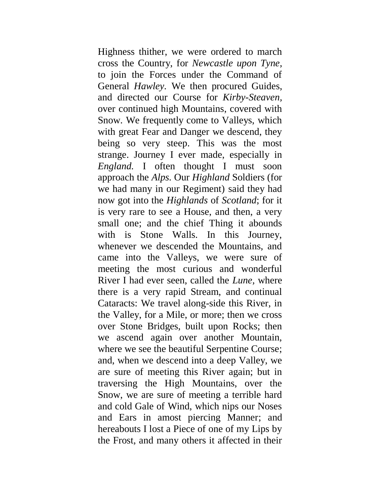Highness thither, we were ordered to march cross the Country, for *Newcastle upon Tyne,*  to join the Forces under the Command of General *Hawley.* We then procured Guides, and directed our Course for *Kirby-Steaven,* over continued high Mountains, covered with Snow. We frequently come to Valleys, which with great Fear and Danger we descend, they being so very steep. This was the most strange. Journey I ever made, especially in *England.* I often thought I must soon approach the *Alps.* Our *Highland* Soldiers (for we had many in our Regiment) said they had now got into the *Highlands* of *Scotland*; for it is very rare to see a House, and then, a very small one; and the chief Thing it abounds with is Stone Walls. In this Journey, whenever we descended the Mountains, and came into the Valleys, we were sure of meeting the most curious and wonderful River I had ever seen, called the *Lune,* where there is a very rapid Stream, and continual Cataracts: We travel along-side this River, in the Valley, for a Mile, or more; then we cross over Stone Bridges, built upon Rocks; then we ascend again over another Mountain, where we see the beautiful Serpentine Course; and, when we descend into a deep Valley, we are sure of meeting this River again; but in traversing the High Mountains, over the Snow, we are sure of meeting a terrible hard and cold Gale of Wind, which nips our Noses and Ears in amost piercing Manner; and hereabouts I lost a Piece of one of my Lips by the Frost, and many others it affected in their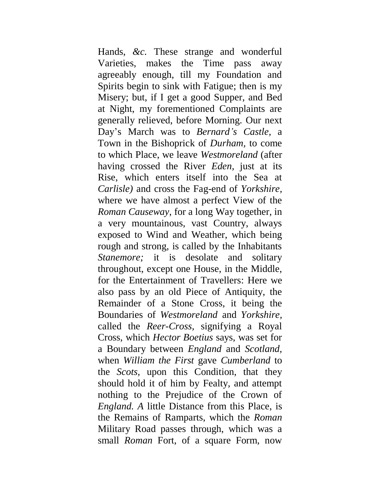Hands, *&c.* These strange and wonderful Varieties, makes the Time pass away agreeably enough, till my Foundation and Spirits begin to sink with Fatigue; then is my Misery; but, if I get a good Supper, and Bed at Night, my forementioned Complaints are generally relieved, before Morning. Our next Day's March was to *Bernard's Castle,* a Town in the Bishoprick of *Durham,* to come to which Place, we leave *Westmoreland* (after having crossed the River *Eden,* just at its Rise, which enters itself into the Sea at *Carlisle)* and cross the Fag-end of *Yorkshire,*  where we have almost a perfect View of the *Roman Causeway,* for a long Way together, in a very mountainous, vast Country, always exposed to Wind and Weather, which being rough and strong, is called by the Inhabitants *Stanemore*; it is desolate and solitary throughout, except one House, in the Middle, for the Entertainment of Travellers: Here we also pass by an old Piece of Antiquity, the Remainder of a Stone Cross, it being the Boundaries of *Westmoreland* and *Yorkshire,*  called the *Reer-Cross,* signifying a Royal Cross, which *Hector Boetius* says, was set for a Boundary between *England* and *Scotland,*  when *William the First* gave *Cumberland* to the *Scots,* upon this Condition, that they should hold it of him by Fealty, and attempt nothing to the Prejudice of the Crown of *England. A* little Distance from this Place, is the Remains of Ramparts, which the *Roman*  Military Road passes through, which was a small *Roman* Fort, of a square Form, now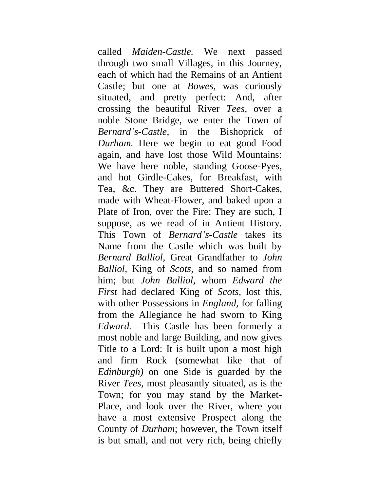called *Maiden-Castle.* We next passed through two small Villages, in this Journey, each of which had the Remains of an Antient Castle; but one at *Bowes,* was curiously situated, and pretty perfect: And, after crossing the beautiful River *Tees,* over a noble Stone Bridge, we enter the Town of *Bernard's-Castle,* in the Bishoprick of *Durham.* Here we begin to eat good Food again, and have lost those Wild Mountains: We have here noble, standing Goose-Pyes, and hot Girdle-Cakes, for Breakfast, with Tea, &c. They are Buttered Short-Cakes, made with Wheat-Flower, and baked upon a Plate of Iron, over the Fire: They are such, I suppose, as we read of in Antient History. This Town of *Bernard's-Castle* takes its Name from the Castle which was built by *Bernard Balliol,* Great Grandfather to *John Balliol,* King of *Scots,* and so named from him; but *John Balliol,* whom *Edward the First* had declared King of *Scots,* lost this, with other Possessions in *England,* for falling from the Allegiance he had sworn to King *Edward.*—This Castle has been formerly a most noble and large Building, and now gives Title to a Lord: It is built upon a most high and firm Rock (somewhat like that of *Edinburgh)* on one Side is guarded by the River *Tees,* most pleasantly situated, as is the Town; for you may stand by the Market-Place, and look over the River, where you have a most extensive Prospect along the County of *Durham*; however, the Town itself is but small, and not very rich, being chiefly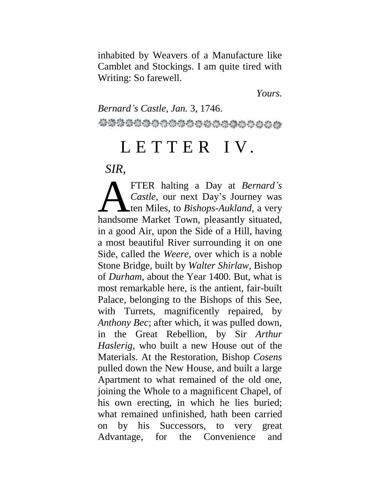inhabited by Weavers of a Manufacture like Camblet and Stockings. I am quite tired with Writing: So farewell.

*Yours.*

*Bernard's Castle, Jan.* 3, 1746. 

### L E T T E R I V.

*SIR,*

FTER halting a Day at *Bernard's Castle,* our next Day's Journey was ten Miles, to *Bishops-Aukland,* a very FTER halting a Day at *Bernard's*<br>Castle, our next Day's Journey was<br>ten Miles, to *Bishops-Aukland*, a very<br>handsome Market Town, pleasantly situated, in a good Air, upon the Side of a Hill, having a most beautiful River surrounding it on one Side, called the *Weere,* over which is a noble Stone Bridge, built by *Walter Shirlaw,* Bishop of *Durham,* about the Year 1400. But, what is most remarkable here, is the antient, fair-built Palace, belonging to the Bishops of this See, with Turrets, magnificently repaired, by *Anthony Bec*; after which, it was pulled down, in the Great Rebellion, by Sir *Arthur Haslerig,* who built a new House out of the Materials. At the Restoration, Bishop *Cosens*  pulled down the New House, and built a large Apartment to what remained of the old one, joining the Whole to a magnificent Chapel, of his own erecting, in which he lies buried; what remained unfinished, hath been carried on by his Successors, to very great Advantage, for the Convenience and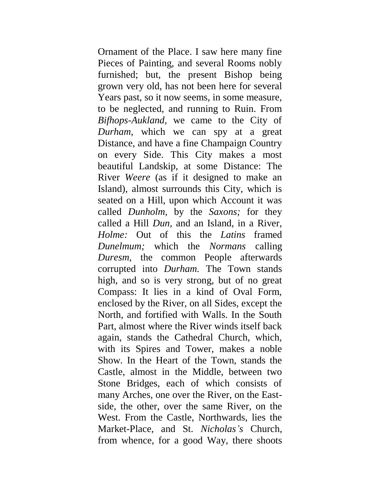Ornament of the Place. I saw here many fine Pieces of Painting, and several Rooms nobly furnished; but, the present Bishop being grown very old, has not been here for several Years past, so it now seems, in some measure, to be neglected, and running to Ruin. From *Bifhops-Aukland,* we came to the City of *Durham,* which we can spy at a great Distance, and have a fine Champaign Country on every Side. This City makes a most beautiful Landskip, at some Distance: The River *Weere* (as if it designed to make an Island), almost surrounds this City, which is seated on a Hill, upon which Account it was called *Dunholm,* by the *Saxons;* for they called a Hill *Dun,* and an Island, in a River, *Holme:* Out of this the *Latins* framed *Dunelmum;* which the *Normans* calling *Duresm,* the common People afterwards corrupted into *Durham.* The Town stands high, and so is very strong, but of no great Compass: It lies in a kind of Oval Form, enclosed by the River, on all Sides, except the North, and fortified with Walls. In the South Part, almost where the River winds itself back again, stands the Cathedral Church, which, with its Spires and Tower, makes a noble Show. In the Heart of the Town, stands the Castle, almost in the Middle, between two Stone Bridges, each of which consists of many Arches, one over the River, on the Eastside, the other, over the same River, on the West. From the Castle, Northwards, lies the Market-Place, and St. *Nicholas's* Church, from whence, for a good Way, there shoots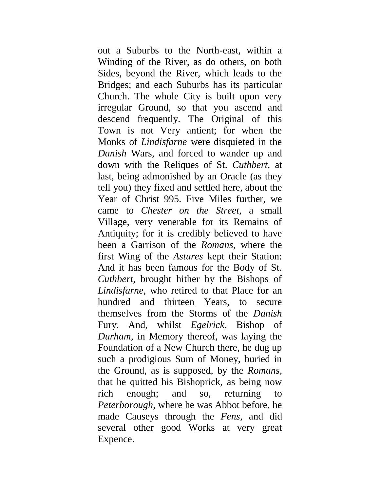out a Suburbs to the North-east, within a Winding of the River, as do others, on both Sides, beyond the River, which leads to the Bridges; and each Suburbs has its particular Church. The whole City is built upon very irregular Ground, so that you ascend and descend frequently. The Original of this Town is not Very antient; for when the Monks of *Lindisfarne* were disquieted in the *Danish* Wars, and forced to wander up and down with the Reliques of St. *Cuthbert,* at last, being admonished by an Oracle (as they tell you) they fixed and settled here, about the Year of Christ 995. Five Miles further, we came to *Chester on the Street,* a small Village, very venerable for its Remains of Antiquity; for it is credibly believed to have been a Garrison of the *Romans,* where the first Wing of the *Astures* kept their Station: And it has been famous for the Body of St. *Cuthbert,* brought hither by the Bishops of *Lindisfarne,* who retired to that Place for an hundred and thirteen Years, to secure themselves from the Storms of the *Danish*  Fury. And, whilst *Egelrick,* Bishop of *Durham,* in Memory thereof, was laying the Foundation of a New Church there, he dug up such a prodigious Sum of Money, buried in the Ground, as is supposed, by the *Romans,*  that he quitted his Bishoprick, as being now rich enough; and so, returning to *Peterborough,* where he was Abbot before, he made Causeys through the *Fens,* and did several other good Works at very great Expence.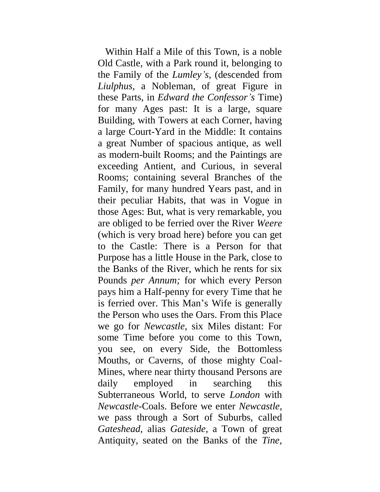Within Half a Mile of this Town, is a noble Old Castle, with a Park round it, belonging to the Family of the *Lumley's,* (descended from *Liulphus,* a Nobleman, of great Figure in these Parts, in *Edward the Confessor's* Time) for many Ages past: It is a large, square Building, with Towers at each Corner, having a large Court-Yard in the Middle: It contains a great Number of spacious antique, as well as modern-built Rooms; and the Paintings are exceeding Antient, and Curious, in several Rooms; containing several Branches of the Family, for many hundred Years past, and in their peculiar Habits, that was in Vogue in those Ages: But, what is very remarkable, you are obliged to be ferried over the River *Weere*  (which is very broad here) before you can get to the Castle: There is a Person for that Purpose has a little House in the Park, close to the Banks of the River, which he rents for six Pounds *per Annum;* for which every Person pays him a Half-penny for every Time that he is ferried over. This Man's Wife is generally the Person who uses the Oars. From this Place we go for *Newcastle,* six Miles distant: For some Time before you come to this Town, you see, on every Side, the Bottomless Mouths, or Caverns, of those mighty Coal-Mines, where near thirty thousand Persons are daily employed in searching this Subterraneous World, to serve *London* with *Newcastle-*Coals. Before we enter *Newcastle,*  we pass through a Sort of Suburbs, called *Gateshead,* alias *Gateside,* a Town of great Antiquity, seated on the Banks of the *Tine,*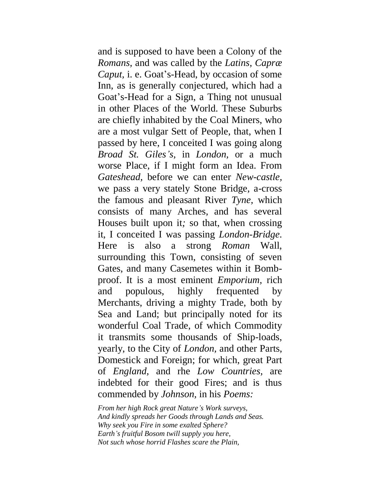and is supposed to have been a Colony of the *Romans,* and was called by the *Latins, Capræ Caput,* i. e. Goat's-Head, by occasion of some Inn, as is generally conjectured, which had a Goat's-Head for a Sign, a Thing not unusual in other Places of the World. These Suburbs are chiefly inhabited by the Coal Miners, who are a most vulgar Sett of People, that, when I passed by here, I conceited I was going along *Broad St. Giles's,* in *London,* or a much worse Place, if I might form an Idea. From *Gateshead,* before we can enter *New-castle,*  we pass a very stately Stone Bridge, a-cross the famous and pleasant River *Tyne,* which consists of many Arches, and has several Houses built upon it*;* so that, when crossing it, I conceited I was passing *London-Bridge.*  Here is also a strong *Roman* Wall, surrounding this Town, consisting of seven Gates, and many Casemetes within it Bombproof. It is a most eminent *Emporium,* rich and populous, highly frequented by Merchants, driving a mighty Trade, both by Sea and Land; but principally noted for its wonderful Coal Trade, of which Commodity it transmits some thousands of Ship-loads, yearly, to the City of *London,* and other Parts, Domestick and Foreign; for which, great Part of *England,* and rhe *Low Countries,* are indebted for their good Fires; and is thus commended by *Johnson,* in his *Poems:*

*From her high Rock great Nature's Work surveys, And kindly spreads her Goods through Lands and Seas. Why seek you Fire in some exalted Sphere? Earth's fruitful Bosom twill supply you here, Not such whose horrid Flashes scare the Plain,*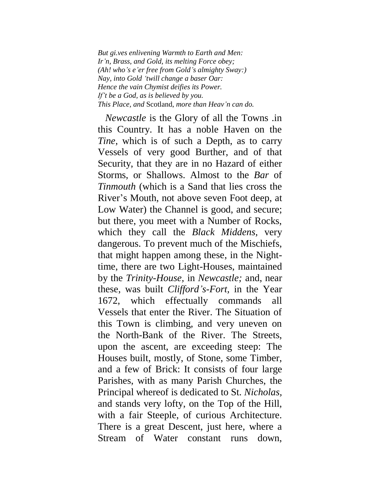*But gi.ves enlivening Warmth to Earth and Men: Ir'n, Brass, and Gold, its melting Force obey; (Ah! who's e'er free from Gold's almighty Sway:) Nay, into Gold 'twill change a baser Oar: Hence the vain Chymist deifies its Power. If't be a God, as is believed by you. This Place, and* Scotland, *more than Heav'n can do.*

*Newcastle* is the Glory of all the Towns .in this Country. It has a noble Haven on the *Tine,* which is of such a Depth, as to carry Vessels of very good Burther, and of that Security, that they are in no Hazard of either Storms, or Shallows. Almost to the *Bar* of *Tinmouth* (which is a Sand that lies cross the River's Mouth, not above seven Foot deep, at Low Water) the Channel is good, and secure; but there, you meet with a Number of Rocks, which they call the *Black Middens,* very dangerous. To prevent much of the Mischiefs, that might happen among these, in the Nighttime, there are two Light-Houses, maintained by the *Trinity-House,* in *Newcastle;* and, near these, was built *Clifford's-Fort,* in the Year 1672, which effectually commands all Vessels that enter the River. The Situation of this Town is climbing, and very uneven on the North-Bank of the River. The Streets, upon the ascent, are exceeding steep: The Houses built, mostly, of Stone, some Timber, and a few of Brick: It consists of four large Parishes, with as many Parish Churches, the Principal whereof is dedicated to St. *Nicholas,*  and stands very lofty, on the Top of the Hill, with a fair Steeple, of curious Architecture. There is a great Descent, just here, where a Stream of Water constant runs down,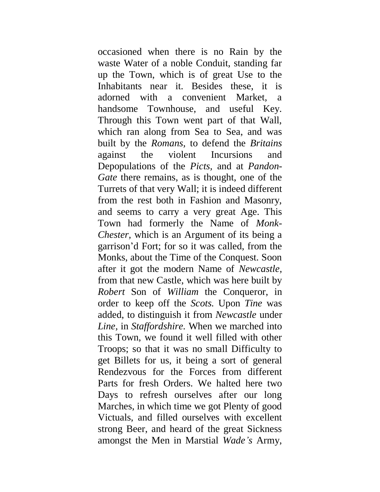occasioned when there is no Rain by the waste Water of a noble Conduit, standing far up the Town, which is of great Use to the Inhabitants near it. Besides these, it is adorned with a convenient Market, a handsome Townhouse, and useful Key. Through this Town went part of that Wall, which ran along from Sea to Sea, and was built by the *Romans,* to defend the *Britains*  against the violent Incursions and Depopulations of the *Picts,* and at *Pandon-Gate* there remains, as is thought, one of the Turrets of that very Wall; it is indeed different from the rest both in Fashion and Masonry, and seems to carry a very great Age. This Town had formerly the Name of *Monk-Chester,* which is an Argument of its being a garrison'd Fort; for so it was called, from the Monks, about the Time of the Conquest. Soon after it got the modern Name of *Newcastle,*  from that new Castle, which was here built by *Robert* Son of *William* the Conqueror, in order to keep off the *Scots.* Upon *Tine* was added, to distinguish it from *Newcastle* under *Line,* in *Staffordshire.* When we marched into this Town, we found it well filled with other Troops; so that it was no small Difficulty to get Billets for us, it being a sort of general Rendezvous for the Forces from different Parts for fresh Orders. We halted here two Days to refresh ourselves after our long Marches, in which time we got Plenty of good Victuals, and filled ourselves with excellent strong Beer, and heard of the great Sickness amongst the Men in Marstial *Wade's* Army,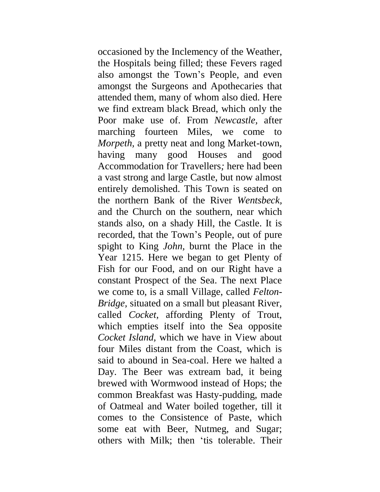occasioned by the Inclemency of the Weather, the Hospitals being filled; these Fevers raged also amongst the Town's People, and even amongst the Surgeons and Apothecaries that attended them, many of whom also died. Here we find extream black Bread, which only the Poor make use of. From *Newcastle,* after marching fourteen Miles, we come to *Morpeth,* a pretty neat and long Market-town, having many good Houses and good Accommodation for Travellers*;* here had been a vast strong and large Castle, but now almost entirely demolished. This Town is seated on the northern Bank of the River *Wentsbeck,*  and the Church on the southern, near which stands also, on a shady Hill, the Castle. It is recorded, that the Town's People, out of pure spight to King *John,* burnt the Place in the Year 1215. Here we began to get Plenty of Fish for our Food, and on our Right have a constant Prospect of the Sea. The next Place we come to, is a small Village, called *Felton-Bridge,* situated on a small but pleasant River, called *Cocket,* affording Plenty of Trout, which empties itself into the Sea opposite *Cocket Island,* which we have in View about four Miles distant from the Coast, which is said to abound in Sea-coal. Here we halted a Day. The Beer was extream bad, it being brewed with Wormwood instead of Hops; the common Breakfast was Hasty-pudding, made of Oatmeal and Water boiled together, till it comes to the Consistence of Paste, which some eat with Beer, Nutmeg, and Sugar; others with Milk; then 'tis tolerable. Their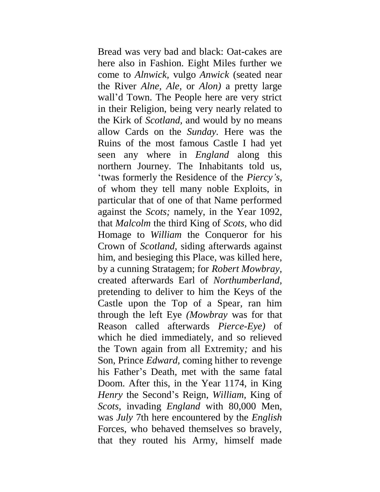Bread was very bad and black: Oat-cakes are here also in Fashion. Eight Miles further we come to *Alnwick,* vulgo *Anwick* (seated near the River *Alne, Ale,* or *Alon)* a pretty large wall'd Town. The People here are very strict in their Religion, being very nearly related to the Kirk of *Scotland,* and would by no means allow Cards on the *Sunday.* Here was the Ruins of the most famous Castle I had yet seen any where in *England* along this northern Journey. The Inhabitants told us, 'twas formerly the Residence of the *Piercy's,*  of whom they tell many noble Exploits, in particular that of one of that Name performed against the *Scots;* namely, in the Year 1092, that *Malcolm* the third King of *Scots,* who did Homage to *William* the Conqueror for his Crown of *Scotland,* siding afterwards against him, and besieging this Place, was killed here, by a cunning Stratagem; for *Robert Mowbray,*  created afterwards Earl of *Northumberland,*  pretending to deliver to him the Keys of the Castle upon the Top of a Spear, ran him through the left Eye *(Mowbray* was for that Reason called afterwards *Pierce-Eye)* of which he died immediately, and so relieved the Town again from all Extremity*;* and his Son, Prince *Edward,* coming hither to revenge his Father's Death, met with the same fatal Doom. After this, in the Year 1174, in King *Henry* the Second's Reign, *William,* King of *Scots,* invading *England* with 80,000 Men, was *July* 7th here encountered by the *English* Forces, who behaved themselves so bravely, that they routed his Army, himself made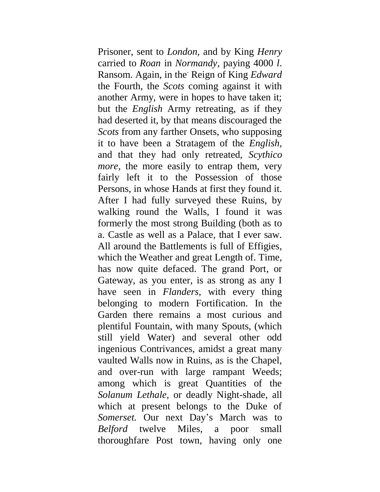Prisoner, sent to *London,* and by King *Henry*  carried to *Roan* in *Normandy,* paying 4000 *l*. Ransom. Again, in the. Reign of King *Edward*  the Fourth, the *Scots* coming against it with another Army, were in hopes to have taken it; but the *English* Army retreating, as if they had deserted it, by that means discouraged the *Scots* from any farther Onsets, who supposing it to have been a Stratagem of the *English,*  and that they had only retreated, *Scythico more*, the more easily to entrap them, very fairly left it to the Possession of those Persons, in whose Hands at first they found it. After I had fully surveyed these Ruins, by walking round the Walls, I found it was formerly the most strong Building (both as to a. Castle as well as a Palace, that I ever saw. All around the Battlements is full of Effigies, which the Weather and great Length of. Time, has now quite defaced. The grand Port, or Gateway, as you enter, is as strong as any I have seen in *Flanders,* with every thing belonging to modern Fortification. In the Garden there remains a most curious and plentiful Fountain, with many Spouts, (which still yield Water) and several other odd ingenious Contrivances, amidst a great many vaulted Walls now in Ruins, as is the Chapel, and over-run with large rampant Weeds; among which is great Quantities of the *Solanum Lethale,* or deadly Night-shade, all which at present belongs to the Duke of *Somerset.* Our next Day's March was to *Belford* twelve Miles, a poor small thoroughfare Post town, having only one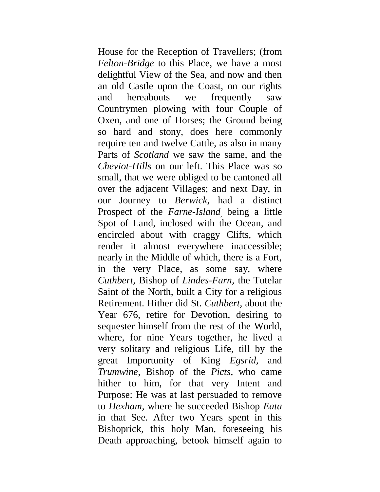House for the Reception of Travellers; (from *Felton-Bridge* to this Place, we have a most delightful View of the Sea, and now and then an old Castle upon the Coast, on our rights and hereabouts we frequently saw Countrymen plowing with four Couple of Oxen, and one of Horses; the Ground being so hard and stony, does here commonly require ten and twelve Cattle, as also in many Parts of *Scotland* we saw the same, and the *Cheviot-Hills* on our left. This Place was so small, that we were obliged to be cantoned all over the adjacent Villages; and next Day, in our Journey to *Berwick,* had a distinct Prospect of the *Farne-Island,* being a little Spot of Land, inclosed with the Ocean, and encircled about with craggy Clifts, which render it almost everywhere inaccessible; nearly in the Middle of which, there is a Fort, in the very Place, as some say, where *Cuthbert,* Bishop of *Lindes-Farn,* the Tutelar Saint of the North, built a City for a religious Retirement. Hither did St. *Cuthbert,* about the Year 676, retire for Devotion, desiring to sequester himself from the rest of the World, where, for nine Years together, he lived a very solitary and religious Life, till by the great Importunity of King *Egsrid,* and *Trumwine,* Bishop of the *Picts,* who came hither to him, for that very Intent and Purpose: He was at last persuaded to remove to *Hexham,* where he succeeded Bishop *Eata*  in that See. After two Years spent in this Bishoprick, this holy Man, foreseeing his Death approaching, betook himself again to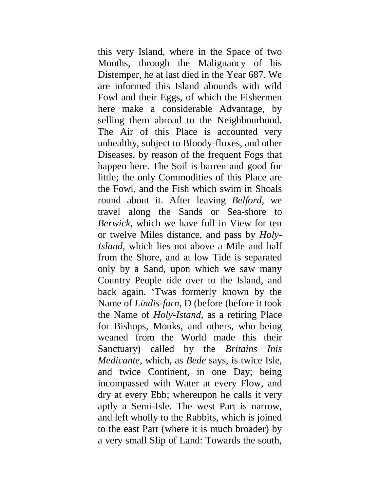this very Island, where in the Space of two Months, through the Malignancy of his Distemper, he at last died in the Year 687. We are informed this Island abounds with wild Fowl and their Eggs, of which the Fishermen here make a considerable Advantage, by selling them abroad to the Neighbourhood. The Air of this Place is accounted very unhealthy, subject to Bloody-fluxes, and other Diseases, by reason of the frequent Fogs that happen here. The Soil is barren and good for little; the only Commodities of this Place are the Fowl, and the Fish which swim in Shoals round about it. After leaving *Belford,* we travel along the Sands or Sea-shore to *Berwick,* which we have full in View for ten or twelve Miles distance, and pass by *Holy-Island,* which lies not above a Mile and half from the Shore, and at low Tide is separated only by a Sand, upon which we saw many Country People ride over to the Island, and back again. 'Twas formerly known by the Name of *Lindis-farn,* D (before (before it took the Name of *Holy-Istand,* as a retiring Place for Bishops, Monks, and others, who being weaned from the World made this their Sanctuary) called by the *Britains Inis Medicante,* which, as *Bede* says, is twice Isle, and twice Continent, in one Day; being incompassed with Water at every Flow, and dry at every Ebb; whereupon he calls it very aptly a Semi-Isle. The west Part is narrow, and left wholly to the Rabbits, which is joined to the east Part (where it is much broader) by a very small Slip of Land: Towards the south,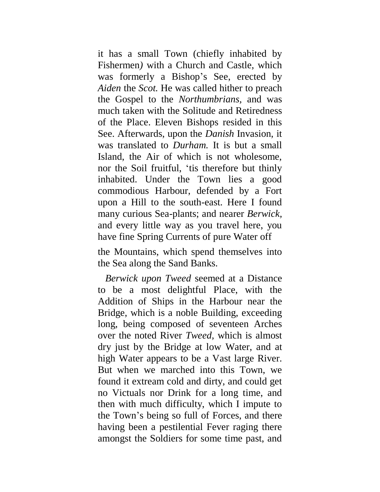it has a small Town (chiefly inhabited by Fishermen*)* with a Church and Castle, which was formerly a Bishop's See, erected by *Aiden* the *Scot.* He was called hither to preach the Gospel to the *Northumbrians,* and was much taken with the Solitude and Retiredness of the Place. Eleven Bishops resided in this See. Afterwards, upon the *Danish* Invasion, it was translated to *Durham.* It is but a small Island, the Air of which is not wholesome, nor the Soil fruitful, 'tis therefore but thinly inhabited. Under the Town lies a good commodious Harbour, defended by a Fort upon a Hill to the south-east. Here I found many curious Sea-plants; and nearer *Berwick,*  and every little way as you travel here, you have fine Spring Currents of pure Water off

the Mountains, which spend themselves into the Sea along the Sand Banks.

*Berwick upon Tweed* seemed at a Distance to be a most delightful Place, with the Addition of Ships in the Harbour near the Bridge, which is a noble Building, exceeding long, being composed of seventeen Arches over the noted River *Tweed,* which is almost dry just by the Bridge at low Water, and at high Water appears to be a Vast large River. But when we marched into this Town, we found it extream cold and dirty, and could get no Victuals nor Drink for a long time, and then with much difficulty, which I impute to the Town's being so full of Forces, and there having been a pestilential Fever raging there amongst the Soldiers for some time past, and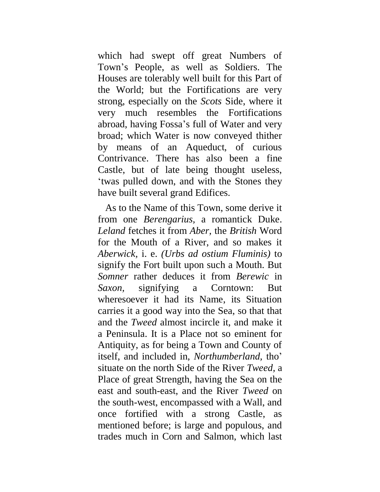which had swept off great Numbers of Town's People, as well as Soldiers. The Houses are tolerably well built for this Part of the World; but the Fortifications are very strong, especially on the *Scots* Side, where it very much resembles the Fortifications abroad, having Fossa's full of Water and very broad; which Water is now conveyed thither by means of an Aqueduct, of curious Contrivance. There has also been a fine Castle, but of late being thought useless, 'twas pulled down, and with the Stones they have built several grand Edifices.

As to the Name of this Town, some derive it from one *Berengarius,* a romantick Duke. *Leland* fetches it from *Aber,* the *British* Word for the Mouth of a River, and so makes it *Aberwick,* i. e. *(Urbs ad ostium Fluminis)* to signify the Fort built upon such a Mouth. But *Somner* rather deduces it from *Berewic* in *Saxon,* signifying a Corntown: But wheresoever it had its Name, its Situation carries it a good way into the Sea, so that that and the *Tweed* almost incircle it, and make it a Peninsula. It is a Place not so eminent for Antiquity, as for being a Town and County of itself, and included in, *Northumberland,* tho' situate on the north Side of the River *Tweed,* a Place of great Strength, having the Sea on the east and south-east, and the River *Tweed* on the south-west, encompassed with a Wall, and once fortified with a strong Castle, as mentioned before; is large and populous, and trades much in Corn and Salmon, which last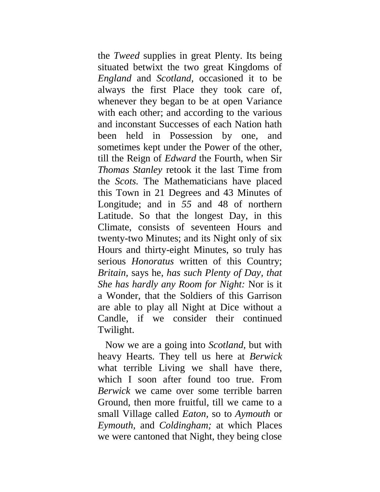the *Tweed* supplies in great Plenty. Its being situated betwixt the two great Kingdoms of *England* and *Scotland,* occasioned it to be always the first Place they took care of, whenever they began to be at open Variance with each other; and according to the various and inconstant Successes of each Nation hath been held in Possession by one, and sometimes kept under the Power of the other, till the Reign of *Edward* the Fourth, when Sir *Thomas Stanley* retook it the last Time from the *Scots.* The Mathematicians have placed this Town in 21 Degrees and 43 Minutes of Longitude; and in *55* and 48 of northern Latitude. So that the longest Day, in this Climate, consists of seventeen Hours and twenty-two Minutes; and its Night only of six Hours and thirty-eight Minutes, so truly has serious *Honoratus* written of this Country; *Britain,* says he, *has such Plenty of Day, that She has hardly any Room for Night:* Nor is it a Wonder, that the Soldiers of this Garrison are able to play all Night at Dice without a Candle, if we consider their continued Twilight.

Now we are a going into *Scotland,* but with heavy Hearts. They tell us here at *Berwick*  what terrible Living we shall have there, which I soon after found too true. From *Berwick* we came over some terrible barren Ground, then more fruitful, till we came to a small Village called *Eaton,* so to *Aymouth* or *Eymouth,* and *Coldingham;* at which Places we were cantoned that Night, they being close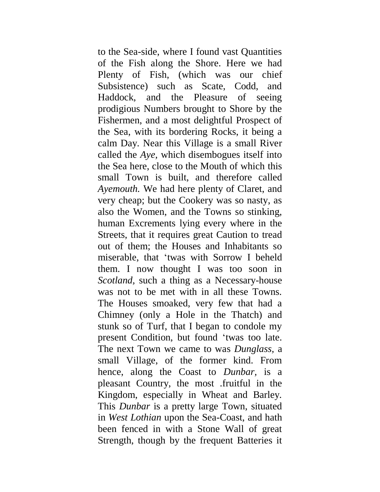to the Sea-side, where I found vast Quantities of the Fish along the Shore. Here we had Plenty of Fish, (which was our chief Subsistence) such as Scate, Codd, and Haddock, and the Pleasure of seeing prodigious Numbers brought to Shore by the Fishermen, and a most delightful Prospect of the Sea, with its bordering Rocks, it being a calm Day. Near this Village is a small River called the *Aye,* which disembogues itself into the Sea here, close to the Mouth of which this small Town is built, and therefore called *Ayemouth.* We had here plenty of Claret, and very cheap; but the Cookery was so nasty, as also the Women, and the Towns so stinking, human Excrements lying every where in the Streets, that it requires great Caution to tread out of them; the Houses and Inhabitants so miserable, that 'twas with Sorrow I beheld them. I now thought I was too soon in *Scotland,* such a thing as a Necessary-house was not to be met with in all these Towns. The Houses smoaked, very few that had a Chimney (only a Hole in the Thatch) and stunk so of Turf, that I began to condole my present Condition, but found 'twas too late. The next Town we came to was *Dunglass,* a small Village, of the former kind. From hence, along the Coast to *Dunbar,* is a pleasant Country, the most .fruitful in the Kingdom, especially in Wheat and Barley. This *Dunbar* is a pretty large Town, situated in *West Lothian* upon the Sea-Coast, and hath been fenced in with a Stone Wall of great Strength, though by the frequent Batteries it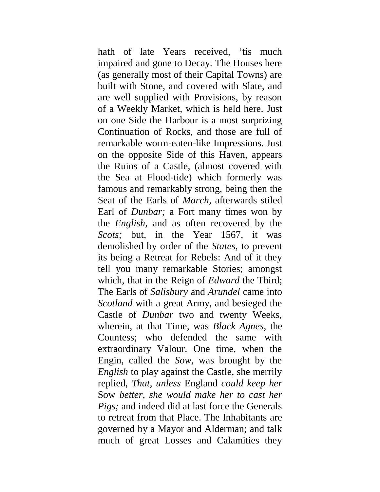hath of late Years received, 'tis much impaired and gone to Decay. The Houses here (as generally most of their Capital Towns) are built with Stone, and covered with Slate, and are well supplied with Provisions, by reason of a Weekly Market, which is held here. Just on one Side the Harbour is a most surprizing Continuation of Rocks, and those are full of remarkable worm-eaten-like Impressions. Just on the opposite Side of this Haven, appears the Ruins of a Castle, (almost covered with the Sea at Flood-tide) which formerly was famous and remarkably strong, being then the Seat of the Earls of *March,* afterwards stiled Earl of *Dunbar;* a Fort many times won by the *English,* and as often recovered by the *Scots*; but, in the Year 1567, it was demolished by order of the *States,* to prevent its being a Retreat for Rebels: And of it they tell you many remarkable Stories; amongst which, that in the Reign of *Edward* the Third; The Earls of *Salisbury* and *Arundel* came into *Scotland* with a great Army, and besieged the Castle of *Dunbar* two and twenty Weeks, wherein, at that Time, was *Black Agnes,* the Countess; who defended the same with extraordinary Valour. One time, when the Engin, called the *Sow,* was brought by the *English* to play against the Castle, she merrily replied, *That, unless* England *could keep her*  Sow *better, she would make her to cast her Pigs;* and indeed did at last force the Generals to retreat from that Place. The Inhabitants are governed by a Mayor and Alderman; and talk much of great Losses and Calamities they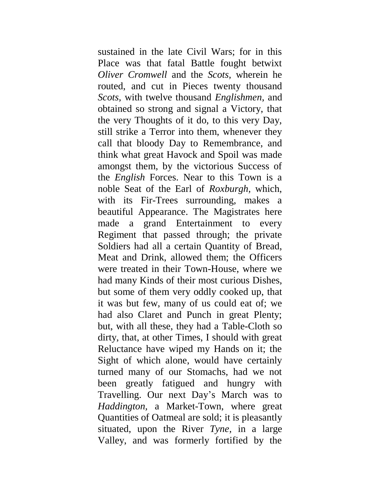sustained in the late Civil Wars; for in this Place was that fatal Battle fought betwixt *Oliver Cromwell* and the *Scots,* wherein he routed, and cut in Pieces twenty thousand *Scots,* with twelve thousand *Englishmen*, and obtained so strong and signal a Victory, that the very Thoughts of it do, to this very Day, still strike a Terror into them, whenever they call that bloody Day to Remembrance, and think what great Havock and Spoil was made amongst them, by the victorious Success of the *English* Forces. Near to this Town is a noble Seat of the Earl of *Roxburgh,* which, with its Fir-Trees surrounding, makes a beautiful Appearance. The Magistrates here made a grand Entertainment to every Regiment that passed through; the private Soldiers had all a certain Quantity of Bread, Meat and Drink, allowed them; the Officers were treated in their Town-House, where we had many Kinds of their most curious Dishes, but some of them very oddly cooked up, that it was but few, many of us could eat of; we had also Claret and Punch in great Plenty; but, with all these, they had a Table-Cloth so dirty, that, at other Times, I should with great Reluctance have wiped my Hands on it; the Sight of which alone, would have certainly turned many of our Stomachs, had we not been greatly fatigued and hungry with Travelling. Our next Day's March was to *Haddington,* a Market-Town, where great Quantities of Oatmeal are sold; it is pleasantly situated, upon the River *Tyne,* in a large Valley, and was formerly fortified by the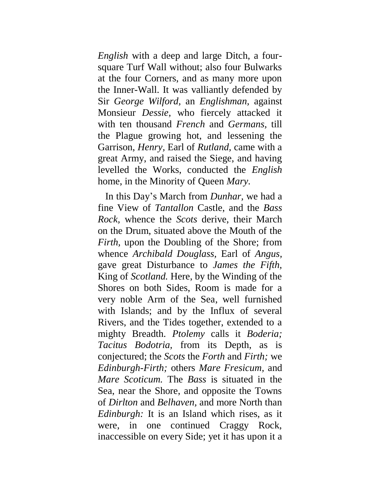*English* with a deep and large Ditch, a foursquare Turf Wall without; also four Bulwarks at the four Corners, and as many more upon the Inner-Wall. It was valliantly defended by Sir *George Wilford,* an *Englishman,* against Monsieur *Dessie,* who fiercely attacked it with ten thousand *French* and *Germans,* till the Plague growing hot, and lessening the Garrison, *Henry,* Earl of *Rutland,* came with a great Army, and raised the Siege, and having levelled the Works, conducted the *English* home, in the Minority of Queen *Mary.*

In this Day's March from *Dunhar,* we had a fine View of *Tantallon* Castle, and the *Bass Rock,* whence the *Scots* derive, their March on the Drum, situated above the Mouth of the *Firth,* upon the Doubling of the Shore; from whence *Archibald Douglass,* Earl of *Angus,*  gave great Disturbance to *James the Fifth,*  King of *Scotland.* Here, by the Winding of the Shores on both Sides, Room is made for a very noble Arm of the Sea, well furnished with Islands; and by the Influx of several Rivers, and the Tides together, extended to a mighty Breadth. *Ptolemy* calls it *Boderia; Tacitus Bodotria,* from its Depth, as is conjectured; the *Scots* the *Forth* and *Firth;* we *Edinburgh-Firth;* others *Mare Fresicum,* and *Mare Scoticum.* The *Bass* is situated in the Sea, near the Shore, and opposite the Towns of *Dirlton* and *Belhaven,* and more North than *Edinburgh:* It is an Island which rises, as it were, in one continued Craggy Rock, inaccessible on every Side; yet it has upon it a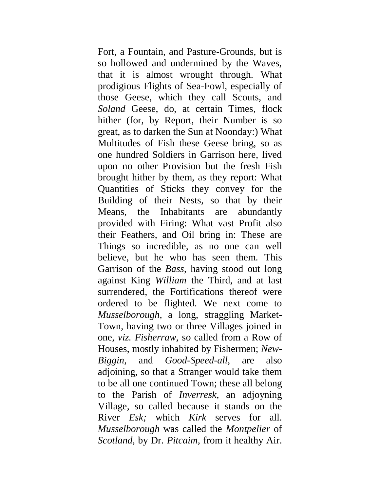Fort, a Fountain, and Pasture-Grounds, but is so hollowed and undermined by the Waves, that it is almost wrought through. What prodigious Flights of Sea-Fowl, especially of those Geese, which they call Scouts, and *Soland* Geese, do, at certain Times, flock hither (for, by Report, their Number is so great, as to darken the Sun at Noonday:) What Multitudes of Fish these Geese bring, so as one hundred Soldiers in Garrison here, lived upon no other Provision but the fresh Fish brought hither by them, as they report: What Quantities of Sticks they convey for the Building of their Nests, so that by their Means, the Inhabitants are abundantly provided with Firing: What vast Profit also their Feathers, and Oil bring in: These are Things so incredible, as no one can well believe, but he who has seen them. This Garrison of the *Bass,* having stood out long against King *William* the Third, and at last surrendered, the Fortifications thereof were ordered to be flighted. We next come to *Musselborough,* a long, straggling Market-Town, having two or three Villages joined in one, *viz. Fisherraw,* so called from a Row of Houses, mostly inhabited by Fishermen; *New-Biggin,* and *Good-Speed-all,* are also adjoining, so that a Stranger would take them to be all one continued Town; these all belong to the Parish of *Inverresk,* an adjoyning Village, so called because it stands on the River *Esk;* which *Kirk* serves for all. *Musselborough* was called the *Montpelier* of *Scotland,* by Dr. *Pitcaim,* from it healthy Air.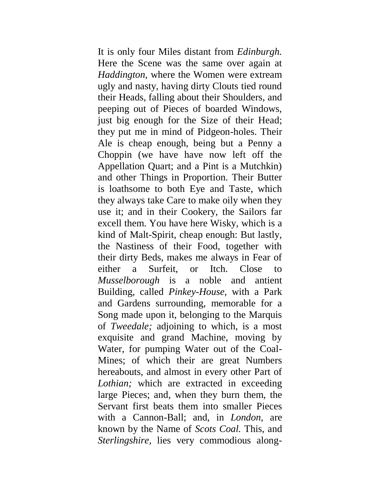It is only four Miles distant from *Edinburgh.*  Here the Scene was the same over again at *Haddington,* where the Women were extream ugly and nasty, having dirty Clouts tied round their Heads, falling about their Shoulders, and peeping out of Pieces of boarded Windows, just big enough for the Size of their Head; they put me in mind of Pidgeon-holes. Their Ale is cheap enough, being but a Penny a Choppin (we have have now left off the Appellation Quart; and a Pint is a Mutchkin) and other Things in Proportion. Their Butter is loathsome to both Eye and Taste, which they always take Care to make oily when they use it; and in their Cookery, the Sailors far excell them. You have here Wisky, which is a kind of Malt-Spirit, cheap enough: But lastly, the Nastiness of their Food, together with their dirty Beds, makes me always in Fear of either a Surfeit, or Itch. Close to *Musselborough* is a noble and antient Building, called *Pinkey-House,* with a Park and Gardens surrounding, memorable for a Song made upon it, belonging to the Marquis of *Tweedale;* adjoining to which, is a most exquisite and grand Machine, moving by Water, for pumping Water out of the Coal-Mines; of which their are great Numbers hereabouts, and almost in every other Part of *Lothian;* which are extracted in exceeding large Pieces; and, when they burn them, the Servant first beats them into smaller Pieces with a Cannon-Ball; and, in *London,* are known by the Name of *Scots Coal.* This, and *Sterlingshire,* lies very commodious along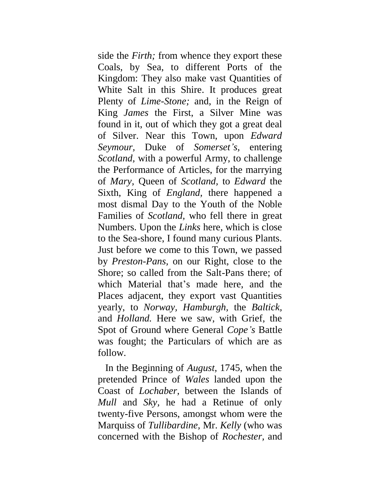side the *Firth;* from whence they export these Coals, by Sea, to different Ports of the Kingdom: They also make vast Quantities of White Salt in this Shire. It produces great Plenty of *Lime-Stone;* and, in the Reign of King *James* the First, a Silver Mine was found in it, out of which they got a great deal of Silver. Near this Town, upon *Edward Seymour,* Duke of *Somerset's,* entering *Scotland,* with a powerful Army, to challenge the Performance of Articles, for the marrying of *Mary,* Queen of *Scotland,* to *Edward* the Sixth, King of *England,* there happened a most dismal Day to the Youth of the Noble Families of *Scotland,* who fell there in great Numbers. Upon the *Links* here, which is close to the Sea-shore, I found many curious Plants. Just before we come to this Town, we passed by *Preston-Pans,* on our Right, close to the Shore; so called from the Salt-Pans there; of which Material that's made here, and the Places adjacent, they export vast Quantities yearly, to *Norway, Hamburgh,* the *Baltick,*  and *Holland.* Here we saw, with Grief, the Spot of Ground where General *Cope's* Battle was fought; the Particulars of which are as follow.

In the Beginning of *August,* 1745, when the pretended Prince of *Wales* landed upon the Coast of *Lochaber,* between the Islands of *Mull* and *Sky,* he had a Retinue of only twenty-five Persons, amongst whom were the Marquiss of *Tullibardine,* Mr. *Kelly* (who was concerned with the Bishop of *Rochester,* and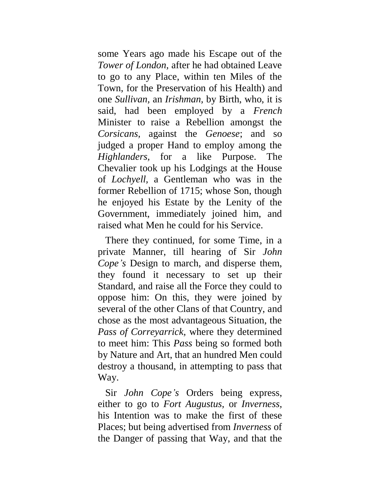some Years ago made his Escape out of the *Tower of London,* after he had obtained Leave to go to any Place, within ten Miles of the Town, for the Preservation of his Health) and one *Sullivan,* an *Irishman,* by Birth, who, it is said, had been employed by a *French*  Minister to raise a Rebellion amongst the *Corsicans,* against the *Genoese*; and so judged a proper Hand to employ among the *Highlanders,* for a like Purpose. The Chevalier took up his Lodgings at the House of *Lochyell,* a Gentleman who was in the former Rebellion of 1715; whose Son, though he enjoyed his Estate by the Lenity of the Government, immediately joined him, and raised what Men he could for his Service.

There they continued, for some Time, in a private Manner, till hearing of Sir *John Cope's* Design to march, and disperse them, they found it necessary to set up their Standard, and raise all the Force they could to oppose him: On this, they were joined by several of the other Clans of that Country, and chose as the most advantageous Situation, the *Pass of Correyarrick,* where they determined to meet him: This *Pass* being so formed both by Nature and Art, that an hundred Men could destroy a thousand, in attempting to pass that Way.

Sir *John Cope's* Orders being express, either to go to *Fort Augustus,* or *Inverness,*  his Intention was to make the first of these Places; but being advertised from *Inverness* of the Danger of passing that Way, and that the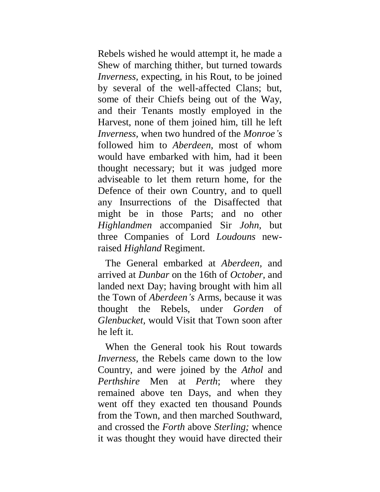Rebels wished he would attempt it, he made a Shew of marching thither, but turned towards *Inverness,* expecting, in his Rout, to be joined by several of the well-affected Clans; but, some of their Chiefs being out of the Way, and their Tenants mostly employed in the Harvest, none of them joined him, till he left *Inverness,* when two hundred of the *Monroe's*  followed him to *Aberdeen,* most of whom would have embarked with him, had it been thought necessary; but it was judged more adviseable to let them return home, for the Defence of their own Country, and to quell any Insurrections of the Disaffected that might be in those Parts; and no other *Highlandmen* accompanied Sir *John,* but three Companies of Lord *Loudouns* newraised *Highland* Regiment.

The General embarked at *Aberdeen,* and arrived at *Dunbar* on the 16th of *October,* and landed next Day; having brought with him all the Town of *Aberdeen's* Arms, because it was thought the Rebels, under *Gorden* of *Glenbucket,* would Visit that Town soon after he left it.

When the General took his Rout towards *Inverness,* the Rebels came down to the low Country, and were joined by the *Athol* and *Perthshire* Men at *Perth*; where they remained above ten Days, and when they went off they exacted ten thousand Pounds from the Town, and then marched Southward, and crossed the *Forth* above *Sterling;* whence it was thought they wouid have directed their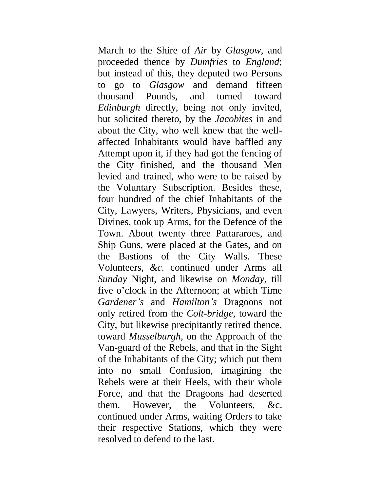March to the Shire of *Air* by *Glasgow,* and proceeded thence by *Dumfries* to *England*; but instead of this, they deputed two Persons to go to *Glasgow* and demand fifteen thousand Pounds, and turned toward *Edinburgh* directly, being not only invited, but solicited thereto, by the *Jacobites* in and about the City, who well knew that the wellaffected Inhabitants would have baffled any Attempt upon it, if they had got the fencing of the City finished, and the thousand Men levied and trained, who were to be raised by the Voluntary Subscription. Besides these, four hundred of the chief Inhabitants of the City, Lawyers, Writers, Physicians, and even Divines, took up Arms, for the Defence of the Town. About twenty three Pattararoes, and Ship Guns, were placed at the Gates, and on the Bastions of the City Walls. These Volunteers, *&c.* continued under Arms all *Sunday* Night, and likewise on *Monday,* till five o'clock in the Afternoon; at which Time *Gardener's* and *Hamilton's* Dragoons not only retired from the *Colt-bridge,* toward the City, but likewise precipitantly retired thence, toward *Musselburgh,* on the Approach of the Van-guard of the Rebels, and that in the Sight of the Inhabitants of the City; which put them into no small Confusion, imagining the Rebels were at their Heels, with their whole Force, and that the Dragoons had deserted them. However, the Volunteers, &c. continued under Arms, waiting Orders to take their respective Stations, which they were resolved to defend to the last.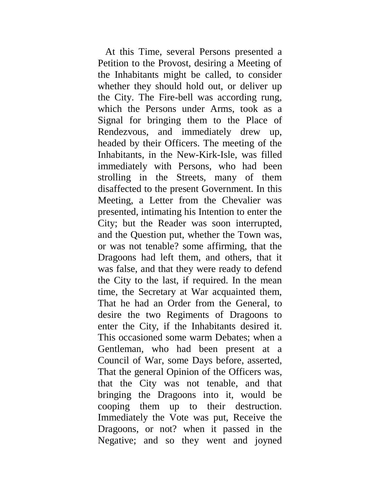At this Time, several Persons presented a Petition to the Provost, desiring a Meeting of the Inhabitants might be called, to consider whether they should hold out, or deliver up the City. The Fire-bell was according rung, which the Persons under Arms, took as a Signal for bringing them to the Place of Rendezvous, and immediately drew up, headed by their Officers. The meeting of the Inhabitants, in the New-Kirk-Isle, was filled immediately with Persons, who had been strolling in the Streets, many of them disaffected to the present Government. In this Meeting, a Letter from the Chevalier was presented, intimating his Intention to enter the City; but the Reader was soon interrupted, and the Question put, whether the Town was, or was not tenable? some affirming, that the Dragoons had left them, and others, that it was false, and that they were ready to defend the City to the last, if required. In the mean time, the Secretary at War acquainted them, That he had an Order from the General, to desire the two Regiments of Dragoons to enter the City, if the Inhabitants desired it. This occasioned some warm Debates; when a Gentleman, who had been present at a Council of War, some Days before, asserted, That the general Opinion of the Officers was, that the City was not tenable, and that bringing the Dragoons into it, would be cooping them up to their destruction. Immediately the Vote was put, Receive the Dragoons, or not? when it passed in the Negative; and so they went and joyned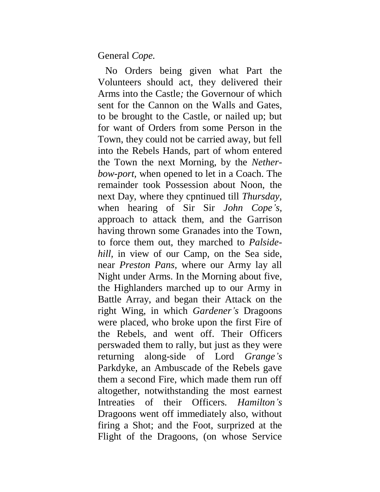## General *Cope.*

No Orders being given what Part the Volunteers should act, they delivered their Arms into the Castle*;* the Governour of which sent for the Cannon on the Walls and Gates, to be brought to the Castle, or nailed up; but for want of Orders from some Person in the Town, they could not be carried away, but fell into the Rebels Hands, part of whom entered the Town the next Morning, by the *Netherbow-port,* when opened to let in a Coach. The remainder took Possession about Noon, the next Day, where they cpntinued till *Thursday,*  when hearing of Sir Sir *John Cope's,*  approach to attack them, and the Garrison having thrown some Granades into the Town, to force them out, they marched to *Palsidehill,* in view of our Camp, on the Sea side, near *Preston Pans,* where our Army lay all Night under Arms. In the Morning about five, the Highlanders marched up to our Army in Battle Array, and began their Attack on the right Wing, in which *Gardener's* Dragoons were placed, who broke upon the first Fire of the Rebels, and went off. Their Officers perswaded them to rally, but just as they were returning along-side of Lord *Grange's*  Parkdyke, an Ambuscade of the Rebels gave them a second Fire, which made them run off altogether, notwithstanding the most earnest Intreaties of their Officers. *Hamilton's*  Dragoons went off immediately also, without firing a Shot; and the Foot, surprized at the Flight of the Dragoons, (on whose Service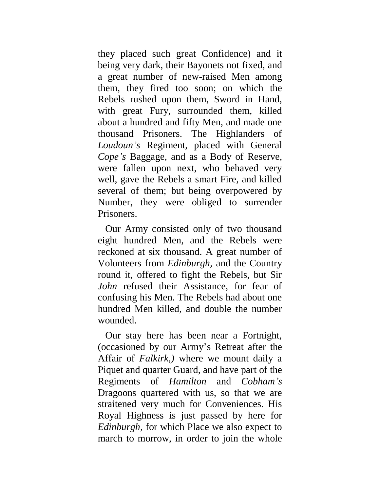they placed such great Confidence) and it being very dark, their Bayonets not fixed, and a great number of new-raised Men among them, they fired too soon; on which the Rebels rushed upon them, Sword in Hand, with great Fury, surrounded them, killed about a hundred and fifty Men, and made one thousand Prisoners. The Highlanders of *Loudoun's* Regiment, placed with General *Cope's* Baggage, and as a Body of Reserve, were fallen upon next, who behaved very well, gave the Rebels a smart Fire, and killed several of them; but being overpowered by Number, they were obliged to surrender Prisoners.

Our Army consisted only of two thousand eight hundred Men, and the Rebels were reckoned at six thousand. A great number of Volunteers from *Edinburgh,* and the Country round it, offered to fight the Rebels, but Sir *John* refused their Assistance, for fear of confusing his Men. The Rebels had about one hundred Men killed, and double the number wounded.

Our stay here has been near a Fortnight, (occasioned by our Army's Retreat after the Affair of *Falkirk,)* where we mount daily a Piquet and quarter Guard, and have part of the Regiments of *Hamilton* and *Cobham's*  Dragoons quartered with us, so that we are straitened very much for Conveniences. His Royal Highness is just passed by here for *Edinburgh,* for which Place we also expect to march to morrow, in order to join the whole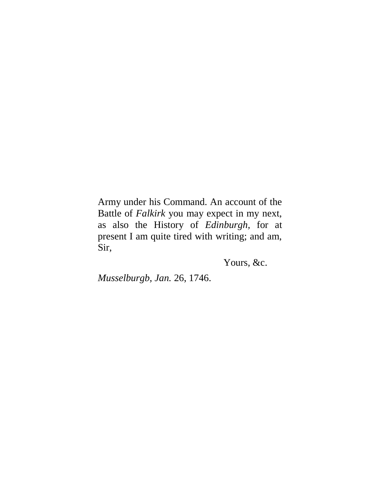Army under his Command. An account of the Battle of *Falkirk* you may expect in my next, as also the History of *Edinburgh,* for at present I am quite tired with writing; and am, Sir,

Yours, &c.

*Musselburgb, Jan.* 26, 1746.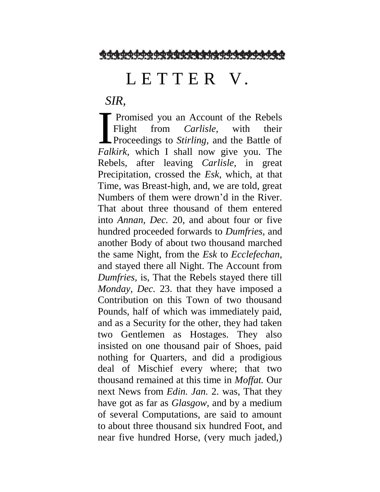<u>ØФФФФФФФФФФФФФФФФФФФФФФФФФФ</u>

## L E T T E R V.

*SIR,*

**Promised you an Account of the Rebels** Flight from *Carlisle,* with their Proceedings to *Stirling,* and the Battle of **Fight** from *Carlisle*, with their<br>**Fight** from *Carlisle*, with their<br>**Proceedings to Stirling**, and the Battle of<br>*Falkirk*, which I shall now give you. The Rebels, after leaving *Carlisle,* in great Precipitation, crossed the *Esk,* which, at that Time, was Breast-high, and, we are told, great Numbers of them were drown'd in the River. That about three thousand of them entered into *Annan, Dec.* 20, and about four or five hundred proceeded forwards to *Dumfries,* and another Body of about two thousand marched the same Night, from the *Esk* to *Ecclefechan,*  and stayed there all Night. The Account from *Dumfries,* is, That the Rebels stayed there till *Monday, Dec.* 23. that they have imposed a Contribution on this Town of two thousand Pounds, half of which was immediately paid, and as a Security for the other, they had taken two Gentlemen as Hostages. They also insisted on one thousand pair of Shoes, paid nothing for Quarters, and did a prodigious deal of Mischief every where; that two thousand remained at this time in *Moffat.* Our next News from *Edin. Jan.* 2. was, That they have got as far as *Glasgow,* and by a medium of several Computations, are said to amount to about three thousand six hundred Foot, and near five hundred Horse, (very much jaded,)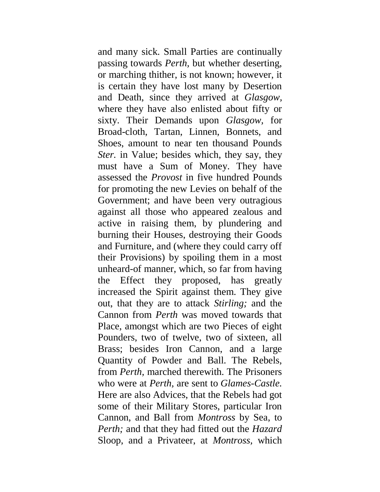and many sick. Small Parties are continually passing towards *Perth,* but whether deserting, or marching thither, is not known; however, it is certain they have lost many by Desertion and Death, since they arrived at *Glasgow,*  where they have also enlisted about fifty or sixty. Their Demands upon *Glasgow,* for Broad-cloth, Tartan, Linnen, Bonnets, and Shoes, amount to near ten thousand Pounds *Ster.* in Value; besides which, they say, they must have a Sum of Money. They have assessed the *Provost* in five hundred Pounds for promoting the new Levies on behalf of the Government; and have been very outragious against all those who appeared zealous and active in raising them, by plundering and burning their Houses, destroying their Goods and Furniture, and (where they could carry off their Provisions) by spoiling them in a most unheard-of manner, which, so far from having the Effect they proposed, has greatly increased the Spirit against them. They give out, that they are to attack *Stirling;* and the Cannon from *Perth* was moved towards that Place, amongst which are two Pieces of eight Pounders, two of twelve, two of sixteen, all Brass; besides Iron Cannon, and a large Quantity of Powder and Ball. The Rebels, from *Perth,* marched therewith. The Prisoners who were at *Perth,* are sent to *Glames-Castle.*  Here are also Advices, that the Rebels had got some of their Military Stores, particular Iron Cannon, and Ball from *Montross* by Sea, to *Perth;* and that they had fitted out the *Hazard*  Sloop, and a Privateer, at *Montross,* which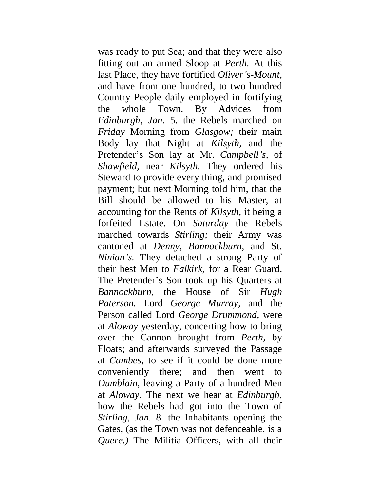was ready to put Sea; and that they were also fitting out an armed Sloop at *Perth.* At this last Place, they have fortified *Oliver's-Mount,*  and have from one hundred, to two hundred Country People daily employed in fortifying the whole Town. By Advices from *Edinburgh, Jan.* 5. the Rebels marched on *Friday* Morning from *Glasgow;* their main Body lay that Night at *Kilsyth,* and the Pretender's Son lay at Mr. *Campbell's,* of *Shawfield,* near *Kilsyth.* They ordered his Steward to provide every thing, and promised payment; but next Morning told him, that the Bill should be allowed to his Master, at accounting for the Rents of *Kilsyth,* it being a forfeited Estate. On *Saturday* the Rebels marched towards *Stirling;* their Army was cantoned at *Denny, Bannockburn,* and St. *Ninian's.* They detached a strong Party of their best Men to *Falkirk,* for a Rear Guard. The Pretender's Son took up his Quarters at *Bannockburn,* the House of Sir *Hugh Paterson.* Lord *George Murray,* and the Person called Lord *George Drummond,* were at *Aloway* yesterday, concerting how to bring over the Cannon brought from *Perth,* by Floats; and afterwards surveyed the Passage at *Cambes,* to see if it could be done more conveniently there; and then went to *Dumblain,* leaving a Party of a hundred Men at *Aloway.* The next we hear at *Edinburgh,*  how the Rebels had got into the Town of *Stirling, Jan.* 8. the Inhabitants opening the Gates, (as the Town was not defenceable, is a *Quere.)* The Militia Officers, with all their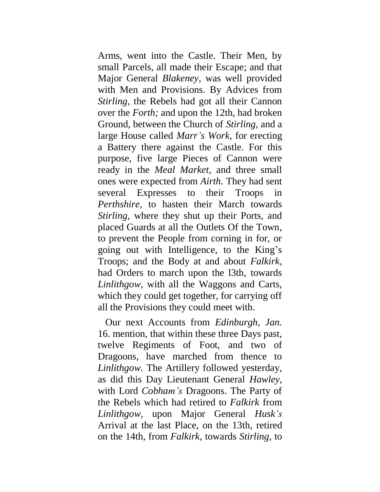Arms, went into the Castle. Their Men, by small Parcels, all made their Escape; and that Major General *Blakeney,* was well provided with Men and Provisions. By Advices from *Stirling,* the Rebels had got all their Cannon over the *Forth;* and upon the 12th, had broken Ground, between the Church of *Stirling,* and a large House called *Marr's Work,* for erecting a Battery there against the Castle. For this purpose, five large Pieces of Cannon were ready in the *Meal Market,* and three small ones were expected from *Airth.* They had sent several Expresses to their Troops in *Perthshire,* to hasten their March towards *Stirling,* where they shut up their Ports, and placed Guards at all the Outlets Of the Town, to prevent the People from corning in for, or going out with Intelligence, to the King's Troops; and the Body at and about *Falkirk,*  had Orders to march upon the l3th, towards *Linlithgow,* with all the Waggons and Carts, which they could get together, for carrying off all the Provisions they could meet with.

Our next Accounts from *Edinburgh, Jan.* 16. mention, that within these three Days past, twelve Regiments of Foot, and two of Dragoons, have marched from thence to *Linlithgow.* The Artillery followed yesterday, as did this Day Lieutenant General *Hawley,*  with Lord *Cobham's* Dragoons. The Party of the Rebels which had retired to *Falkirk* from *Linlithgow,* upon Major General *Husk's* Arrival at the last Place, on the 13th, retired on the 14th, from *Falkirk,* towards *Stirling,* to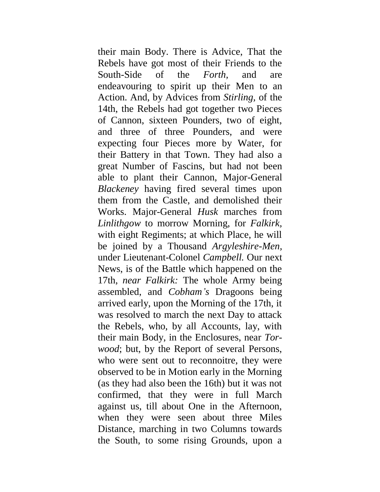their main Body. There is Advice, That the Rebels have got most of their Friends to the South-Side of the *Forth,* and are endeavouring to spirit up their Men to an Action. And, by Advices from *Stirling,* of the 14th, the Rebels had got together two Pieces of Cannon, sixteen Pounders, two of eight, and three of three Pounders, and were expecting four Pieces more by Water, for their Battery in that Town. They had also a great Number of Fascins, but had not been able to plant their Cannon, Major-General *Blackeney* having fired several times upon them from the Castle, and demolished their Works. Major-General *Husk* marches from *Linlithgow* to morrow Morning, for *Falkirk,*  with eight Regiments; at which Place, he will be joined by a Thousand *Argyleshire-Men,*  under Lieutenant-Colonel *Campbell.* Our next News, is of the Battle which happened on the 17th, *near Falkirk:* The whole Army being assembled, and *Cobham's* Dragoons being arrived early, upon the Morning of the 17th, it was resolved to march the next Day to attack the Rebels, who, by all Accounts, lay, with their main Body, in the Enclosures, near *Torwood*; but, by the Report of several Persons, who were sent out to reconnoitre, they were observed to be in Motion early in the Morning (as they had also been the 16th) but it was not confirmed, that they were in full March against us, till about One in the Afternoon, when they were seen about three Miles Distance, marching in two Columns towards the South, to some rising Grounds, upon a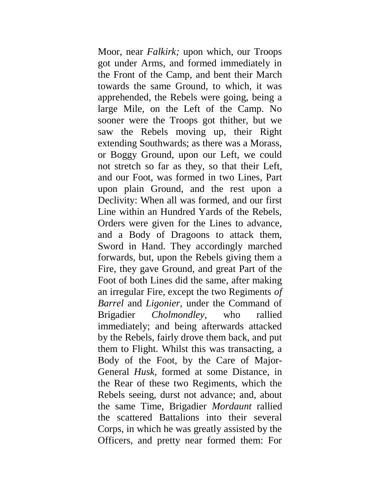Moor, near *Falkirk;* upon which, our Troops got under Arms, and formed immediately in the Front of the Camp, and bent their March towards the same Ground, to which, it was apprehended, the Rebels were going, being a large Mile, on the Left of the Camp. No sooner were the Troops got thither, but we saw the Rebels moving up, their Right extending Southwards; as there was a Morass, or Boggy Ground, upon our Left, we could not stretch so far as they, so that their Left, and our Foot, was formed in two Lines, Part upon plain Ground, and the rest upon a Declivity: When all was formed, and our first Line within an Hundred Yards of the Rebels, Orders were given for the Lines to advance, and a Body of Dragoons to attack them, Sword in Hand. They accordingly marched forwards, but, upon the Rebels giving them a Fire, they gave Ground, and great Part of the Foot of both Lines did the same, after making an irregular Fire, except the two Regiments *of Barrel* and *Ligonier,* under the Command of Brigadier *Cholmondley,* who rallied immediately; and being afterwards attacked by the Rebels, fairly drove them back, and put them to Flight. Whilst this was transacting, a Body of the Foot, by the Care of Major-General *Husk,* formed at some Distance, in the Rear of these two Regiments, which the Rebels seeing, durst not advance; and, about the same Time, Brigadier *Mordaunt* rallied the scattered Battalions into their several Corps, in which he was greatly assisted by the Officers, and pretty near formed them: For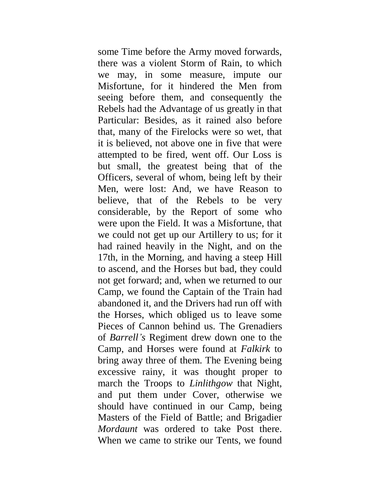some Time before the Army moved forwards, there was a violent Storm of Rain, to which we may, in some measure, impute our Misfortune, for it hindered the Men from seeing before them, and consequently the Rebels had the Advantage of us greatly in that Particular: Besides, as it rained also before that, many of the Firelocks were so wet, that it is believed, not above one in five that were attempted to be fired, went off. Our Loss is but small, the greatest being that of the Officers, several of whom, being left by their Men, were lost: And, we have Reason to believe, that of the Rebels to be very considerable, by the Report of some who were upon the Field. It was a Misfortune, that we could not get up our Artillery to us; for it had rained heavily in the Night, and on the 17th, in the Morning, and having a steep Hill to ascend, and the Horses but bad, they could not get forward; and, when we returned to our Camp, we found the Captain of the Train had abandoned it, and the Drivers had run off with the Horses, which obliged us to leave some Pieces of Cannon behind us. The Grenadiers of *Barrell's* Regiment drew down one to the Camp, and Horses were found at *Falkirk* to bring away three of them. The Evening being excessive rainy, it was thought proper to march the Troops to *Linlithgow* that Night, and put them under Cover, otherwise we should have continued in our Camp, being Masters of the Field of Battle; and Brigadier *Mordaunt* was ordered to take Post there. When we came to strike our Tents, we found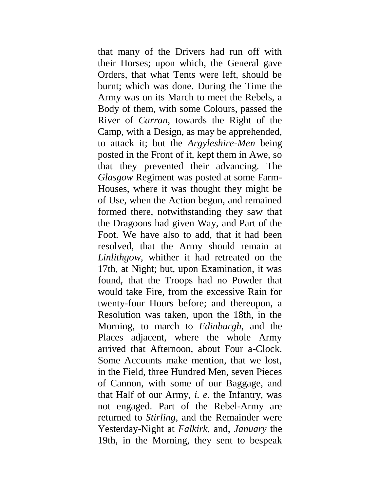that many of the Drivers had run off with their Horses; upon which, the General gave Orders, that what Tents were left, should be burnt; which was done. During the Time the Army was on its March to meet the Rebels, a Body of them, with some Colours, passed the River of *Carran,* towards the Right of the Camp, with a Design, as may be apprehended, to attack it; but the *Argyleshire-Men* being posted in the Front of it, kept them in Awe, so that they prevented their advancing. The *Glasgow* Regiment was posted at some Farm-Houses, where it was thought they might be of Use, when the Action begun, and remained formed there, notwithstanding they saw that the Dragoons had given Way, and Part of the Foot. We have also to add, that it had been resolved, that the Army should remain at *Linlithgow,* whither it had retreated on the 17th, at Night; but, upon Examination, it was found<sub>r</sub> that the Troops had no Powder that would take Fire, from the excessive Rain for twenty-four Hours before; and thereupon, a Resolution was taken, upon the 18th, in the Morning, to march to *Edinburgh,* and the Places adjacent, where the whole Army arrived that Afternoon, about Four a-Clock. Some Accounts make mention, that we lost, in the Field, three Hundred Men, seven Pieces of Cannon, with some of our Baggage, and that Half of our Army, *i. e.* the Infantry, was not engaged. Part of the Rebel-Army are returned to *Stirling,* and the Remainder were Yesterday-Night at *Falkirk,* and, *January* the 19th, in the Morning, they sent to bespeak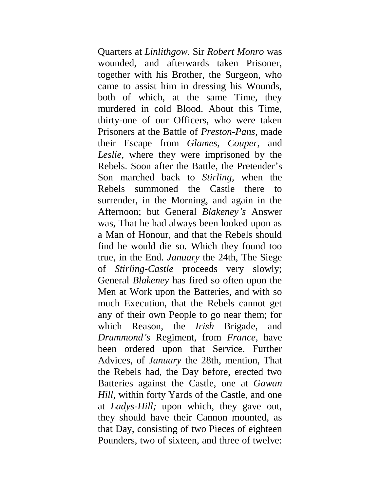Quarters at *Linlithgow.* Sir *Robert Monro* was wounded, and afterwards taken Prisoner, together with his Brother, the Surgeon, who came to assist him in dressing his Wounds, both of which, at the same Time, they murdered in cold Blood. About this Time, thirty-one of our Officers, who were taken Prisoners at the Battle of *Preston-Pans,* made their Escape from *Glames, Couper,* and *Leslie,* where they were imprisoned by the Rebels. Soon after the Battle, the Pretender's Son marched back to *Stirling,* when the Rebels summoned the Castle there to surrender, in the Morning, and again in the Afternoon; but General *Blakeney's* Answer was, That he had always been looked upon as a Man of Honour, and that the Rebels should find he would die so. Which they found too true, in the End. *January* the 24th, The Siege of *Stirling-Castle* proceeds very slowly; General *Blakeney* has fired so often upon the Men at Work upon the Batteries, and with so much Execution, that the Rebels cannot get any of their own People to go near them; for which Reason, the *Irish* Brigade, and *Drummond's* Regiment, from *France,* have been ordered upon that Service. Further Advices, of *January* the 28th, mention, That the Rebels had, the Day before, erected two Batteries against the Castle, one at *Gawan Hill,* within forty Yards of the Castle, and one at *Ladys-Hill;* upon which, they gave out, they should have their Cannon mounted, as that Day, consisting of two Pieces of eighteen Pounders, two of sixteen, and three of twelve: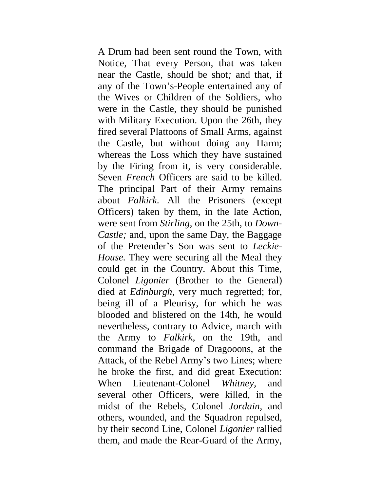A Drum had been sent round the Town, with Notice, That every Person, that was taken near the Castle, should be shot*;* and that, if any of the Town's-People entertained any of the Wives or Children of the Soldiers, who were in the Castle, they should be punished with Military Execution. Upon the 26th, they fired several Plattoons of Small Arms, against the Castle, but without doing any Harm; whereas the Loss which they have sustained by the Firing from it, is very considerable. Seven *French* Officers are said to be killed. The principal Part of their Army remains about *Falkirk.* All the Prisoners (except Officers) taken by them, in the late Action, were sent from *Stirling,* on the 25th, to *Down-Castle;* and, upon the same Day, the Baggage of the Pretender's Son was sent to *Leckie-House.* They were securing all the Meal they could get in the Country. About this Time, Colonel *Ligonier* (Brother to the General) died at *Edinburgh,* very much regretted; for, being ill of a Pleurisy, for which he was blooded and blistered on the 14th, he would nevertheless, contrary to Advice, march with the Army to *Falkirk,* on the 19th, and command the Brigade of Dragooons, at the Attack, of the Rebel Army's two Lines; where he broke the first, and did great Execution: When Lieutenant-Colonel *Whitney,* and several other Officers, were killed, in the midst of the Rebels, Colonel *Jordain,* and others, wounded, and the Squadron repulsed, by their second Line, Colonel *Ligonier* rallied them, and made the Rear-Guard of the Army,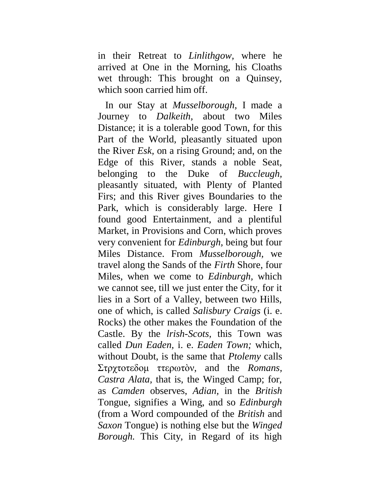in their Retreat to *Linlithgow,* where he arrived at One in the Morning, his Cloaths wet through: This brought on a Quinsey, which soon carried him off.

In our Stay at *Musselborough,* I made a Journey to *Dalkeith,* about two Miles Distance; it is a tolerable good Town, for this Part of the World, pleasantly situated upon the River *Esk,* on a rising Ground; and, on the Edge of this River, stands a noble Seat, belonging to the Duke of *Buccleugh,*  pleasantly situated, with Plenty of Planted Firs; and this River gives Boundaries to the Park, which is considerably large. Here I found good Entertainment, and a plentiful Market, in Provisions and Corn, which proves very convenient for *Edinburgh,* being but four Miles Distance. From *Musselborough,* we travel along the Sands of the *Firth* Shore, four Miles, when we come to *Edinburgh,* which we cannot see, till we just enter the City, for it lies in a Sort of a Valley, between two Hills, one of which, is called *Salisbury Craigs* (i. e. Rocks) the other makes the Foundation of the Castle. By the *lrish-Scots,* this Town was called *Dun Eaden,* i. e. *Eaden Town;* which, without Doubt, is the same that *Ptolemy* calls Στρχτοτεδομ ττερωτόν, and the *Romans*, *Castra Alata,* that is, the Winged Camp; for, as *Camden* observes, *Adian,* in the *British* Tongue, signifies a Wing, and so *Edinburgh*  (from a Word compounded of the *British* and *Saxon* Tongue) is nothing else but the *Winged Borough.* This City, in Regard of its high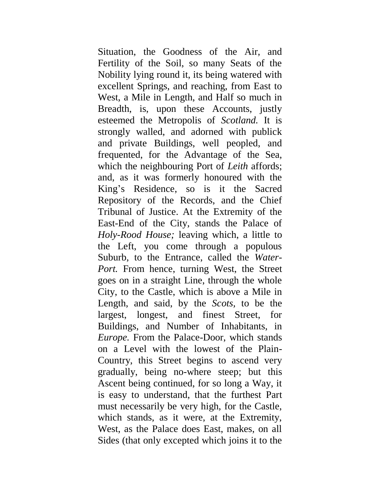Situation, the Goodness of the Air, and Fertility of the Soil, so many Seats of the Nobility lying round it, its being watered with excellent Springs, and reaching, from East to West, a Mile in Length, and Half so much in Breadth, is, upon these Accounts, justly esteemed the Metropolis of *Scotland.* It is strongly walled, and adorned with publick and private Buildings, well peopled, and frequented, for the Advantage of the Sea, which the neighbouring Port of *Leith* affords; and, as it was formerly honoured with the King's Residence, so is it the Sacred Repository of the Records, and the Chief Tribunal of Justice. At the Extremity of the East-End of the City, stands the Palace of *Holy-Rood House;* leaving which, a little to the Left, you come through a populous Suburb, to the Entrance, called the *Water-Port.* From hence, turning West, the Street goes on in a straight Line, through the whole City, to the Castle, which is above a Mile in Length, and said, by the *Scots,* to be the largest, longest, and finest Street, for Buildings, and Number of Inhabitants, in *Europe.* From the Palace-Door, which stands on a Level with the lowest of the Plain-Country, this Street begins to ascend very gradually, being no-where steep; but this Ascent being continued, for so long a Way, it is easy to understand, that the furthest Part must necessarily be very high, for the Castle, which stands, as it were, at the Extremity, West, as the Palace does East, makes, on all Sides (that only excepted which joins it to the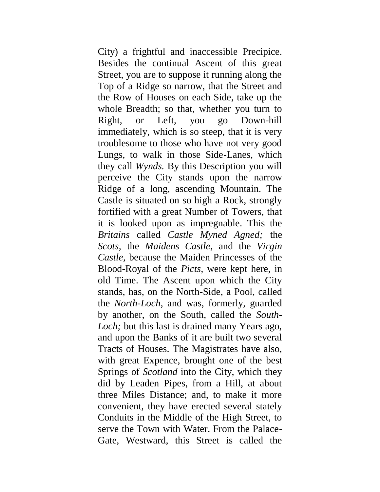City) a frightful and inaccessible Precipice. Besides the continual Ascent of this great Street, you are to suppose it running along the Top of a Ridge so narrow, that the Street and the Row of Houses on each Side, take up the whole Breadth; so that, whether you turn to Right, or Left, you go Down-hill immediately, which is so steep, that it is very troublesome to those who have not very good Lungs, to walk in those Side-Lanes, which they call *Wynds.* By this Description you will perceive the City stands upon the narrow Ridge of a long, ascending Mountain. The Castle is situated on so high a Rock, strongly fortified with a great Number of Towers, that it is looked upon as impregnable. This the *Britains* called *Castle Myned Agned;* the *Scots,* the *Maidens Castle,* and the *Virgin Castle,* because the Maiden Princesses of the Blood-Royal of the *Picts,* were kept here, in old Time. The Ascent upon which the City stands, has, on the North-Side, a Pool, called the *North-Loch,* and was, formerly, guarded by another, on the South, called the *South-Loch;* but this last is drained many Years ago, and upon the Banks of it are built two several Tracts of Houses. The Magistrates have also, with great Expence, brought one of the best Springs of *Scotland* into the City, which they did by Leaden Pipes, from a Hill, at about three Miles Distance; and, to make it more convenient, they have erected several stately Conduits in the Middle of the High Street, to serve the Town with Water. From the Palace-Gate, Westward, this Street is called the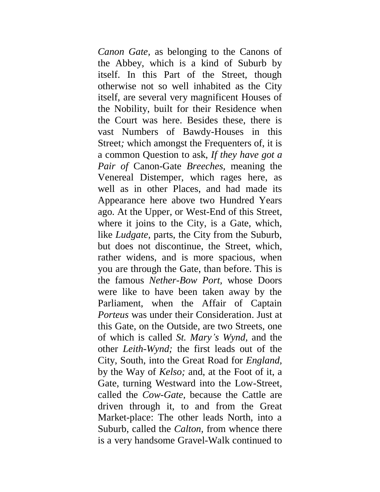*Canon Gate,* as belonging to the Canons of the Abbey, which is a kind of Suburb by itself. In this Part of the Street, though otherwise not so well inhabited as the City itself, are several very magnificent Houses of the Nobility, built for their Residence when the Court was here. Besides these, there is vast Numbers of Bawdy-Houses in this Street*;* which amongst the Frequenters of, it is a common Question to ask, *If they have got a Pair of* Canon-Gate *Breeches,* meaning the Venereal Distemper, which rages here, as well as in other Places, and had made its Appearance here above two Hundred Years ago. At the Upper, or West-End of this Street, where it joins to the City, is a Gate, which, like *Ludgate,* parts, the City from the Suburb, but does not discontinue, the Street, which, rather widens, and is more spacious, when you are through the Gate, than before. This is the famous *Nether-Bow Port,* whose Doors were like to have been taken away by the Parliament, when the Affair of Captain *Porteus* was under their Consideration. Just at this Gate, on the Outside, are two Streets, one of which is called *St. Mary's Wynd,* and the other *Leith-Wynd;* the first leads out of the City, South, into the Great Road for *England,*  by the Way of *Kelso;* and, at the Foot of it, a Gate, turning Westward into the Low-Street, called the *Cow-Gate,* because the Cattle are driven through it, to and from the Great Market-place: The other leads North, into a Suburb, called the *Calton,* from whence there is a very handsome Gravel-Walk continued to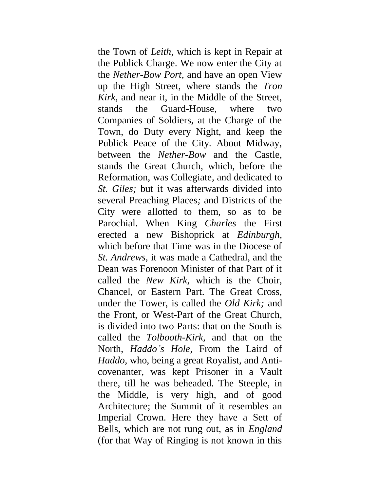the Town of *Leith,* which is kept in Repair at the Publick Charge. We now enter the City at the *Nether-Bow Port,* and have an open View up the High Street, where stands the *Tron Kirk,* and near it, in the Middle of the Street, stands the Guard-House, where two Companies of Soldiers, at the Charge of the Town, do Duty every Night, and keep the Publick Peace of the City. About Midway, between the *Nether-Bow* and the Castle, stands the Great Church, which, before the Reformation, was Collegiate, and dedicated to *St. Giles;* but it was afterwards divided into several Preaching Places*;* and Districts of the City were allotted to them, so as to be Parochial. When King *Charles* the First erected a new Bishoprick at *Edinburgh,*  which before that Time was in the Diocese of *St. Andrews,* it was made a Cathedral, and the Dean was Forenoon Minister of that Part of it called the *New Kirk,* which is the Choir, Chancel, or Eastern Part. The Great Cross, under the Tower, is called the *Old Kirk;* and the Front, or West-Part of the Great Church, is divided into two Parts: that on the South is called the *Tolbooth-Kirk,* and that on the North, *Haddo's Hole,* From the Laird of *Haddo,* who, being a great Royalist, and Anticovenanter, was kept Prisoner in a Vault there, till he was beheaded. The Steeple, in the Middle, is very high, and of good Architecture; the Summit of it resembles an Imperial Crown. Here they have a Sett of Bells, which are not rung out, as in *England*  (for that Way of Ringing is not known in this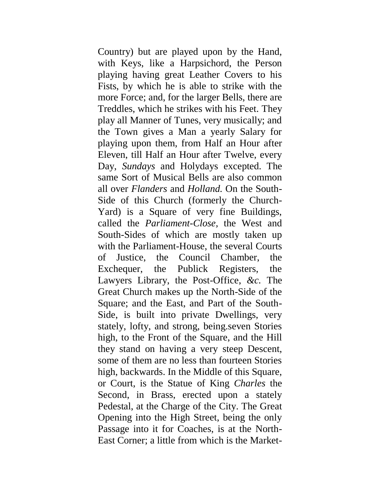Country) but are played upon by the Hand, with Keys, like a Harpsichord, the Person playing having great Leather Covers to his Fists, by which he is able to strike with the more Force; and, for the larger Bells, there are Treddles, which he strikes with his Feet. They play all Manner of Tunes, very musically; and the Town gives a Man a yearly Salary for playing upon them, from Half an Hour after Eleven, till Half an Hour after Twelve, every Day, *Sundays* and Holydays excepted. The same Sort of Musical Bells are also common all over *Flanders* and *Holland.* On the South-Side of this Church (formerly the Church-Yard) is a Square of very fine Buildings, called the *Parliament-Close,* the West and South-Sides of which are mostly taken up with the Parliament-House, the several Courts of Justice, the Council Chamber, the Exchequer, the Publick Registers, the Lawyers Library, the Post-Office, *&c.* The Great Church makes up the North-Side of the Square; and the East, and Part of the South-Side, is built into private Dwellings, very stately, lofty, and strong, being.seven Stories high, to the Front of the Square, and the Hill they stand on having a very steep Descent, some of them are no less than fourteen Stories high, backwards. In the Middle of this Square, or Court, is the Statue of King *Charles* the Second, in Brass, erected upon a stately Pedestal, at the Charge of the City. The Great Opening into the High Street, being the only Passage into it for Coaches, is at the North-East Corner; a little from which is the Market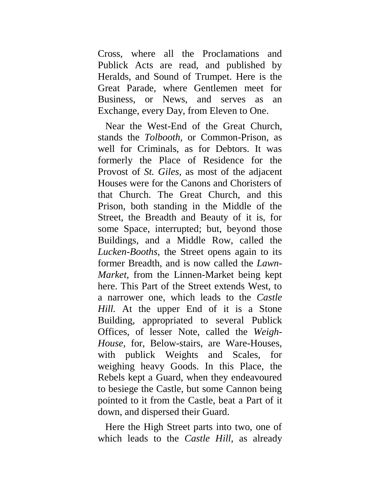Cross, where all the Proclamations and Publick Acts are read, and published by Heralds, and Sound of Trumpet. Here is the Great Parade, where Gentlemen meet for Business, or News, and serves as an Exchange, every Day, from Eleven to One.

Near the West-End of the Great Church, stands the *Tolbooth,* or Common-Prison, as well for Criminals, as for Debtors. It was formerly the Place of Residence for the Provost of *St. Giles,* as most of the adjacent Houses were for the Canons and Choristers of that Church. The Great Church, and this Prison, both standing in the Middle of the Street, the Breadth and Beauty of it is, for some Space, interrupted; but, beyond those Buildings, and a Middle Row, called the *Lucken-Booths,* the Street opens again to its former Breadth, and is now called the *Lawn-Market,* from the Linnen-Market being kept here. This Part of the Street extends West, to a narrower one, which leads to the *Castle Hill.* At the upper End of it is a Stone Building, appropriated to several Publick Offices, of lesser Note, called the *Weigh-House,* for, Below-stairs, are Ware-Houses, with publick Weights and Scales, for weighing heavy Goods. In this Place, the Rebels kept a Guard, when they endeavoured to besiege the Castle, but some Cannon being pointed to it from the Castle, beat a Part of it down, and dispersed their Guard.

Here the High Street parts into two, one of which leads to the *Castle Hill,* as already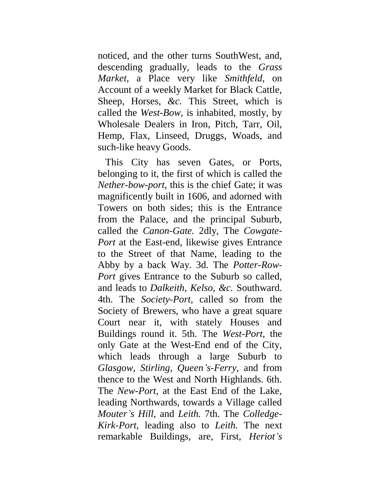noticed, and the other turns SouthWest, and, descending gradually, leads to the *Grass Market,* a Place very like *Smithfeld,* on Account of a weekly Market for Black Cattle, Sheep, Horses, *&c.* This Street, which is called the *West-Bow,* is inhabited, mostly, by Wholesale Dealers in Iron, Pitch, Tarr, Oil, Hemp, Flax, Linseed, Druggs, Woads, and such-like heavy Goods.

This City has seven Gates, or Ports, belonging to it, the first of which is called the *Nether-bow-port,* this is the chief Gate; it was magnificently built in 1606, and adorned with Towers on both sides; this is the Entrance from the Palace, and the principal Suburb, called the *Canon-Gate.* 2dly, The *Cowgate-Port* at the East-end, likewise gives Entrance to the Street of that Name, leading to the Abby by a back Way. 3d. The *Potter-Row-Port* gives Entrance to the Suburb so called, and leads to *Dalkeith, Kelso, &c.* Southward. 4th. The *Society-Port,* called so from the Society of Brewers, who have a great square Court near it, with stately Houses and Buildings round it. 5th. The *West-Port,* the only Gate at the West-End end of the City, which leads through a large Suburb to *Glasgow, Stirling, Queen's-Ferry,* and from thence to the West and North Highlands. 6th. The *New-Port,* at the East End of the Lake, leading Northwards, towards a Village called *Mouter's Hill,* and *Leith.* 7th. The *Colledge-Kirk-Port,* leading also to *Leith.* The next remarkable Buildings, are, First, *Heriot's*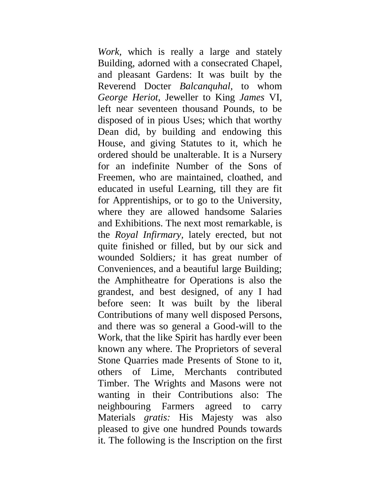*Work,* which is really a large and stately Building, adorned with a consecrated Chapel, and pleasant Gardens: It was built by the Reverend Docter *Balcanquhal,* to whom *George Heriot,* Jeweller to King *James* VI, left near seventeen thousand Pounds, to be disposed of in pious Uses; which that worthy Dean did, by building and endowing this House, and giving Statutes to it, which he ordered should be unalterable. It is a Nursery for an indefinite Number of the Sons of Freemen, who are maintained, cloathed, and educated in useful Learning, till they are fit for Apprentiships, or to go to the University, where they are allowed handsome Salaries and Exhibitions. The next most remarkable, is the *Royal Infirmary,* lately erected, but not quite finished or filled, but by our sick and wounded Soldiers*;* it has great number of Conveniences, and a beautiful large Building; the Amphitheatre for Operations is also the grandest, and best designed, of any I had before seen: It was built by the liberal Contributions of many well disposed Persons, and there was so general a Good-will to the Work, that the like Spirit has hardly ever been known any where. The Proprietors of several Stone Quarries made Presents of Stone to it, others of Lime, Merchants contributed Timber. The Wrights and Masons were not wanting in their Contributions also: The neighbouring Farmers agreed to carry Materials *gratis:* His Majesty was also pleased to give one hundred Pounds towards it. The following is the Inscription on the first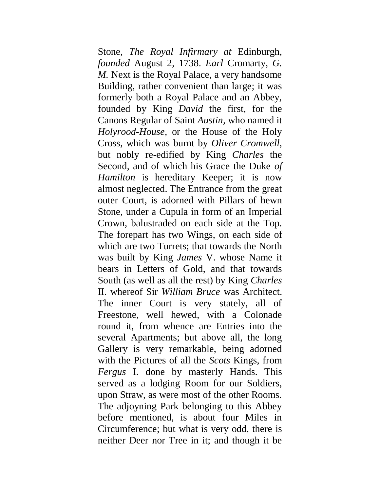Stone, *The Royal Infirmary at* Edinburgh, *founded* August 2, 1738. *Earl* Cromarty, *G. M.* Next is the Royal Palace, a very handsome Building, rather convenient than large; it was formerly both a Royal Palace and an Abbey, founded by King *David* the first, for the Canons Regular of Saint *Austin,* who named it *Holyrood-House,* or the House of the Holy Cross, which was burnt by *Oliver Cromwell,*  but nobly re-edified by King *Charles* the Second, and of which his Grace the Duke *of Hamilton* is hereditary Keeper; it is now almost neglected. The Entrance from the great outer Court, is adorned with Pillars of hewn Stone, under a Cupula in form of an Imperial Crown, balustraded on each side at the Top. The forepart has two Wings, on each side of which are two Turrets; that towards the North was built by King *James* V. whose Name it bears in Letters of Gold, and that towards South (as well as all the rest) by King *Charles*  II. whereof Sir *William Bruce* was Architect. The inner Court is very stately, all of Freestone, well hewed, with a Colonade round it, from whence are Entries into the several Apartments; but above all, the long Gallery is very remarkable, being adorned with the Pictures of all the *Scots* Kings, from *Fergus* I. done by masterly Hands. This served as a lodging Room for our Soldiers, upon Straw, as were most of the other Rooms. The adjoyning Park belonging to this Abbey before mentioned, is about four Miles in Circumference; but what is very odd, there is neither Deer nor Tree in it; and though it be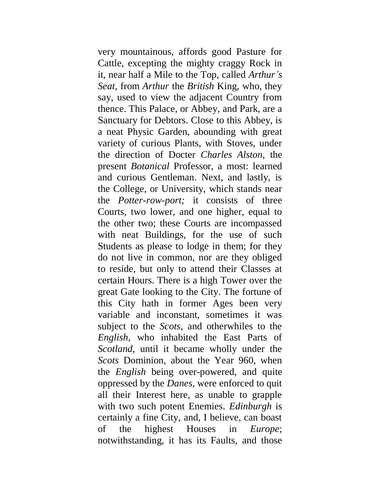very mountainous, affords good Pasture for Cattle, excepting the mighty craggy Rock in it, near half a Mile to the Top, called *Arthur's Seat,* from *Arthur* the *British* King, who, they say, used to view the adjacent Country from thence. This Palace, or Abbey, and Park, are a Sanctuary for Debtors. Close to this Abbey, is a neat Physic Garden, abounding with great variety of curious Plants, with Stoves, under the direction of Docter *Charles Alston,* the present *Botanical* Professor, a most: learned and curious Gentleman. Next, and lastly, is the College, or University, which stands near the *Potter-row-port;* it consists of three Courts, two lower, and one higher, equal to the other two; these Courts are incompassed with neat Buildings, for the use of such Students as please to lodge in them; for they do not live in common, nor are they obliged to reside, but only to attend their Classes at certain Hours. There is a high Tower over the great Gate looking to the City. The fortune of this City hath in former Ages been very variable and inconstant, sometimes it was subject to the *Scots,* and otherwhiles to the *English,* who inhabited the East Parts of *Scotland,* until it became wholly under the *Scots* Dominion, about the Year 960, when the *English* being over-powered, and quite oppressed by the *Danes,* were enforced to quit all their Interest here, as unable to grapple with two such potent Enemies. *Edinburgh* is certainly a fine City, and, I believe, can boast of the highest Houses in *Europe*; notwithstanding, it has its Faults, and those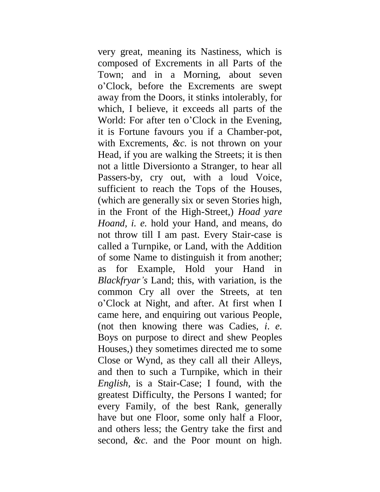very great, meaning its Nastiness, which is composed of Excrements in all Parts of the Town; and in a Morning, about seven o'Clock, before the Excrements are swept away from the Doors, it stinks intolerably, for which, I believe, it exceeds all parts of the World: For after ten o'Clock in the Evening, it is Fortune favours you if a Chamber-pot, with Excrements, *&c.* is not thrown on your Head, if you are walking the Streets; it is then not a little Diversionto a Stranger, to hear all Passers-by, cry out, with a loud Voice, sufficient to reach the Tops of the Houses, (which are generally six or seven Stories high, in the Front of the High-Street,) *Hoad yare Hoand, i. e.* hold your Hand, and means, do not throw till I am past. Every Stair-case is called a Turnpike, or Land, with the Addition of some Name to distinguish it from another; as for Example, Hold your Hand in *Blackfryar's* Land; this, with variation, is the common Cry all over the Streets, at ten o'Clock at Night, and after. At first when I came here, and enquiring out various People, (not then knowing there was Cadies, *i*. *e.*  Boys on purpose to direct and shew Peoples Houses,) they sometimes directed me to some Close or Wynd, as they call all their Alleys, and then to such a Turnpike, which in their *English,* is a Stair-Case; I found, with the greatest Difficulty, the Persons I wanted; for every Family, of the best Rank, generally have but one Floor, some only half a Floor, and others less; the Gentry take the first and second, *&c.* and the Poor mount on high.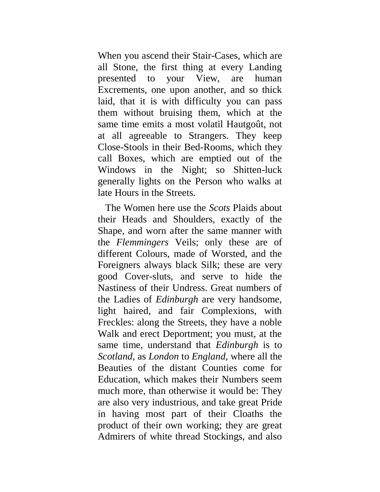When you ascend their Stair-Cases, which are all Stone, the first thing at every Landing presented to your View, are human Excrements, one upon another, and so thick laid, that it is with difficulty you can pass them without bruising them, which at the same time emits a most volatil Hautgoût, not at all agreeable to Strangers. They keep Close-Stools in their Bed-Rooms, which they call Boxes, which are emptied out of the Windows in the Night; so Shitten-luck generally lights on the Person who walks at late Hours in the Streets.

The Women here use the *Scots* Plaids about their Heads and Shoulders, exactly of the Shape, and worn after the same manner with the *Flemmingers* Veils; only these are of different Colours, made of Worsted, and the Foreigners always black Silk; these are very good Cover-sluts, and serve to hide the Nastiness of their Undress. Great numbers of the Ladies of *Edinburgh* are very handsome, light haired, and fair Complexions, with Freckles: along the Streets, they have a noble Walk and erect Deportment; you must, at the same time, understand that *Edinburgh* is to *Scotland,* as *London* to *England,* where all the Beauties of the distant Counties come for Education, which makes their Numbers seem much more, than otherwise it would be: They are also very industrious, and take great Pride in having most part of their Cloaths the product of their own working; they are great Admirers of white thread Stockings, and also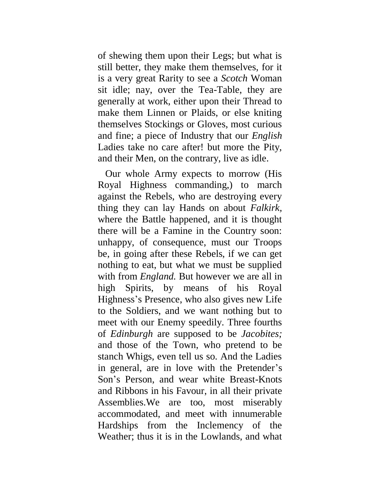of shewing them upon their Legs; but what is still better, they make them themselves, for it is a very great Rarity to see a *Scotch* Woman sit idle; nay, over the Tea-Table, they are generally at work, either upon their Thread to make them Linnen or Plaids, or else kniting themselves Stockings or Gloves, most curious and fine; a piece of Industry that our *English*  Ladies take no care after! but more the Pity, and their Men, on the contrary, live as idle.

Our whole Army expects to morrow (His Royal Highness commanding,) to march against the Rebels, who are destroying every thing they can lay Hands on about *Falkirk,*  where the Battle happened, and it is thought there will be a Famine in the Country soon: unhappy, of consequence, must our Troops be, in going after these Rebels, if we can get nothing to eat, but what we must be supplied with from *England*. But however we are all in high Spirits, by means of his Royal Highness's Presence, who also gives new Life to the Soldiers, and we want nothing but to meet with our Enemy speedily. Three fourths of *Edinburgh* are supposed to be *Jacobites;*  and those of the Town, who pretend to be stanch Whigs, even tell us so. And the Ladies in general, are in love with the Pretender's Son's Person, and wear white Breast-Knots and Ribbons in his Favour, in all their private Assemblies.We are too, most miserably accommodated, and meet with innumerable Hardships from the Inclemency of the Weather; thus it is in the Lowlands, and what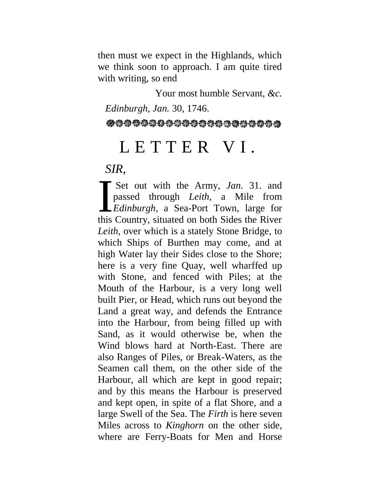then must we expect in the Highlands, which we think soon to approach. I am quite tired with writing, so end

Your most humble Servant, *&c.*

*Edinburgh, Jan.* 30, 1746.

@@@@@@@@@@@@@@@@@@@@@@

## L E T T E R V I.

*SIR,*

Set out with the Army, *Jan.* 31. and passed through *Leith,* a Mile from *Edinburgh,* a Sea-Port Town, large for this Country, situated on both Sides the River *Leith,* over which is a stately Stone Bridge, to which Ships of Burthen may come, and at high Water lay their Sides close to the Shore; here is a very fine Quay, well wharffed up with Stone, and fenced with Piles; at the Mouth of the Harbour, is a very long well built Pier, or Head, which runs out beyond the Land a great way, and defends the Entrance into the Harbour, from being filled up with Sand, as it would otherwise be, when the Wind blows hard at North-East. There are also Ranges of Piles, or Break-Waters, as the Seamen call them, on the other side of the Harbour, all which are kept in good repair; and by this means the Harbour is preserved and kept open, in spite of a flat Shore, and a large Swell of the Sea. The *Firth* is here seven Miles across to *Kinghorn* on the other side, where are Ferry-Boats for Men and Horse I<br>this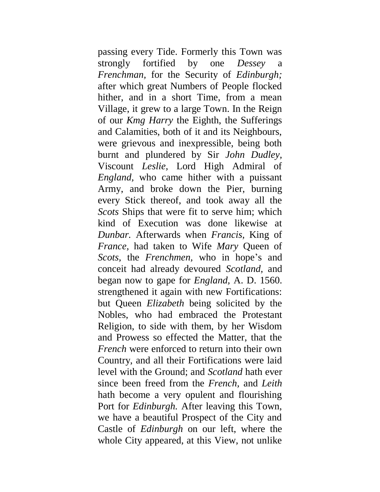passing every Tide. Formerly this Town was strongly fortified by one *Dessey* a *Frenchman,* for the Security of *Edinburgh;*  after which great Numbers of People flocked hither, and in a short Time, from a mean Village, it grew to a large Town. In the Reign of our *Kmg Harry* the Eighth, the Sufferings and Calamities, both of it and its Neighbours, were grievous and inexpressible, being both burnt and plundered by Sir *John Dudley,*  Viscount *Leslie,* Lord High Admiral of *England,* who came hither with a puissant Army, and broke down the Pier, burning every Stick thereof, and took away all the *Scots* Ships that were fit to serve him; which kind of Execution was done likewise at *Dunbar.* Afterwards when *Francis,* King of *France,* had taken to Wife *Mary* Queen of *Scots,* the *Frenchmen,* who in hope's and conceit had already devoured *Scotland,* and began now to gape for *England,* A. D. 1560. strengthened it again with new Fortifications: but Queen *Elizabeth* being solicited by the Nobles, who had embraced the Protestant Religion, to side with them, by her Wisdom and Prowess so effected the Matter, that the *French* were enforced to return into their own Country, and all their Fortifications were laid level with the Ground; and *Scotland* hath ever since been freed from the *French,* and *Leith*  hath become a very opulent and flourishing Port for *Edinburgh.* After leaving this Town, we have a beautiful Prospect of the City and Castle of *Edinburgh* on our left, where the whole City appeared, at this View, not unlike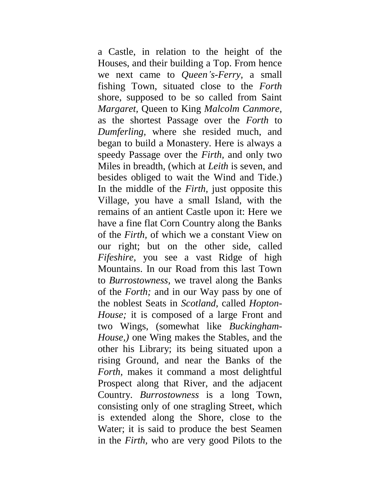a Castle, in relation to the height of the Houses, and their building a Top. From hence we next came to *Queen's-Ferry,* a small fishing Town, situated close to the *Forth*  shore, supposed to be so called from Saint *Margaret,* Queen to King *Malcolm Canmore,*  as the shortest Passage over the *Forth* to *Dumferling,* where she resided much, and began to build a Monastery. Here is always a speedy Passage over the *Firth,* and only two Miles in breadth, (which at *Leith* is seven, and besides obliged to wait the Wind and Tide.) In the middle of the *Firth,* just opposite this Village, you have a small Island, with the remains of an antient Castle upon it: Here we have a fine flat Corn Country along the Banks of the *Firth,* of which we a constant View on our right; but on the other side, called *Fifeshire,* you see a vast Ridge of high Mountains. In our Road from this last Town to *Burrostowness,* we travel along the Banks of the *Forth;* and in our Way pass by one of the noblest Seats in *Scotland,* called *Hopton-House;* it is composed of a large Front and two Wings, (somewhat like *Buckingham-House,)* one Wing makes the Stables, and the other his Library; its being situated upon a rising Ground, and near the Banks of the *Forth,* makes it command a most delightful Prospect along that River, and the adjacent Country. *Burrostowness* is a long Town, consisting only of one stragling Street, which is extended along the Shore, close to the Water; it is said to produce the best Seamen in the *Firth,* who are very good Pilots to the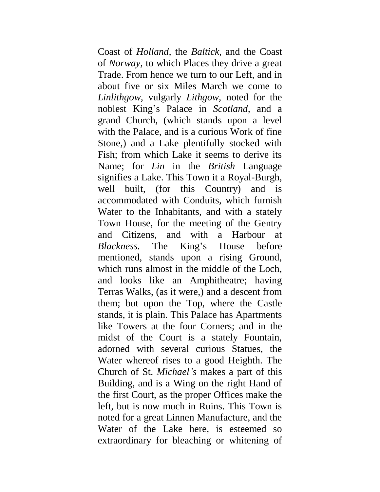Coast of *Holland,* the *Baltick,* and the Coast of *Norway,* to which Places they drive a great Trade. From hence we turn to our Left, and in about five or six Miles March we come to *Linlithgow,* vulgarly *Lithgow,* noted for the noblest King's Palace in *Scotland,* and a grand Church, (which stands upon a level with the Palace, and is a curious Work of fine Stone,) and a Lake plentifully stocked with Fish; from which Lake it seems to derive its Name; for *Lin* in the *British* Language signifies a Lake. This Town it a Royal-Burgh, well built, (for this Country) and is accommodated with Conduits, which furnish Water to the Inhabitants, and with a stately Town House, for the meeting of the Gentry and Citizens, and with a Harbour at *Blackness.* The King's House before mentioned, stands upon a rising Ground, which runs almost in the middle of the Loch, and looks like an Amphitheatre; having Terras Walks, (as it were,) and a descent from them; but upon the Top, where the Castle stands, it is plain. This Palace has Apartments like Towers at the four Corners; and in the midst of the Court is a stately Fountain, adorned with several curious Statues, the Water whereof rises to a good Heighth. The Church of St. *Michael's* makes a part of this Building, and is a Wing on the right Hand of the first Court, as the proper Offices make the left, but is now much in Ruins. This Town is noted for a great Linnen Manufacture, and the Water of the Lake here, is esteemed so extraordinary for bleaching or whitening of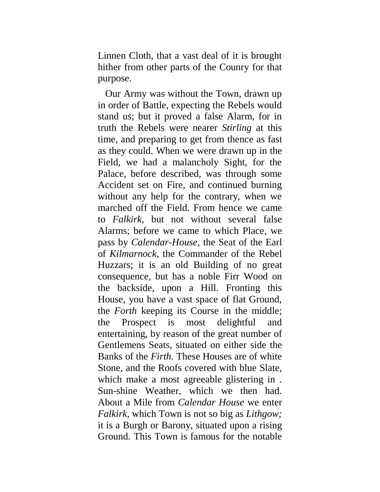Linnen Cloth, that a vast deal of it is brought hither from other parts of the Counry for that purpose.

Our Army was without the Town, drawn up in order of Battle, expecting the Rebels would stand us; but it proved a false Alarm, for in truth the Rebels were nearer *Stirling* at this time, and preparing to get from thence as fast as they could. When we were drawn up in the Field, we had a malancholy Sight, for the Palace, before described, was through some Accident set on Fire, and continued burning without any help for the contrary, when we marched off the Field. From hence we came to *Falkirk,* but not without several false Alarms; before we came to which Place, we pass by *Calendar-House,* the Seat of the Earl of *Kilmarnock,* the Commander of the Rebel Huzzars; it is an old Building of no great consequence, but has a noble Firr Wood on the backside, upon a Hill. Fronting this House, you have a vast space of flat Ground, the *Forth* keeping its Course in the middle; the Prospect is most delightful and entertaining, by reason of the great number of Gentlemens Seats, situated on either side the Banks of the *Firth.* These Houses are of white Stone, and the Roofs covered with blue Slate, which make a most agreeable glistering in. Sun-shine Weather, which we then had. About a Mile from *Calendar House* we enter *Falkirk,* which Town is not so big as *Lithgow;*  it is a Burgh or Barony, situated upon a rising Ground. This Town is famous for the notable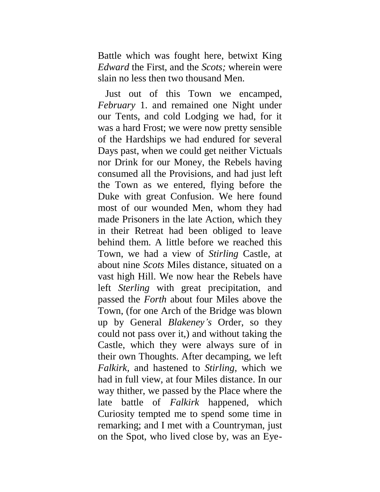Battle which was fought here, betwixt King *Edward* the First, and the *Scots;* wherein were slain no less then two thousand Men.

Just out of this Town we encamped, *February* 1. and remained one Night under our Tents, and cold Lodging we had, for it was a hard Frost; we were now pretty sensible of the Hardships we had endured for several Days past, when we could get neither Victuals nor Drink for our Money, the Rebels having consumed all the Provisions, and had just left the Town as we entered, flying before the Duke with great Confusion. We here found most of our wounded Men, whom they had made Prisoners in the late Action, which they in their Retreat had been obliged to leave behind them. A little before we reached this Town, we had a view of *Stirling* Castle, at about nine *Scots* Miles distance, situated on a vast high Hill. We now hear the Rebels have left *Sterling* with great precipitation, and passed the *Forth* about four Miles above the Town, (for one Arch of the Bridge was blown up by General *Blakeney's* Order, so they could not pass over it,) and without taking the Castle, which they were always sure of in their own Thoughts. After decamping, we left *Falkirk,* and hastened to *Stirling,* which we had in full view, at four Miles distance. In our way thither, we passed by the Place where the late battle of *Falkirk* happened, which Curiosity tempted me to spend some time in remarking; and I met with a Countryman, just on the Spot, who lived close by, was an Eye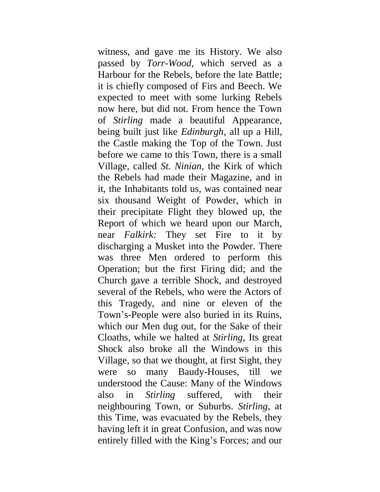witness, and gave me its History. We also passed by *Torr-Wood,* which served as a Harbour for the Rebels, before the late Battle; it is chiefly composed of Firs and Beech. We expected to meet with some lurking Rebels now here, but did not. From hence the Town of *Stirling* made a beautiful Appearance, being built just like *Edinburgh,* all up a Hill, the Castle making the Top of the Town. Just before we came to this Town, there is a small Village, called *St. Ninian,* the Kirk of which the Rebels had made their Magazine, and in it, the Inhabitants told us, was contained near six thousand Weight of Powder, which in their precipitate Flight they blowed up, the Report of which we heard upon our March, near *Falkirk:* They set Fire to it by discharging a Musket into the Powder. There was three Men ordered to perform this Operation; but the first Firing did; and the Church gave a terrible Shock, and destroyed several of the Rebels, who were the Actors of this Tragedy, and nine or eleven of the Town's-People were also buried in its Ruins, which our Men dug out, for the Sake of their Cloaths, while we halted at *Stirling,* Its great Shock also broke all the Windows in this Village, so that we thought, at first Sight, they were so many Baudy-Houses, till we understood the Cause: Many of the Windows also in *Stirling* suffered, with their neighbouring Town, or Suburbs. *Stirling,* at this Time, was evacuated by the Rebels, they having left it in great Confusion, and was now entirely filled with the King's Forces; and our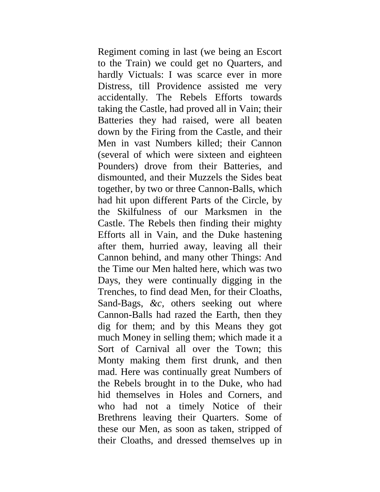Regiment coming in last (we being an Escort to the Train) we could get no Quarters, and hardly Victuals: I was scarce ever in more Distress, till Providence assisted me very accidentally. The Rebels Efforts towards taking the Castle, had proved all in Vain; their Batteries they had raised, were all beaten down by the Firing from the Castle, and their Men in vast Numbers killed; their Cannon (several of which were sixteen and eighteen Pounders) drove from their Batteries, and dismounted, and their Muzzels the Sides beat together, by two or three Cannon-Balls, which had hit upon different Parts of the Circle, by the Skilfulness of our Marksmen in the Castle. The Rebels then finding their mighty Efforts all in Vain, and the Duke hastening after them, hurried away, leaving all their Cannon behind, and many other Things: And the Time our Men halted here, which was two Days, they were continually digging in the Trenches, to find dead Men, for their Cloaths, Sand-Bags, *&c,* others seeking out where Cannon-Balls had razed the Earth, then they dig for them; and by this Means they got much Money in selling them; which made it a Sort of Carnival all over the Town; this Monty making them first drunk, and then mad. Here was continually great Numbers of the Rebels brought in to the Duke, who had hid themselves in Holes and Corners, and who had not a timely Notice of their Brethrens leaving their Quarters. Some of these our Men, as soon as taken, stripped of their Cloaths, and dressed themselves up in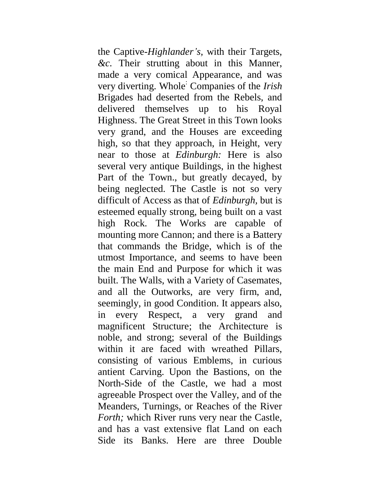the Captive-*Highlander's,* with their Targets, *&c.* Their strutting about in this Manner, made a very comical Appearance, and was very diverting. Whole: Companies of the *Irish* Brigades had deserted from the Rebels, and delivered themselves up to his Royal Highness. The Great Street in this Town looks very grand, and the Houses are exceeding high, so that they approach, in Height, very near to those at *Edinburgh:* Here is also several very antique Buildings, in the highest Part of the Town., but greatly decayed, by being neglected. The Castle is not so very difficult of Access as that of *Edinburgh,* but is esteemed equally strong, being built on a vast high Rock. The Works are capable of mounting more Cannon; and there is a Battery that commands the Bridge, which is of the utmost Importance, and seems to have been the main End and Purpose for which it was built. The Walls, with a Variety of Casemates, and all the Outworks, are very firm, and, seemingly, in good Condition. It appears also, in every Respect, a very grand and magnificent Structure; the Architecture is noble, and strong; several of the Buildings within it are faced with wreathed Pillars, consisting of various Emblems, in curious antient Carving. Upon the Bastions, on the North-Side of the Castle, we had a most agreeable Prospect over the Valley, and of the Meanders, Turnings, or Reaches of the River *Forth;* which River runs very near the Castle, and has a vast extensive flat Land on each Side its Banks. Here are three Double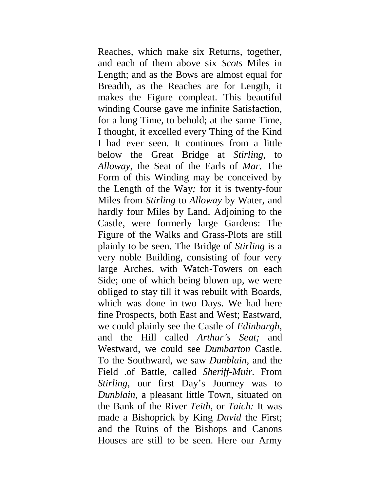Reaches, which make six Returns, together, and each of them above six *Scots* Miles in Length; and as the Bows are almost equal for Breadth, as the Reaches are for Length, it makes the Figure compleat. This beautiful winding Course gave me infinite Satisfaction, for a long Time, to behold; at the same Time, I thought, it excelled every Thing of the Kind I had ever seen. It continues from a little below the Great Bridge at *Stirling,* to *Alloway,* the Seat of the Earls of *Mar.* The Form of this Winding may be conceived by the Length of the Way*;* for it is twenty-four Miles from *Stirling* to *Alloway* by Water, and hardly four Miles by Land. Adjoining to the Castle, were formerly large Gardens: The Figure of the Walks and Grass-Plots are still plainly to be seen. The Bridge of *Stirling* is a very noble Building, consisting of four very large Arches, with Watch-Towers on each Side; one of which being blown up, we were obliged to stay till it was rebuilt with Boards, which was done in two Days. We had here fine Prospects, both East and West; Eastward, we could plainly see the Castle of *Edinburgh,*  and the Hill called *Arthur's Seat;* and Westward, we could see *Dumbarton* Castle. To the Southward, we saw *Dunblain,* and the Field .of Battle, called *Sheriff-Muir.* From *Stirling,* our first Day's Journey was to *Dunblain,* a pleasant little Town, situated on the Bank of the River *Teith,* or *Taich:* It was made a Bishoprick by King *David* the First; and the Ruins of the Bishops and Canons Houses are still to be seen. Here our Army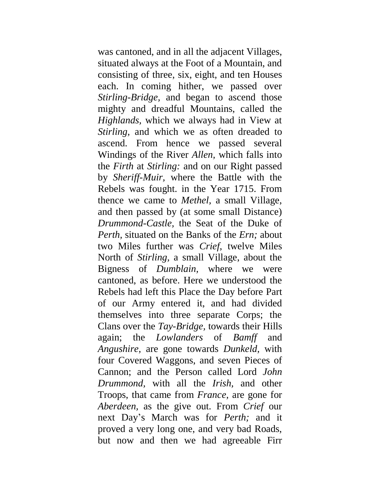was cantoned, and in all the adjacent Villages, situated always at the Foot of a Mountain, and consisting of three, six, eight, and ten Houses each. In coming hither, we passed over *Stirling-Bridge,* and began to ascend those mighty and dreadful Mountains, called the *Highlands,* which we always had in View at *Stirling*, and which we as often dreaded to ascend. From hence we passed several Windings of the River *Allen,* which falls into the *Firth* at *Stirling:* and on our Right passed by *Sheriff-Muir,* where the Battle with the Rebels was fought. in the Year 1715. From thence we came to *Methel,* a small Village, and then passed by (at some small Distance) *Drummond-Castle,* the Seat of the Duke of *Perth,* situated on the Banks of the *Ern;* about two Miles further was *Crief,* twelve Miles North of *Stirling,* a small Village, about the Bigness of *Dumblain,* where we were cantoned, as before. Here we understood the Rebels had left this Place the Day before Part of our Army entered it, and had divided themselves into three separate Corps; the Clans over the *Tay-Bridge,* towards their Hills again; the *Lowlanders* of *Bamff* and *Angushire,* are gone towards *Dunkeld,* with four Covered Waggons, and seven Pieces of Cannon; and the Person called Lord *John Drummond,* with all the *Irish,* and other Troops, that came from *France,* are gone for *Aberdeen,* as the give out. From *Crief* our next Day's March was for *Perth;* and it proved a very long one, and very bad Roads, but now and then we had agreeable Firr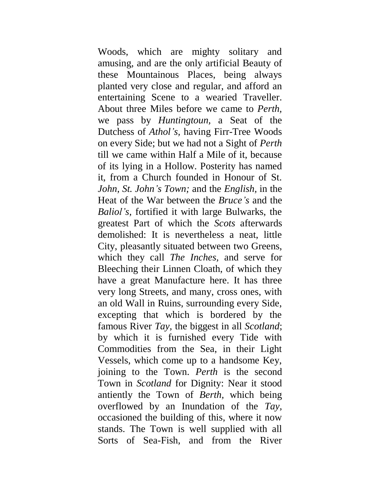Woods, which are mighty solitary and amusing, and are the only artificial Beauty of these Mountainous Places, being always planted very close and regular, and afford an entertaining Scene to a wearied Traveller. About three Miles before we came to *Perth,*  we pass by *Huntingtoun,* a Seat of the Dutchess of *Athol's,* having Firr-Tree Woods on every Side; but we had not a Sight of *Perth*  till we came within Half a Mile of it, because of its lying in a Hollow. Posterity has named it, from a Church founded in Honour of St. *John, St. John's Town;* and the *English,* in the Heat of the War between the *Bruce's* and the *Baliol's,* fortified it with large Bulwarks, the greatest Part of which the *Scots* afterwards demolished: It is nevertheless a neat, little City, pleasantly situated between two Greens, which they call *The Inches,* and serve for Bleeching their Linnen Cloath, of which they have a great Manufacture here. It has three very long Streets, and many, cross ones, with an old Wall in Ruins, surrounding every Side, excepting that which is bordered by the famous River *Tay,* the biggest in all *Scotland*; by which it is furnished every Tide with Commodities from the Sea, in their Light Vessels, which come up to a handsome Key, joining to the Town. *Perth* is the second Town in *Scotland* for Dignity: Near it stood antiently the Town of *Berth,* which being overflowed by an Inundation of the *Tay,*  occasioned the building of this, where it now stands. The Town is well supplied with all Sorts of Sea-Fish, and from the River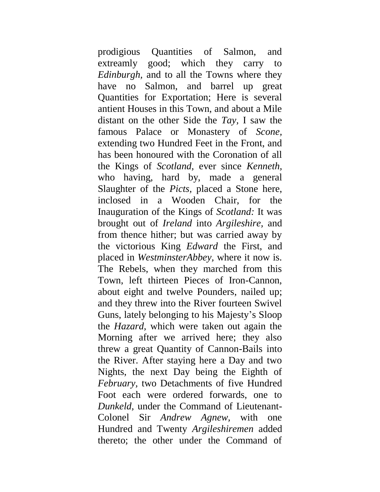prodigious Quantities of Salmon, and extreamly good; which they carry to *Edinburgh,* and to all the Towns where they have no Salmon, and barrel up great Quantities for Exportation; Here is several antient Houses in this Town, and about a Mile distant on the other Side the *Tay,* I saw the famous Palace or Monastery of *Scone,*  extending two Hundred Feet in the Front, and has been honoured with the Coronation of all the Kings of *Scotland,* ever since *Kenneth,*  who having, hard by, made a general Slaughter of the *Picts,* placed a Stone here, inclosed in a Wooden Chair, for the Inauguration of the Kings of *Scotland:* It was brought out of *Ireland* into *Argileshire,* and from thence hither; but was carried away by the victorious King *Edward* the First, and placed in *WestminsterAbbey,* where it now is. The Rebels, when they marched from this Town, left thirteen Pieces of Iron-Cannon, about eight and twelve Pounders, nailed up; and they threw into the River fourteen Swivel Guns, lately belonging to his Majesty's Sloop the *Hazard,* which were taken out again the Morning after we arrived here; they also threw a great Quantity of Cannon-Bails into the River. After staying here a Day and two Nights, the next Day being the Eighth of *February,* two Detachments of five Hundred Foot each were ordered forwards, one to *Dunkeld,* under the Command of Lieutenant-Colonel Sir *Andrew Agnew,* with one Hundred and Twenty *Argileshiremen* added thereto; the other under the Command of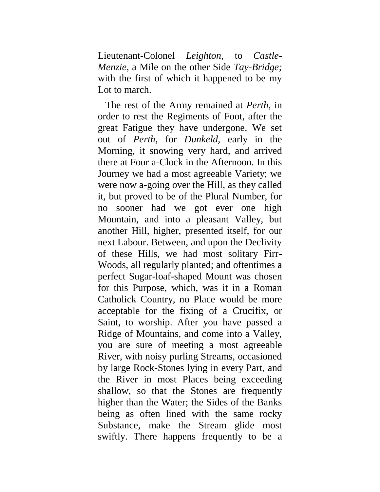Lieutenant-Colonel *Leighton,* to *Castle-Menzie,* a Mile on the other Side *Tay-Bridge;*  with the first of which it happened to be my Lot to march.

The rest of the Army remained at *Perth,* in order to rest the Regiments of Foot, after the great Fatigue they have undergone. We set out of *Perth,* for *Dunkeld,* early in the Morning, it snowing very hard, and arrived there at Four a-Clock in the Afternoon. In this Journey we had a most agreeable Variety; we were now a-going over the Hill, as they called it, but proved to be of the Plural Number, for no sooner had we got ever one high Mountain, and into a pleasant Valley, but another Hill, higher, presented itself, for our next Labour. Between, and upon the Declivity of these Hills, we had most solitary Firr-Woods, all regularly planted; and oftentimes a perfect Sugar-loaf-shaped Mount was chosen for this Purpose, which, was it in a Roman Catholick Country, no Place would be more acceptable for the fixing of a Crucifix, or Saint, to worship. After you have passed a Ridge of Mountains, and come into a Valley, you are sure of meeting a most agreeable River, with noisy purling Streams, occasioned by large Rock-Stones lying in every Part, and the River in most Places being exceeding shallow, so that the Stones are frequently higher than the Water; the Sides of the Banks being as often lined with the same rocky Substance, make the Stream glide most swiftly. There happens frequently to be a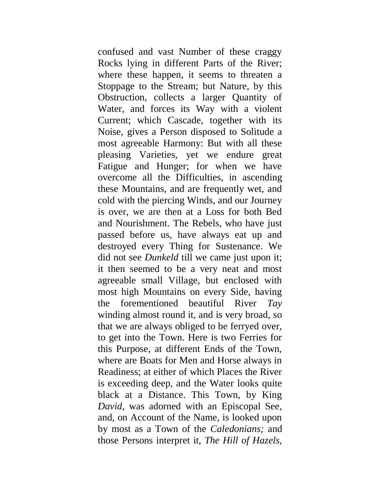confused and vast Number of these craggy Rocks lying in different Parts of the River; where these happen, it seems to threaten a Stoppage to the Stream; but Nature, by this Obstruction, collects a larger Quantity of Water, and forces its Way with a violent Current; which Cascade, together with its Noise, gives a Person disposed to Solitude a most agreeable Harmony: But with all these pleasing Varieties, yet we endure great Fatigue and Hunger; for when we have overcome all the Difficulties, in ascending these Mountains, and are frequently wet, and cold with the piercing Winds, and our Journey is over, we are then at a Loss for both Bed and Nourishment. The Rebels, who have just passed before us, have always eat up and destroyed every Thing for Sustenance. We did not see *Dunkeld* till we came just upon it; it then seemed to be a very neat and most agreeable small Village, but enclosed with most high Mountains on every Side, having the forementioned beautiful River *Tay*  winding almost round it, and is very broad, so that we are always obliged to be ferryed over, to get into the Town. Here is two Ferries for this Purpose, at different Ends of the Town, where are Boats for Men and Horse always in Readiness; at either of which Places the River is exceeding deep, and the Water looks quite black at a Distance. This Town, by King *David,* was adorned with an Episcopal See, and, on Account of the Name, is looked upon by most as a Town of the *Caledonians;* and those Persons interpret it, *The Hill of Hazels,*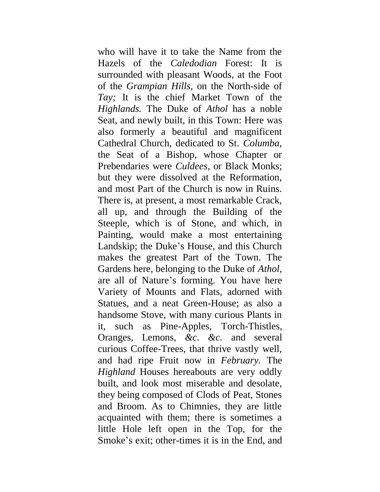who will have it to take the Name from the Hazels of the *Caledodian* Forest: It is surrounded with pleasant Woods, at the Foot of the *Grampian Hills,* on the North-side of *Tay;* It is the chief Market Town of the *Highlands.* The Duke of *Athol* has a noble Seat, and newly built, in this Town: Here was also formerly a beautiful and magnificent Cathedral Church, dedicated to St. *Columba,*  the Seat of a Bishop, whose Chapter or Prebendaries were *Culdees,* or Black Monks; but they were dissolved at the Reformation, and most Part of the Church is now in Ruins. There is, at present, a most remarkable Crack, all up, and through the Building of the Steeple, which is of Stone, and which, in Painting, would make a most entertaining Landskip; the Duke's House, and this Church makes the greatest Part of the Town. The Gardens here, belonging to the Duke of *Athol,*  are all of Nature's forming. You have here Variety of Mounts and Flats, adorned with Statues, and a neat Green-House; as also a handsome Stove, with many curious Plants in it, such as Pine-Apples, Torch-Thistles, Oranges, Lemons, *&c. &c.* and several curious Coffee-Trees, that thrive vastly well, and had ripe Fruit now in *February.* The *Highland* Houses hereabouts are very oddly built, and look most miserable and desolate, they being composed of Clods of Peat, Stones and Broom. As to Chimnies, they are little acquainted with them; there is sometimes a little Hole left open in the Top, for the Smoke's exit; other-times it is in the End, and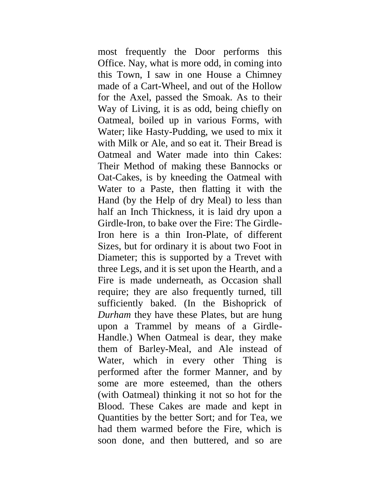most frequently the Door performs this Office. Nay, what is more odd, in coming into this Town, I saw in one House a Chimney made of a Cart-Wheel, and out of the Hollow for the Axel, passed the Smoak. As to their Way of Living, it is as odd, being chiefly on Oatmeal, boiled up in various Forms, with Water; like Hasty-Pudding, we used to mix it with Milk or Ale, and so eat it. Their Bread is Oatmeal and Water made into thin Cakes: Their Method of making these Bannocks or Oat-Cakes, is by kneeding the Oatmeal with Water to a Paste, then flatting it with the Hand (by the Help of dry Meal) to less than half an Inch Thickness, it is laid dry upon a Girdle-Iron, to bake over the Fire: The Girdle-Iron here is a thin Iron-Plate, of different Sizes, but for ordinary it is about two Foot in Diameter; this is supported by a Trevet with three Legs, and it is set upon the Hearth, and a Fire is made underneath, as Occasion shall require; they are also frequently turned, till sufficiently baked. (In the Bishoprick of *Durham* they have these Plates, but are hung upon a Trammel by means of a Girdle-Handle.) When Oatmeal is dear, they make them of Barley-Meal, and Ale instead of Water, which in every other Thing is performed after the former Manner, and by some are more esteemed, than the others (with Oatmeal) thinking it not so hot for the Blood. These Cakes are made and kept in Quantities by the better Sort; and for Tea, we had them warmed before the Fire, which is soon done, and then buttered, and so are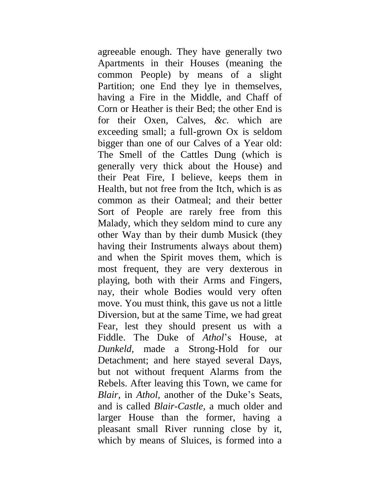agreeable enough. They have generally two Apartments in their Houses (meaning the common People) by means of a slight Partition; one End they lye in themselves, having a Fire in the Middle, and Chaff of Corn or Heather is their Bed; the other End is for their Oxen, Calves, *&c.* which are exceeding small; a full-grown Ox is seldom bigger than one of our Calves of a Year old: The Smell of the Cattles Dung (which is generally very thick about the House) and their Peat Fire, I believe, keeps them in Health, but not free from the Itch, which is as common as their Oatmeal; and their better Sort of People are rarely free from this Malady, which they seldom mind to cure any other Way than by their dumb Musick (they having their Instruments always about them) and when the Spirit moves them, which is most frequent, they are very dexterous in playing, both with their Arms and Fingers, nay, their whole Bodies would very often move. You must think, this gave us not a little Diversion, but at the same Time, we had great Fear, lest they should present us with a Fiddle. The Duke of *Athol*'s House, at *Dunkeld,* made a Strong-Hold for our Detachment; and here stayed several Days, but not without frequent Alarms from the Rebels. After leaving this Town, we came for *Blair,* in *Athol,* another of the Duke's Seats, and is called *Blair-Castle,* a much older and larger House than the former, having a pleasant small River running close by it, which by means of Sluices, is formed into a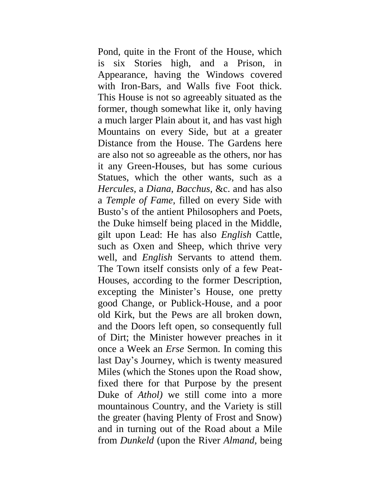Pond, quite in the Front of the House, which is six Stories high, and a Prison, in Appearance, having the Windows covered with Iron-Bars, and Walls five Foot thick. This House is not so agreeably situated as the former, though somewhat like it, only having a much larger Plain about it, and has vast high Mountains on every Side, but at a greater Distance from the House. The Gardens here are also not so agreeable as the others, nor has it any Green-Houses, but has some curious Statues, which the other wants, such as a *Hercules,* a *Diana, Bacchus,* &c. and has also a *Temple of Fame,* filled on every Side with Busto's of the antient Philosophers and Poets, the Duke himself being placed in the Middle, gilt upon Lead: He has also *English* Cattle, such as Oxen and Sheep, which thrive very well, and *English* Servants to attend them. The Town itself consists only of a few Peat-Houses, according to the former Description, excepting the Minister's House, one pretty good Change, or Publick-House, and a poor old Kirk, but the Pews are all broken down, and the Doors left open, so consequently full of Dirt; the Minister however preaches in it once a Week an *Erse* Sermon. In coming this last Day's Journey, which is twenty measured Miles (which the Stones upon the Road show, fixed there for that Purpose by the present Duke of *Athol)* we still come into a more mountainous Country, and the Variety is still the greater (having Plenty of Frost and Snow) and in turning out of the Road about a Mile from *Dunkeld* (upon the River *Almand,* being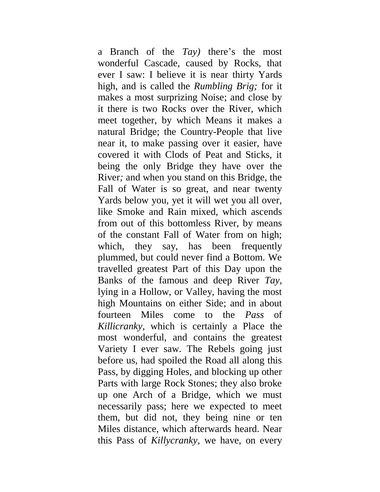a Branch of the *Tay)* there's the most wonderful Cascade, caused by Rocks, that ever I saw: I believe it is near thirty Yards high, and is called the *Rumbling Brig;* for it makes a most surprizing Noise; and close by it there is two Rocks over the River, which meet together, by which Means it makes a natural Bridge; the Country-People that live near it, to make passing over it easier, have covered it with Clods of Peat and Sticks, it being the only Bridge they have over the River*;* and when you stand on this Bridge, the Fall of Water is so great, and near twenty Yards below you, yet it will wet you all over, like Smoke and Rain mixed, which ascends from out of this bottomless River, by means of the constant Fall of Water from on high; which, they say, has been frequently plummed, but could never find a Bottom. We travelled greatest Part of this Day upon the Banks of the famous and deep River *Tay,*  lying in a Hollow, or Valley, having the most high Mountains on either Side; and in about fourteen Miles come to the *Pass* of *Killicranky,* which is certainly a Place the most wonderful, and contains the greatest Variety I ever saw. The Rebels going just before us, had spoiled the Road all along this Pass, by digging Holes, and blocking up other Parts with large Rock Stones; they also broke up one Arch of a Bridge, which we must necessarily pass; here we expected to meet them, but did not, they being nine or ten Miles distance, which afterwards heard. Near this Pass of *Killycranky,* we have, on every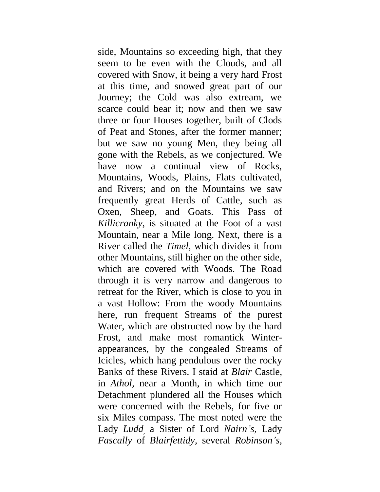side, Mountains so exceeding high, that they seem to be even with the Clouds, and all covered with Snow, it being a very hard Frost at this time, and snowed great part of our Journey; the Cold was also extream, we scarce could bear it; now and then we saw three or four Houses together, built of Clods of Peat and Stones, after the former manner; but we saw no young Men, they being all gone with the Rebels, as we conjectured. We have now a continual view of Rocks, Mountains, Woods, Plains, Flats cultivated, and Rivers; and on the Mountains we saw frequently great Herds of Cattle, such as Oxen, Sheep, and Goats. This Pass of *Killicranky,* is situated at the Foot of a vast Mountain, near a Mile long. Next, there is a River called the *Timel,* which divides it from other Mountains, still higher on the other side, which are covered with Woods. The Road through it is very narrow and dangerous to retreat for the River, which is close to you in a vast Hollow: From the woody Mountains here, run frequent Streams of the purest Water, which are obstructed now by the hard Frost, and make most romantick Winterappearances, by the congealed Streams of Icicles, which hang pendulous over the rocky Banks of these Rivers. I staid at *Blair* Castle, in *Athol,* near a Month, in which time our Detachment plundered all the Houses which were concerned with the Rebels, for five or six Miles compass. The most noted were the Lady *Ludd,* a Sister of Lord *Nairn's,* Lady *Fascally* of *Blairfettidy,* several *Robinson's,*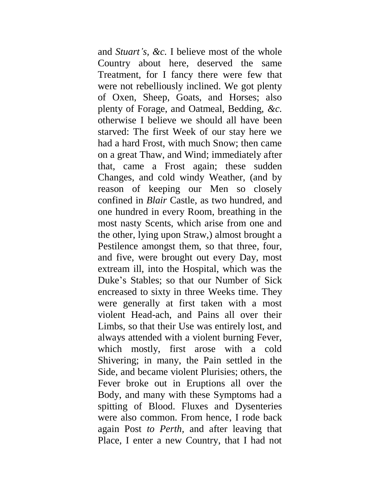and *Stuart's, &c.* I believe most of the whole Country about here, deserved the same Treatment, for I fancy there were few that were not rebelliously inclined. We got plenty of Oxen, Sheep, Goats, and Horses; also plenty of Forage, and Oatmeal, Bedding, *&c.*  otherwise I believe we should all have been starved: The first Week of our stay here we had a hard Frost, with much Snow; then came on a great Thaw, and Wind; immediately after that, came a Frost again; these sudden Changes, and cold windy Weather, (and by reason of keeping our Men so closely confined in *Blair* Castle, as two hundred, and one hundred in every Room, breathing in the most nasty Scents, which arise from one and the other, lying upon Straw,) almost brought a Pestilence amongst them, so that three, four, and five, were brought out every Day, most extream ill, into the Hospital, which was the Duke's Stables; so that our Number of Sick encreased to sixty in three Weeks time. They were generally at first taken with a most violent Head-ach, and Pains all over their Limbs, so that their Use was entirely lost, and always attended with a violent burning Fever, which mostly, first arose with a cold Shivering; in many, the Pain settled in the Side, and became violent Plurisies; others, the Fever broke out in Eruptions all over the Body, and many with these Symptoms had a spitting of Blood. Fluxes and Dysenteries were also common. From hence, I rode back again Post *to Perth,* and after leaving that Place, I enter a new Country, that I had not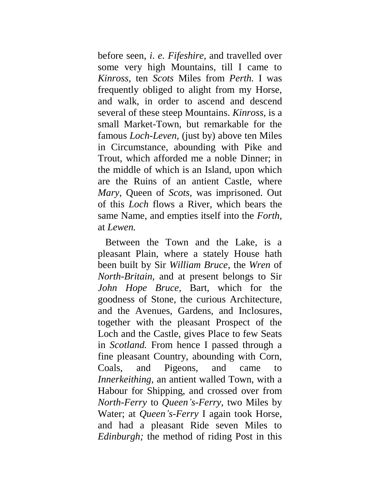before seen, *i*. *e. Fifeshire,* and travelled over some very high Mountains, till I came to *Kinross,* ten *Scots* Miles from *Perth.* I was frequently obliged to alight from my Horse, and walk, in order to ascend and descend several of these steep Mountains. *Kinross,* is a small Market-Town, but remarkable for the famous *Loch-Leven,* (just by) above ten Miles in Circumstance, abounding with Pike and Trout, which afforded me a noble Dinner; in the middle of which is an Island, upon which are the Ruins of an antient Castle, where *Mary,* Queen of *Scots,* was imprisoned. Out of this *Loch* flows a River, which bears the same Name, and empties itself into the *Forth,*  at *Lewen.*

Between the Town and the Lake, is a pleasant Plain, where a stately House hath been built by Sir *William Bruce,* the *Wren* of *North-Britain,* and at present belongs to Sir *John Hope Bruce,* Bart, which for the goodness of Stone, the curious Architecture, and the Avenues, Gardens, and Inclosures, together with the pleasant Prospect of the Loch and the Castle, gives Place to few Seats in *Scotland.* From hence I passed through a fine pleasant Country, abounding with Corn, Coals, and Pigeons, and came to *Innerkeithing,* an antient walled Town, with a Habour for Shipping, and crossed over from *North-Ferry* to *Queen's-Ferry,* two Miles by Water; at *Queen's-Ferry* I again took Horse, and had a pleasant Ride seven Miles to *Edinburgh;* the method of riding Post in this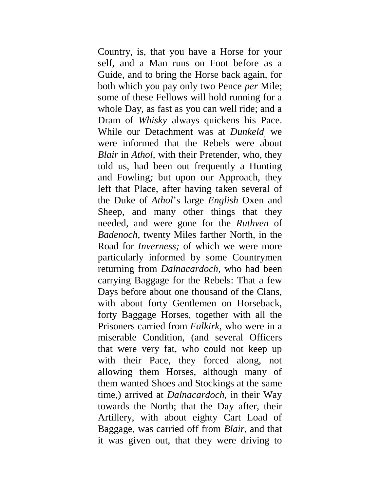Country, is, that you have a Horse for your self, and a Man runs on Foot before as a Guide, and to bring the Horse back again, for both which you pay only two Pence *per* Mile; some of these Fellows will hold running for a whole Day, as fast as you can well ride; and a Dram of *Whisky* always quickens his Pace. While our Detachment was at *Dunkeld,* we were informed that the Rebels were about *Blair* in *Athol,* with their Pretender, who, they told us, had been out frequently a Hunting and Fowling*;* but upon our Approach, they left that Place, after having taken several of the Duke of *Athol*'s large *English* Oxen and Sheep, and many other things that they needed, and were gone for the *Ruthven* of *Badenoch,* twenty Miles farther North, in the Road for *Inverness;* of which we were more particularly informed by some Countrymen returning from *Dalnacardoch,* who had been carrying Baggage for the Rebels: That a few Days before about one thousand of the Clans, with about forty Gentlemen on Horseback, forty Baggage Horses, together with all the Prisoners carried from *Falkirk,* who were in a miserable Condition, (and several Officers that were very fat, who could not keep up with their Pace, they forced along, not allowing them Horses, although many of them wanted Shoes and Stockings at the same time,) arrived at *Dalnacardoch,* in their Way towards the North; that the Day after, their Artillery, with about eighty Cart Load of Baggage, was carried off from *Blair,* and that it was given out, that they were driving to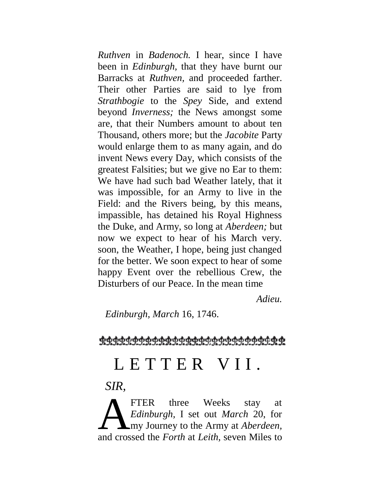*Ruthven* in *Badenoch.* I hear, since I have been in *Edinburgh,* that they have burnt our Barracks at *Ruthven,* and proceeded farther. Their other Parties are said to lye from *Strathbogie* to the *Spey* Side, and extend beyond *Inverness;* the News amongst some are, that their Numbers amount to about ten Thousand, others more; but the *Jacobite* Party would enlarge them to as many again, and do invent News every Day, which consists of the greatest Falsities; but we give no Ear to them: We have had such bad Weather lately, that it was impossible, for an Army to live in the Field: and the Rivers being, by this means, impassible, has detained his Royal Highness the Duke, and Army, so long at *Aberdeen;* but now we expect to hear of his March very. soon, the Weather, I hope, being just changed for the better. We soon expect to hear of some happy Event over the rebellious Crew, the Disturbers of our Peace. In the mean time

*Adieu.*

*Edinburgh, March* 16, 1746.

<u> ထုတ်တံတို့တို့ ထုတ်ရှားသည် ထုတ်ထုတ်ထုတ်ထုတ်ထုတ်ထုတ်ထုတ်</u>

## L E T T E R V I I.

## *SIR,*

FTER three Weeks stay at *Edinburgh,* I set out *March* 20, for my Journey to the Army at *Aberdeen,*  FTER three Weeks stay at *Edinburgh*, I set out *March* 20, for my Journey to the Army at *Aberdeen*, and crossed the *Forth* at *Leith*, seven Miles to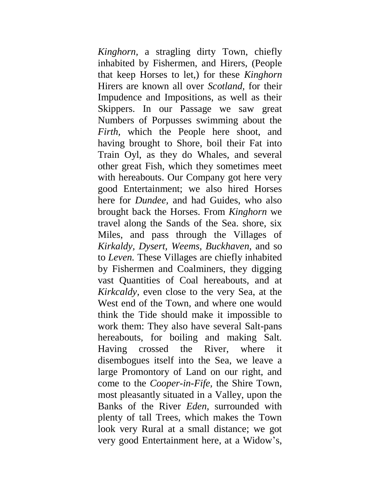*Kinghorn,* a stragling dirty Town, chiefly inhabited by Fishermen, and Hirers, (People that keep Horses to let,) for these *Kinghorn*  Hirers are known all over *Scotland,* for their Impudence and Impositions, as well as their Skippers. In our Passage we saw great Numbers of Porpusses swimming about the *Firth,* which the People here shoot, and having brought to Shore, boil their Fat into Train Oyl, as they do Whales, and several other great Fish, which they sometimes meet with hereabouts. Our Company got here very good Entertainment; we also hired Horses here for *Dundee,* and had Guides, who also brought back the Horses. From *Kinghorn* we travel along the Sands of the Sea. shore, six Miles, and pass through the Villages of *Kirkaldy, Dysert, Weems, Buckhaven,* and so to *Leven.* These Villages are chiefly inhabited by Fishermen and Coalminers, they digging vast Quantities of Coal hereabouts, and at *Kirkcaldy,* even close to the very Sea, at the West end of the Town, and where one would think the Tide should make it impossible to work them: They also have several Salt-pans hereabouts, for boiling and making Salt. Having crossed the River, where it disembogues itself into the Sea, we leave a large Promontory of Land on our right, and come to the *Cooper-in-Fife,* the Shire Town, most pleasantly situated in a Valley, upon the Banks of the River *Eden,* surrounded with plenty of tall Trees, which makes the Town look very Rural at a small distance; we got very good Entertainment here, at a Widow's,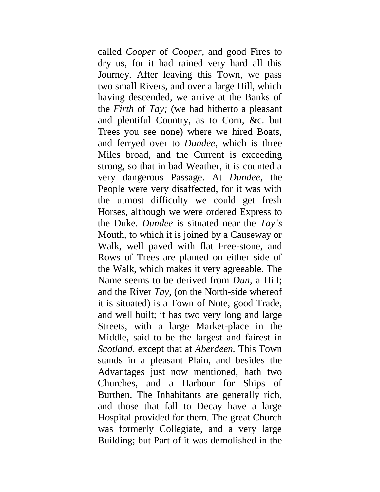called *Cooper* of *Cooper,* and good Fires to dry us, for it had rained very hard all this Journey. After leaving this Town, we pass two small Rivers, and over a large Hill, which having descended, we arrive at the Banks of the *Firth* of *Tay;* (we had hitherto a pleasant and plentiful Country, as to Corn, &c. but Trees you see none) where we hired Boats, and ferryed over to *Dundee,* which is three Miles broad, and the Current is exceeding strong, so that in bad Weather, it is counted a very dangerous Passage. At *Dundee,* the People were very disaffected, for it was with the utmost difficulty we could get fresh Horses, although we were ordered Express to the Duke. *Dundee* is situated near the *Tay's*  Mouth, to which it is joined by a Causeway or Walk, well paved with flat Free-stone, and Rows of Trees are planted on either side of the Walk, which makes it very agreeable. The Name seems to be derived from *Dun,* a Hill; and the River *Tay,* (on the North-side whereof it is situated) is a Town of Note, good Trade, and well built; it has two very long and large Streets, with a large Market-place in the Middle, said to be the largest and fairest in *Scotland,* except that at *Aberdeen.* This Town stands in a pleasant Plain, and besides the Advantages just now mentioned, hath two Churches, and a Harbour for Ships of Burthen. The Inhabitants are generally rich, and those that fall to Decay have a large Hospital provided for them. The great Church was formerly Collegiate, and a very large Building; but Part of it was demolished in the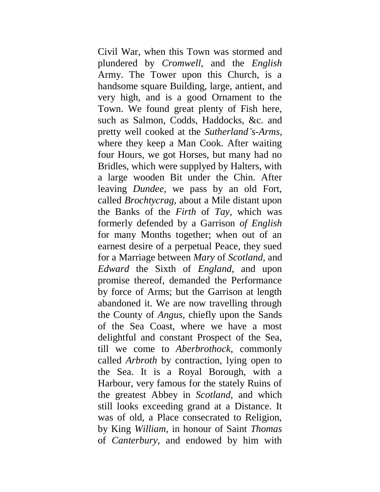Civil War, when this Town was stormed and plundered by *Cromwell,* and the *English*  Army. The Tower upon this Church, is a handsome square Building, large, antient, and very high, and is a good Ornament to the Town. We found great plenty of Fish here, such as Salmon, Codds, Haddocks, &c. and pretty well cooked at the *Sutherland's-Arms,*  where they keep a Man Cook. After waiting four Hours, we got Horses, but many had no Bridles, which were supplyed by Halters, with a large wooden Bit under the Chin. After leaving *Dundee,* we pass by an old Fort, called *Brochtycrag,* about a Mile distant upon the Banks of the *Firth* of *Tay,* which was formerly defended by a Garrison *of English* for many Months together; when out of an earnest desire of a perpetual Peace, they sued for a Marriage between *Mary* of *Scotland,* and *Edward* the Sixth of *England,* and upon promise thereof, demanded the Performance by force of Arms; but the Garrison at length abandoned it. We are now travelling through the County of *Angus,* chiefly upon the Sands of the Sea Coast, where we have a most delightful and constant Prospect of the Sea, till we come to *Aberbrothock,* commonly called *Arbroth* by contraction, lying open to the Sea. It is a Royal Borough, with a Harbour, very famous for the stately Ruins of the greatest Abbey in *Scotland,* and which still looks exceeding grand at a Distance. It was of old, a Place consecrated to Religion, by King *William,* in honour of Saint *Thomas*  of *Canterbury,* and endowed by him with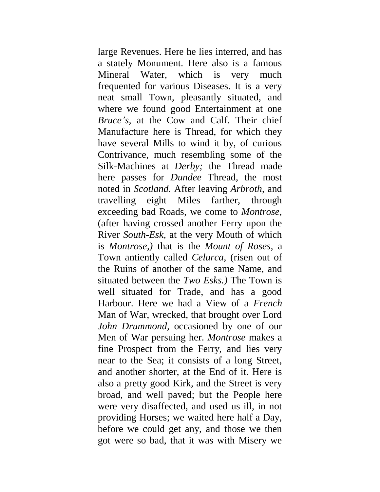large Revenues. Here he lies interred, and has a stately Monument. Here also is a famous Mineral Water, which is very much frequented for various Diseases. It is a very neat small Town, pleasantly situated, and where we found good Entertainment at one *Bruce's,* at the Cow and Calf. Their chief Manufacture here is Thread, for which they have several Mills to wind it by, of curious Contrivance, much resembling some of the Silk-Machines at *Derby;* the Thread made here passes for *Dundee* Thread, the most noted in *Scotland.* After leaving *Arbroth,* and travelling eight Miles farther, through exceeding bad Roads, we come to *Montrose,*  (after having crossed another Ferry upon the River *South-Esk,* at the very Mouth of which is *Montrose,)* that is the *Mount of Roses,* a Town antiently called *Celurca,* (risen out of the Ruins of another of the same Name, and situated between the *Two Esks.)* The Town is well situated for Trade, and has a good Harbour. Here we had a View of a *French*  Man of War, wrecked, that brought over Lord *John Drummond,* occasioned by one of our Men of War persuing her. *Montrose* makes a fine Prospect from the Ferry, and lies very near to the Sea; it consists of a long Street, and another shorter, at the End of it. Here is also a pretty good Kirk, and the Street is very broad, and well paved; but the People here were very disaffected, and used us ill, in not providing Horses; we waited here half a Day, before we could get any, and those we then got were so bad, that it was with Misery we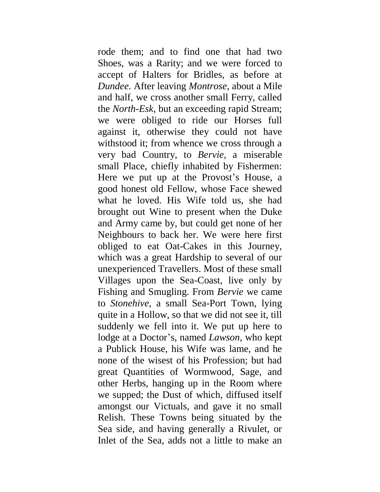rode them; and to find one that had two Shoes, was a Rarity; and we were forced to accept of Halters for Bridles, as before at *Dundee.* After leaving *Montrose,* about a Mile and half, we cross another small Ferry, called the *North-Esk,* but an exceeding rapid Stream; we were obliged to ride our Horses full against it, otherwise they could not have withstood it; from whence we cross through a very bad Country, to *Bervie,* a miserable small Place, chiefly inhabited by Fishermen: Here we put up at the Provost's House, a good honest old Fellow, whose Face shewed what he loved. His Wife told us, she had brought out Wine to present when the Duke and Army came by, but could get none of her Neighbours to back her. We were here first obliged to eat Oat-Cakes in this Journey, which was a great Hardship to several of our unexperienced Travellers. Most of these small Villages upon the Sea-Coast, live only by Fishing and Smugling. From *Bervie* we came to *Stonehive,* a small Sea-Port Town, lying quite in a Hollow, so that we did not see it, till suddenly we fell into it. We put up here to lodge at a Doctor's, named *Lawson,* who kept a Publick House, his Wife was lame, and he none of the wisest of his Profession; but had great Quantities of Wormwood, Sage, and other Herbs, hanging up in the Room where we supped; the Dust of which, diffused itself amongst our Victuals, and gave it no small Relish. These Towns being situated by the Sea side, and having generally a Rivulet, or Inlet of the Sea, adds not a little to make an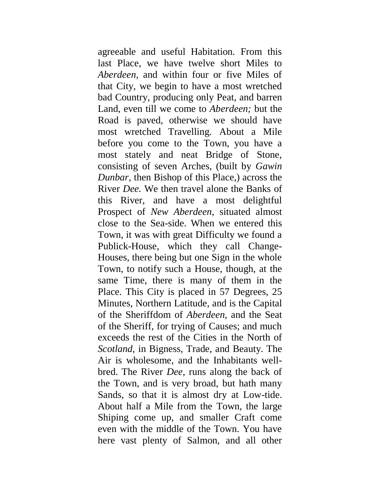agreeable and useful Habitation. From this last Place, we have twelve short Miles to *Aberdeen,* and within four or five Miles of that City, we begin to have a most wretched bad Country, producing only Peat, and barren Land, even till we come to *Aberdeen;* but the Road is paved, otherwise we should have most wretched Travelling. About a Mile before you come to the Town, you have a most stately and neat Bridge of Stone, consisting of seven Arches, (built by *Gawin Dunbar,* then Bishop of this Place,) across the River *Dee.* We then travel alone the Banks of this River, and have a most delightful Prospect of *New Aberdeen,* situated almost close to the Sea-side. When we entered this Town, it was with great Difficulty we found a Publick-House, which they call Change-Houses, there being but one Sign in the whole Town, to notify such a House, though, at the same Time, there is many of them in the Place. This City is placed in 57 Degrees, 25 Minutes, Northern Latitude, and is the Capital of the Sheriffdom of *Aberdeen,* and the Seat of the Sheriff, for trying of Causes; and much exceeds the rest of the Cities in the North of *Scotland,* in Bigness, Trade, and Beauty. The Air is wholesome, and the Inhabitants wellbred. The River *Dee*, runs along the back of the Town, and is very broad, but hath many Sands, so that it is almost dry at Low-tide. About half a Mile from the Town, the large Shiping come up, and smaller Craft come even with the middle of the Town. You have here vast plenty of Salmon, and all other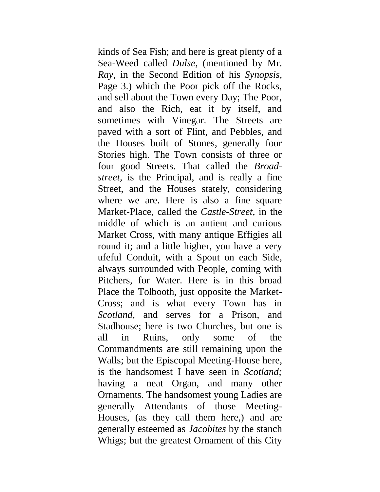kinds of Sea Fish; and here is great plenty of a Sea-Weed called *Dulse*, (mentioned by Mr. *Ray,* in the Second Edition of his *Synopsis,*  Page 3.) which the Poor pick off the Rocks, and sell about the Town every Day; The Poor, and also the Rich, eat it by itself, and sometimes with Vinegar. The Streets are paved with a sort of Flint, and Pebbles, and the Houses built of Stones, generally four Stories high. The Town consists of three or four good Streets. That called the *Broadstreet,* is the Principal, and is really a fine Street, and the Houses stately, considering where we are. Here is also a fine square Market-Place, called the *Castle-Street,* in the middle of which is an antient and curious Market Cross, with many antique Effigies all round it; and a little higher, you have a very ufeful Conduit, with a Spout on each Side, always surrounded with People, coming with Pitchers, for Water. Here is in this broad Place the Tolbooth, just opposite the Market-Cross; and is what every Town has in *Scotland,* and serves for a Prison, and Stadhouse; here is two Churches, but one is all in Ruins, only some of the Commandments are still remaining upon the Walls; but the Episcopal Meeting-House here, is the handsomest I have seen in *Scotland;*  having a neat Organ, and many other Ornaments. The handsomest young Ladies are generally Attendants of those Meeting-Houses, (as they call them here,) and are generally esteemed as *Jacobites* by the stanch Whigs; but the greatest Ornament of this City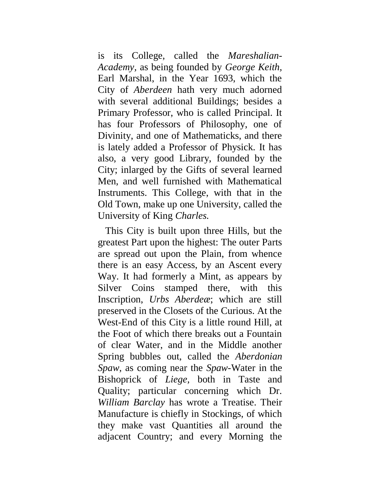is its College, called the *Mareshalian-Academy,* as being founded by *George Keith,*  Earl Marshal, in the Year 1693, which the City of *Aberdeen* hath very much adorned with several additional Buildings; besides a Primary Professor, who is called Principal. It has four Professors of Philosophy, one of Divinity, and one of Mathematicks, and there is lately added a Professor of Physick. It has also, a very good Library, founded by the City; inlarged by the Gifts of several learned Men, and well furnished with Mathematical Instruments. This College, with that in the Old Town, make up one University, called the University of King *Charles.*

This City is built upon three Hills, but the greatest Part upon the highest: The outer Parts are spread out upon the Plain, from whence there is an easy Access, by an Ascent every Way. It had formerly a Mint, as appears by Silver Coins stamped there, with this Inscription, *Urbs Aberdeæ*; which are still preserved in the Closets of the Curious. At the West-End of this City is a little round Hill, at the Foot of which there breaks out a Fountain of clear Water, and in the Middle another Spring bubbles out, called the *Aberdonian Spaw,* as coming near the *Spaw-*Water in the Bishoprick of *Liege,* both in Taste and Quality; particular concerning which Dr. *William Barclay* has wrote a Treatise. Their Manufacture is chiefly in Stockings, of which they make vast Quantities all around the adjacent Country; and every Morning the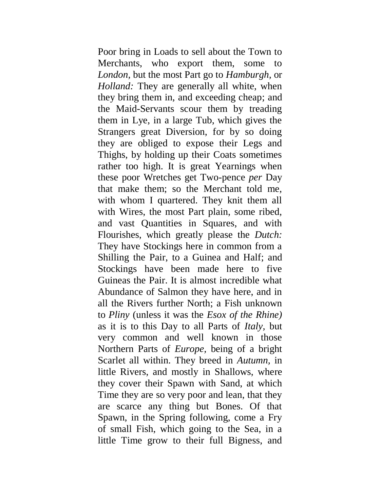Poor bring in Loads to sell about the Town to Merchants, who export them, some to *London,* but the most Part go to *Hamburgh,* or *Holland:* They are generally all white, when they bring them in, and exceeding cheap; and the Maid-Servants scour them by treading them in Lye, in a large Tub, which gives the Strangers great Diversion, for by so doing they are obliged to expose their Legs and Thighs, by holding up their Coats sometimes rather too high. It is great Yearnings when these poor Wretches get Two-pence *per* Day that make them; so the Merchant told me, with whom I quartered. They knit them all with Wires, the most Part plain, some ribed, and vast Quantities in Squares, and with Flourishes, which greatly please the *Dutch:*  They have Stockings here in common from a Shilling the Pair, to a Guinea and Half; and Stockings have been made here to five Guineas the Pair. It is almost incredible what Abundance of Salmon they have here, and in all the Rivers further North; a Fish unknown to *Pliny* (unless it was the *Esox of the Rhine)*  as it is to this Day to all Parts of *Italy,* but very common and well known in those Northern Parts of *Europe,* being of a bright Scarlet all within. They breed in *Autumn,* in little Rivers, and mostly in Shallows, where they cover their Spawn with Sand, at which Time they are so very poor and lean, that they are scarce any thing but Bones. Of that Spawn, in the Spring following, come a Fry of small Fish, which going to the Sea, in a little Time grow to their full Bigness, and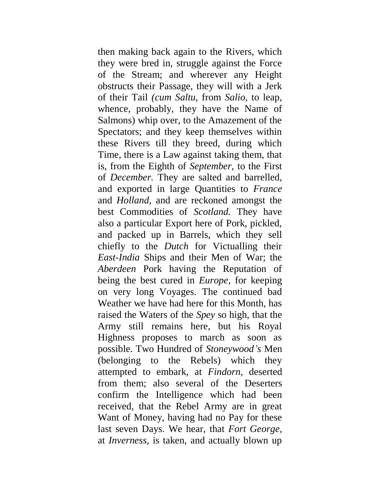then making back again to the Rivers, which they were bred in, struggle against the Force of the Stream; and wherever any Height obstructs their Passage, they will with a Jerk of their Tail *(cum Saltu,* from *Salio,* to leap, whence, probably, they have the Name of Salmons) whip over, to the Amazement of the Spectators; and they keep themselves within these Rivers till they breed, during which Time, there is a Law against taking them, that is, from the Eighth of *September,* to the First of *December.* They are salted and barrelled, and exported in large Quantities to *France*  and *Holland,* and are reckoned amongst the best Commodities of *Scotland.* They have also a particular Export here of Pork, pickled, and packed up in Barrels, which they sell chiefly to the *Dutch* for Victualling their *East-India* Ships and their Men of War; the *Aberdeen* Pork having the Reputation of being the best cured in *Europe,* for keeping on very long Voyages. The continued bad Weather we have had here for this Month, has raised the Waters of the *Spey* so high, that the Army still remains here, but his Royal Highness proposes to march as soon as possible. Two Hundred of *Stoneywood's* Men (belonging to the Rebels) which they attempted to embark, at *Findorn,* deserted from them; also several of the Deserters confirm the Intelligence which had been received, that the Rebel Army are in great Want of Money, having had no Pay for these last seven Days. We hear, that *Fort George,*  at *Inverness,* is taken, and actually blown up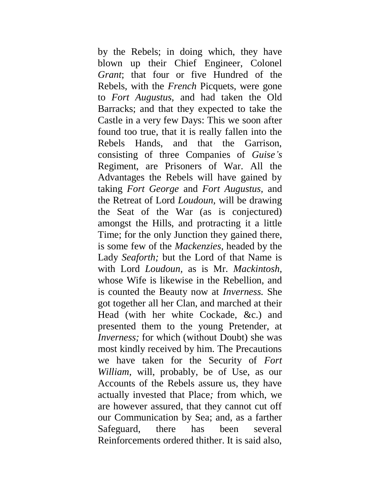by the Rebels; in doing which, they have blown up their Chief Engineer, Colonel *Grant*; that four or five Hundred of the Rebels, with the *French* Picquets, were gone to *Fort Augustus,* and had taken the Old Barracks; and that they expected to take the Castle in a very few Days: This we soon after found too true, that it is really fallen into the Rebels Hands, and that the Garrison, consisting of three Companies of *Guise's*  Regiment, are Prisoners of War. All the Advantages the Rebels will have gained by taking *Fort George* and *Fort Augustus,* and the Retreat of Lord *Loudoun,* will be drawing the Seat of the War (as is conjectured) amongst the Hills, and protracting it a little Time; for the only Junction they gained there, is some few of the *Mackenzies,* headed by the Lady *Seaforth;* but the Lord of that Name is with Lord *Loudoun,* as is Mr. *Mackintosh,*  whose Wife is likewise in the Rebellion, and is counted the Beauty now at *Inverness.* She got together all her Clan, and marched at their Head (with her white Cockade, &c.) and presented them to the young Pretender, at *Inverness;* for which (without Doubt) she was most kindly received by him. The Precautions we have taken for the Security of *Fort William,* will, probably, be of Use, as our Accounts of the Rebels assure us, they have actually invested that Place*;* from which, we are however assured, that they cannot cut off our Communication by Sea; and, as a farther Safeguard, there has been several Reinforcements ordered thither. It is said also,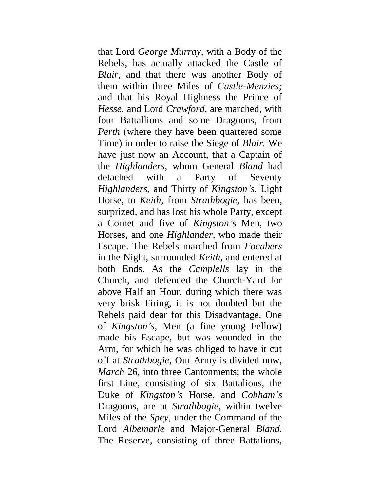that Lord *George Murray,* with a Body of the Rebels, has actually attacked the Castle of *Blair,* and that there was another Body of them within three Miles of *Castle-Menzies;*  and that his Royal Highness the Prince of *Hesse,* and Lord *Crawford,* are marched, with four Battallions and some Dragoons, from *Perth* (where they have been quartered some Time) in order to raise the Siege of *Blair.* We have just now an Account, that a Captain of the *Highlanders,* whom General *Bland* had detached with a Party of Seventy *Highlanders,* and Thirty of *Kingston's.* Light Horse, to *Keith,* from *Strathbogie,* has been, surprized, and has lost his whole Party, except a Cornet and five of *Kingston's* Men, two Horses, and one *Highlander,* who made their Escape. The Rebels marched from *Focabers*  in the Night, surrounded *Keith,* and entered at both Ends. As the *Camplells* lay in the Church, and defended the Church-Yard for above Half an Hour, during which there was very brisk Firing, it is not doubted but the Rebels paid dear for this Disadvantage. One of *Kingston's,* Men (a fine young Fellow) made his Escape, but was wounded in the Arm, for which he was obliged to have it cut off at *Strathbogie,* Our Army is divided now, *March* 26, into three Cantonments; the whole first Line, consisting of six Battalions, the Duke of *Kingston's* Horse, and *Cobham's*  Dragoons, are at *Strathbogie,* within twelve Miles of the *Spey,* under the Command of the Lord *Albemarle* and Major-General *Bland.*  The Reserve, consisting of three Battalions,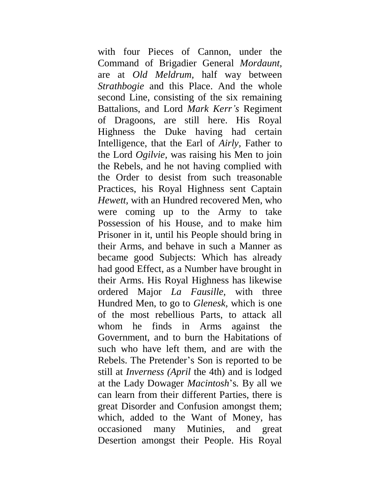with four Pieces of Cannon, under the Command of Brigadier General *Mordaunt,*  are at *Old Meldrum,* half way between *Strathbogie* and this Place. And the whole second Line, consisting of the six remaining Battalions, and Lord *Mark Kerr's* Regiment of Dragoons, are still here. His Royal Highness the Duke having had certain Intelligence, that the Earl of *Airly,* Father to the Lord *Ogilvie,* was raising his Men to join the Rebels, and he not having complied with the Order to desist from such treasonable Practices, his Royal Highness sent Captain *Hewett,* with an Hundred recovered Men, who were coming up to the Army to take Possession of his House, and to make him Prisoner in it, until his People should bring in their Arms, and behave in such a Manner as became good Subjects: Which has already had good Effect, as a Number have brought in their Arms. His Royal Highness has likewise ordered Major *La Fausille,* with three Hundred Men, to go to *Glenesk,* which is one of the most rebellious Parts, to attack all whom he finds in Arms against the Government, and to burn the Habitations of such who have left them, and are with the Rebels. The Pretender's Son is reported to be still at *Inverness (April* the 4th) and is lodged at the Lady Dowager *Macintosh*'s*.* By all we can learn from their different Parties, there is great Disorder and Confusion amongst them; which, added to the Want of Money, has occasioned many Mutinies, and great Desertion amongst their People. His Royal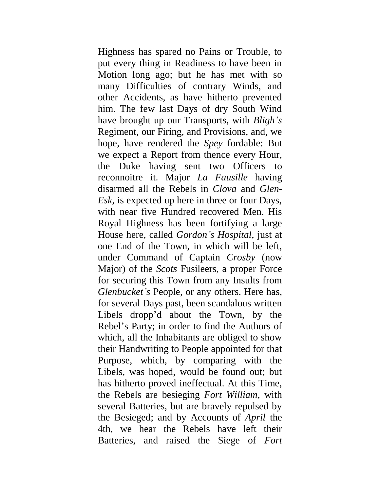Highness has spared no Pains or Trouble, to put every thing in Readiness to have been in Motion long ago; but he has met with so many Difficulties of contrary Winds, and other Accidents, as have hitherto prevented him. The few last Days of dry South Wind have brought up our Transports, with *Bligh's*  Regiment, our Firing, and Provisions, and, we hope, have rendered the *Spey* fordable: But we expect a Report from thence every Hour, the Duke having sent two Officers to reconnoitre it. Major *La Fausille* having disarmed all the Rebels in *Clova* and *Glen-Esk,* is expected up here in three or four Days, with near five Hundred recovered Men. His Royal Highness has been fortifying a large House here, called *Gordon's Hospital,* just at one End of the Town, in which will be left, under Command of Captain *Crosby* (now Major) of the *Scots* Fusileers, a proper Force for securing this Town from any Insults from *Glenbucket's* People, or any others. Here has, for several Days past, been scandalous written Libels dropp'd about the Town, by the Rebel's Party; in order to find the Authors of which, all the Inhabitants are obliged to show their Handwriting to People appointed for that Purpose, which, by comparing with the Libels, was hoped, would be found out; but has hitherto proved ineffectual. At this Time, the Rebels are besieging *Fort William,* with several Batteries, but are bravely repulsed by the Besieged; and by Accounts of *April* the 4th, we hear the Rebels have left their Batteries, and raised the Siege of *Fort*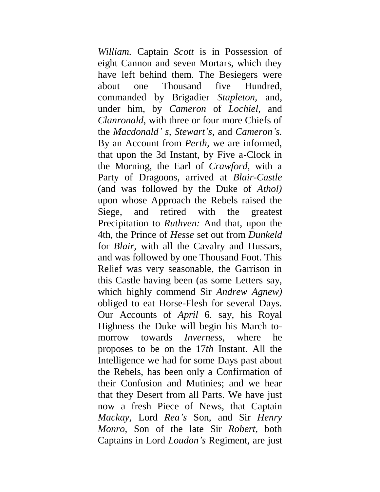*William.* Captain *Scott* is in Possession of eight Cannon and seven Mortars, which they have left behind them. The Besiegers were about one Thousand five Hundred, commanded by Brigadier *Stapleton,* and, under him, by *Cameron* of *Lochiel,* and *Clanronald,* with three or four more Chiefs of the *Macdonald' s, Stewart's,* and *Cameron's.*  By an Account from *Perth,* we are informed, that upon the 3d Instant, by Five a-Clock in the Morning, the Earl of *Crawford,* with a Party of Dragoons, arrived at *Blair-Castle*  (and was followed by the Duke of *Athol)*  upon whose Approach the Rebels raised the Siege, and retired with the greatest Precipitation to *Ruthven:* And that, upon the 4th, the Prince of *Hesse* set out from *Dunkeld*  for *Blair,* with all the Cavalry and Hussars, and was followed by one Thousand Foot. This Relief was very seasonable, the Garrison in this Castle having been (as some Letters say, which highly commend Sir *Andrew Agnew)*  obliged to eat Horse-Flesh for several Days. Our Accounts of *April* 6. say, his Royal Highness the Duke will begin his March tomorrow towards *Inverness,* where he proposes to be on the 17*th* Instant. All the Intelligence we had for some Days past about the Rebels, has been only a Confirmation of their Confusion and Mutinies; and we hear that they Desert from all Parts. We have just now a fresh Piece of News, that Captain *Mackay,* Lord *Rea's* Son, and Sir *Henry Monro,* Son of the late Sir *Robert,* both Captains in Lord *Loudon's* Regiment, are just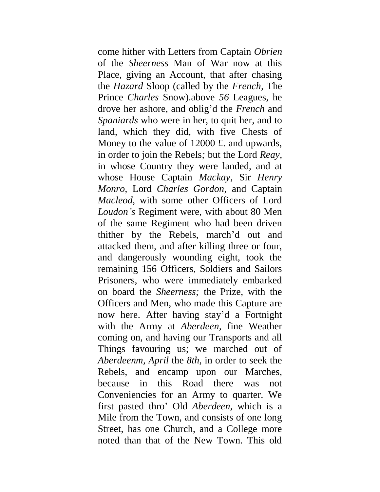come hither with Letters from Captain *Obrien*  of the *Sheerness* Man of War now at this Place, giving an Account, that after chasing the *Hazard* Sloop (called by the *French,* The Prince *Charles* Snow).above *56* Leagues, he drove her ashore, and oblig'd the *French* and *Spaniards* who were in her, to quit her, and to land, which they did, with five Chests of Money to the value of 12000 £, and upwards, in order to join the Rebels*;* but the Lord *Reay,*  in whose Country they were landed, and at whose House Captain *Mackay,* Sir *Henry Monro,* Lord *Charles Gordon,* and Captain *Macleod,* with some other Officers of Lord *Loudon's* Regiment were, with about 80 Men of the same Regiment who had been driven thither by the Rebels, march'd out and attacked them, and after killing three or four, and dangerously wounding eight, took the remaining 156 Officers, Soldiers and Sailors Prisoners, who were immediately embarked on board the *Sheerness;* the Prize, with the Officers and Men, who made this Capture are now here. After having stay'd a Fortnight with the Army at *Aberdeen,* fine Weather coming on, and having our Transports and all Things favouring us; we marched out of *Aberdeenm, April* the *8th,* in order to seek the Rebels, and encamp upon our Marches, because in this Road there was not Conveniencies for an Army to quarter. We first pasted thro' Old *Aberdeen,* which is a Mile from the Town, and consists of one long Street, has one Church, and a College more noted than that of the New Town. This old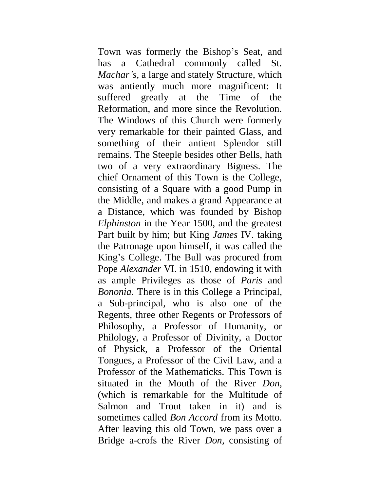Town was formerly the Bishop's Seat, and has a Cathedral commonly called St. *Machar's,* a large and stately Structure, which was antiently much more magnificent: It suffered greatly at the Time of the Reformation, and more since the Revolution. The Windows of this Church were formerly very remarkable for their painted Glass, and something of their antient Splendor still remains. The Steeple besides other Bells, hath two of a very extraordinary Bigness. The chief Ornament of this Town is the College, consisting of a Square with a good Pump in the Middle, and makes a grand Appearance at a Distance, which was founded by Bishop *Elphinston* in the Year 1500, and the greatest Part built by him; but King *James* IV. taking the Patronage upon himself, it was called the King's College. The Bull was procured from Pope *Alexander* VI. in 1510, endowing it with as ample Privileges as those of *Paris* and *Bononia.* There is in this College a Principal, a Sub-principal, who is also one of the Regents, three other Regents or Professors of Philosophy, a Professor of Humanity, or Philology, a Professor of Divinity, a Doctor of Physick, a Professor of the Oriental Tongues, a Professor of the Civil Law, and a Professor of the Mathematicks. This Town is situated in the Mouth of the River *Don,*  (which is remarkable for the Multitude of Salmon and Trout taken in it) and is sometimes called *Bon Accord* from its Motto. After leaving this old Town, we pass over a Bridge a-crofs the River *Don,* consisting of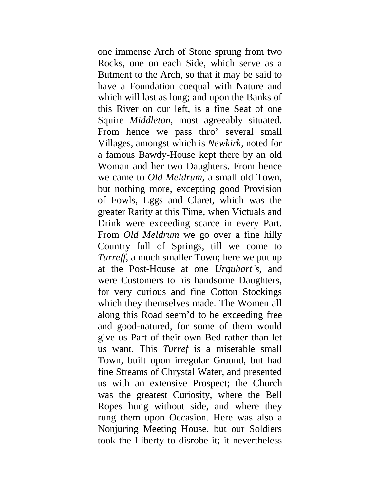one immense Arch of Stone sprung from two Rocks, one on each Side, which serve as a Butment to the Arch, so that it may be said to have a Foundation coequal with Nature and which will last as long; and upon the Banks of this River on our left, is a fine Seat of one Squire *Middleton,* most agreeably situated. From hence we pass thro' several small Villages, amongst which is *Newkirk,* noted for a famous Bawdy-House kept there by an old Woman and her two Daughters. From hence we came to *Old Meldrum,* a small old Town, but nothing more, excepting good Provision of Fowls, Eggs and Claret, which was the greater Rarity at this Time, when Victuals and Drink were exceeding scarce in every Part. From *Old Meldrum* we go over a fine hilly Country full of Springs, till we come to *Turreff,* a much smaller Town; here we put up at the Post-House at one *Urquhart's,* and were Customers to his handsome Daughters, for very curious and fine Cotton Stockings which they themselves made. The Women all along this Road seem'd to be exceeding free and good-natured, for some of them would give us Part of their own Bed rather than let us want. This *Turref* is a miserable small Town, built upon irregular Ground, but had fine Streams of Chrystal Water, and presented us with an extensive Prospect; the Church was the greatest Curiosity, where the Bell Ropes hung without side, and where they rung them upon Occasion. Here was also a Nonjuring Meeting House, but our Soldiers took the Liberty to disrobe it; it nevertheless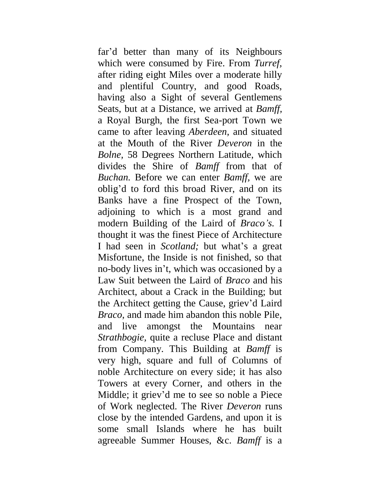far'd better than many of its Neighbours which were consumed by Fire. From *Turref,*  after riding eight Miles over a moderate hilly and plentiful Country, and good Roads, having also a Sight of several Gentlemens Seats, but at a Distance, we arrived at *Bamff,*  a Royal Burgh, the first Sea-port Town we came to after leaving *Aberdeen,* and situated at the Mouth of the River *Deveron* in the *Bolne,* 58 Degrees Northern Latitude, which divides the Shire of *Bamff* from that of *Buchan.* Before we can enter *Bamff,* we are oblig'd to ford this broad River, and on its Banks have a fine Prospect of the Town, adjoining to which is a most grand and modern Building of the Laird of *Braco's.* I thought it was the finest Piece of Architecture I had seen in *Scotland;* but what's a great Misfortune, the Inside is not finished, so that no-body lives in't, which was occasioned by a Law Suit between the Laird of *Braco* and his Architect, about a Crack in the Building; but the Architect getting the Cause, griev'd Laird *Braco,* and made him abandon this noble Pile, and live amongst the Mountains near *Strathbogie,* quite a recluse Place and distant from Company. This Building at *Bamff* is very high, square and full of Columns of noble Architecture on every side; it has also Towers at every Corner, and others in the Middle; it griev'd me to see so noble a Piece of Work neglected. The River *Deveron* runs close by the intended Gardens, and upon it is some small Islands where he has built agreeable Summer Houses, &c. *Bamff* is a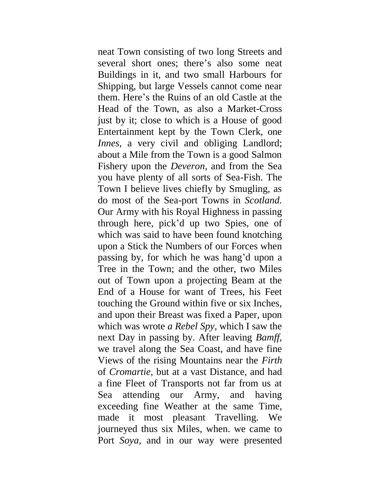neat Town consisting of two long Streets and several short ones; there's also some neat Buildings in it, and two small Harbours for Shipping, but large Vessels cannot come near them. Here's the Ruins of an old Castle at the Head of the Town, as also a Market-Cross just by it; close to which is a House of good Entertainment kept by the Town Clerk, one *Innes*, a very civil and obliging Landlord; about a Mile from the Town is a good Salmon Fishery upon the *Deveron,* and from the Sea you have plenty of all sorts of Sea-Fish. The Town I believe lives chiefly by Smugling, as do most of the Sea-port Towns in *Scotland.*  Our Army with his Royal Highness in passing through here, pick'd up two Spies, one of which was said to have been found knotching upon a Stick the Numbers of our Forces when passing by, for which he was hang'd upon a Tree in the Town; and the other, two Miles out of Town upon a projecting Beam at the End of a House for want of Trees, his Feet touching the Ground within five or six Inches, and upon their Breast was fixed a Paper, upon which was wrote *a Rebel Spy,* which I saw the next Day in passing by. After leaving *Bamff,*  we travel along the Sea Coast, and have fine Views of the rising Mountains near the *Firth*  of *Cromartie,* but at a vast Distance, and had a fine Fleet of Transports not far from us at Sea attending our Army, and having exceeding fine Weather at the same Time, made it most pleasant Travelling. We journeyed thus six Miles, when. we came to Port *Soya,* and in our way were presented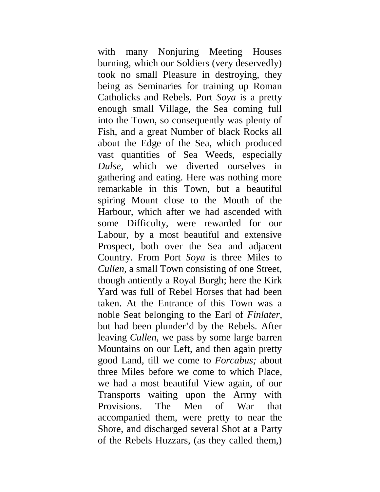with many Nonjuring Meeting Houses burning, which our Soldiers (very deservedly) took no small Pleasure in destroying, they being as Seminaries for training up Roman Catholicks and Rebels. Port *Soya* is a pretty enough small Village, the Sea coming full into the Town, so consequently was plenty of Fish, and a great Number of black Rocks all about the Edge of the Sea, which produced vast quantities of Sea Weeds, especially *Dulse,* which we diverted ourselves in gathering and eating. Here was nothing more remarkable in this Town, but a beautiful spiring Mount close to the Mouth of the Harbour, which after we had ascended with some Difficulty, were rewarded for our Labour, by a most beautiful and extensive Prospect, both over the Sea and adjacent Country. From Port *Soya* is three Miles to *Cullen,* a small Town consisting of one Street, though antiently a Royal Burgh; here the Kirk Yard was full of Rebel Horses that had been taken. At the Entrance of this Town was a noble Seat belonging to the Earl of *Finlater,*  but had been plunder'd by the Rebels. After leaving *Cullen,* we pass by some large barren Mountains on our Left, and then again pretty good Land, till we come to *Forcabus;* about three Miles before we come to which Place, we had a most beautiful View again, of our Transports waiting upon the Army with Provisions. The Men of War that accompanied them, were pretty to near the Shore, and discharged several Shot at a Party of the Rebels Huzzars, (as they called them,)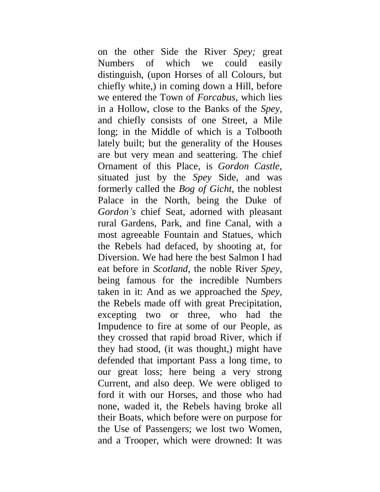on the other Side the River *Spey;* great Numbers of which we could easily distinguish, (upon Horses of all Colours, but chiefly white,) in coming down a Hill, before we entered the Town of *Forcabus,* which lies in a Hollow, close to the Banks of the *Spey,*  and chiefly consists of one Street, a Mile long; in the Middle of which is a Tolbooth lately built; but the generality of the Houses are but very mean and seattering. The chief Ornament of this Place, is *Gordon Castle,*  situated just by the *Spey* Side, and was formerly called the *Bog of Gicht,* the noblest Palace in the North, being the Duke of *Gordon's* chief Seat, adorned with pleasant rural Gardens, Park, and fine Canal, with a most agreeable Fountain and Statues, which the Rebels had defaced, by shooting at, for Diversion. We had here the best Salmon I had eat before in *Scotland,* the noble River *Spey,*  being famous for the incredible Numbers taken in it: And as we approached the *Spey,*  the Rebels made off with great Precipitation, excepting two or three, who had the Impudence to fire at some of our People, as they crossed that rapid broad River, which if they had stood, (it was thought,) might have defended that important Pass a long time, to our great loss; here being a very strong Current, and also deep. We were obliged to ford it with our Horses, and those who had none, waded it, the Rebels having broke all their Boats, which before were on purpose for the Use of Passengers; we lost two Women, and a Trooper, which were drowned: It was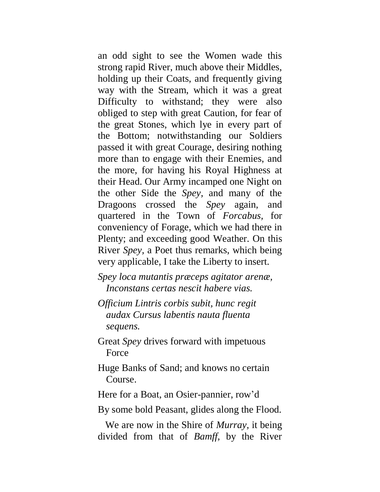an odd sight to see the Women wade this strong rapid River, much above their Middles, holding up their Coats, and frequently giving way with the Stream, which it was a great Difficulty to withstand; they were also obliged to step with great Caution, for fear of the great Stones, which lye in every part of the Bottom; notwithstanding our Soldiers passed it with great Courage, desiring nothing more than to engage with their Enemies, and the more, for having his Royal Highness at their Head. Our Army incamped one Night on the other Side the *Spey,* and many of the Dragoons crossed the *Spey* again, and quartered in the Town of *Forcabus,* for conveniency of Forage, which we had there in Plenty; and exceeding good Weather. On this River *Spey,* a Poet thus remarks, which being very applicable, I take the Liberty to insert.

*Spey loca mutantis præceps agitator arenæ, Inconstans certas nescit habere vias.*

- *Officium Lintris corbis subit, hunc regit audax Cursus labentis nauta fluenta sequens.*
- Great *Spey* drives forward with impetuous Force
- Huge Banks of Sand; and knows no certain Course.

Here for a Boat, an Osier-pannier, row'd

By some bold Peasant, glides along the Flood.

We are now in the Shire of *Murray,* it being divided from that of *Bamff,* by the River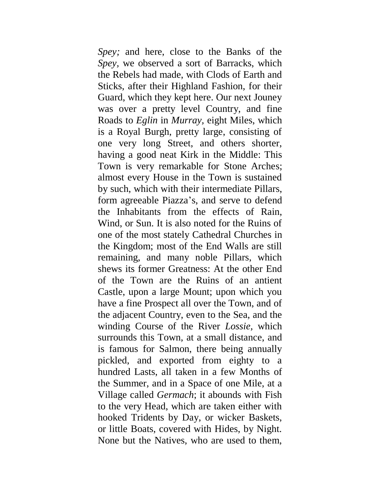*Spey;* and here, close to the Banks of the *Spey,* we observed a sort of Barracks, which the Rebels had made, with Clods of Earth and Sticks, after their Highland Fashion, for their Guard, which they kept here. Our next Jouney was over a pretty level Country, and fine Roads to *Eglin* in *Murray,* eight Miles, which is a Royal Burgh, pretty large, consisting of one very long Street, and others shorter, having a good neat Kirk in the Middle: This Town is very remarkable for Stone Arches; almost every House in the Town is sustained by such, which with their intermediate Pillars, form agreeable Piazza's, and serve to defend the Inhabitants from the effects of Rain, Wind, or Sun. It is also noted for the Ruins of one of the most stately Cathedral Churches in the Kingdom; most of the End Walls are still remaining, and many noble Pillars, which shews its former Greatness: At the other End of the Town are the Ruins of an antient Castle, upon a large Mount; upon which you have a fine Prospect all over the Town, and of the adjacent Country, even to the Sea, and the winding Course of the River *Lossie,* which surrounds this Town, at a small distance, and is famous for Salmon, there being annually pickled, and exported from eighty to a hundred Lasts, all taken in a few Months of the Summer, and in a Space of one Mile, at a Village called *Germach*; it abounds with Fish to the very Head, which are taken either with hooked Tridents by Day, or wicker Baskets, or little Boats, covered with Hides, by Night. None but the Natives, who are used to them,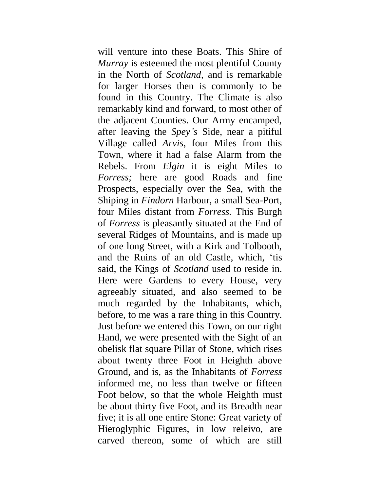will venture into these Boats. This Shire of *Murray* is esteemed the most plentiful County in the North of *Scotland,* and is remarkable for larger Horses then is commonly to be found in this Country. The Climate is also remarkably kind and forward, to most other of the adjacent Counties. Our Army encamped, after leaving the *Spey's* Side, near a pitiful Village called *Arvis,* four Miles from this Town, where it had a false Alarm from the Rebels. From *Elgin* it is eight Miles to *Forress;* here are good Roads and fine Prospects, especially over the Sea, with the Shiping in *Findorn* Harbour, a small Sea-Port, four Miles distant from *Forress.* This Burgh of *Forress* is pleasantly situated at the End of several Ridges of Mountains, and is made up of one long Street, with a Kirk and Tolbooth, and the Ruins of an old Castle, which, 'tis said, the Kings of *Scotland* used to reside in. Here were Gardens to every House, very agreeably situated, and also seemed to be much regarded by the Inhabitants, which, before, to me was a rare thing in this Country. Just before we entered this Town, on our right Hand, we were presented with the Sight of an obelisk flat square Pillar of Stone, which rises about twenty three Foot in Heighth above Ground, and is, as the Inhabitants of *Forress*  informed me, no less than twelve or fifteen Foot below, so that the whole Heighth must be about thirty five Foot, and its Breadth near five; it is all one entire Stone: Great variety of Hieroglyphic Figures, in low releivo, are carved thereon, some of which are still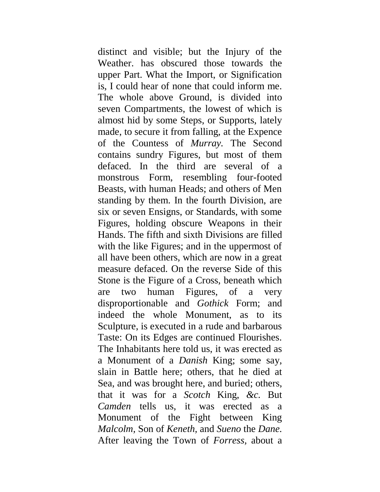distinct and visible; but the Injury of the Weather. has obscured those towards the upper Part. What the Import, or Signification is, I could hear of none that could inform me. The whole above Ground, is divided into seven Compartments, the lowest of which is almost hid by some Steps, or Supports, lately made, to secure it from falling, at the Expence of the Countess of *Murray.* The Second contains sundry Figures, but most of them defaced. In the third are several of a monstrous Form, resembling four-footed Beasts, with human Heads; and others of Men standing by them. In the fourth Division, are six or seven Ensigns, or Standards, with some Figures, holding obscure Weapons in their Hands. The fifth and sixth Divisions are filled with the like Figures; and in the uppermost of all have been others, which are now in a great measure defaced. On the reverse Side of this Stone is the Figure of a Cross, beneath which are two human Figures, of a very disproportionable and *Gothick* Form; and indeed the whole Monument, as to its Sculpture, is executed in a rude and barbarous Taste: On its Edges are continued Flourishes. The Inhabitants here told us, it was erected as a Monument of a *Danish* King; some say, slain in Battle here; others, that he died at Sea, and was brought here, and buried; others, that it was for a *Scotch* King, *&c.* But *Camden* tells us, it was erected as a Monument of the Fight between King *Malcolm,* Son of *Keneth,* and *Sueno* the *Dane.*  After leaving the Town of *Forress,* about a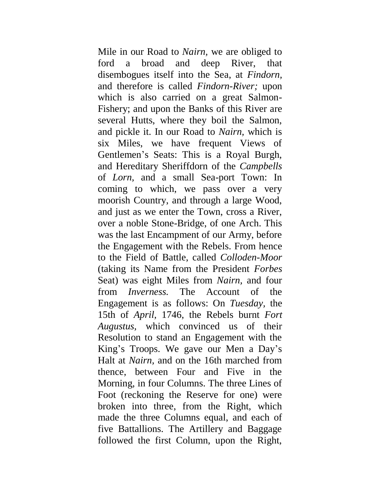Mile in our Road to *Nairn,* we are obliged to ford a broad and deep River, that disembogues itself into the Sea, at *Findorn,*  and therefore is called *Findorn-River;* upon which is also carried on a great Salmon-Fishery; and upon the Banks of this River are several Hutts, where they boil the Salmon, and pickle it. In our Road to *Nairn,* which is six Miles, we have frequent Views of Gentlemen's Seats: This is a Royal Burgh, and Hereditary Sheriffdorn of the *Campbells*  of *Lorn,* and a small Sea-port Town: In coming to which, we pass over a very moorish Country, and through a large Wood, and just as we enter the Town, cross a River, over a noble Stone-Bridge, of one Arch. This was the last Encampment of our Army, before the Engagement with the Rebels. From hence to the Field of Battle, called *Colloden-Moor*  (taking its Name from the President *Forbes*  Seat) was eight Miles from *Nairn,* and four from *Inverness.* The Account of the Engagement is as follows: On *Tuesday,* the 15th of *April,* 1746, the Rebels burnt *Fort Augustus,* which convinced us of their Resolution to stand an Engagement with the King's Troops. We gave our Men a Day's Halt at *Nairn,* and on the 16th marched from thence, between Four and Five in the Morning, in four Columns. The three Lines of Foot (reckoning the Reserve for one) were broken into three, from the Right, which made the three Columns equal, and each of five Battallions. The Artillery and Baggage followed the first Column, upon the Right,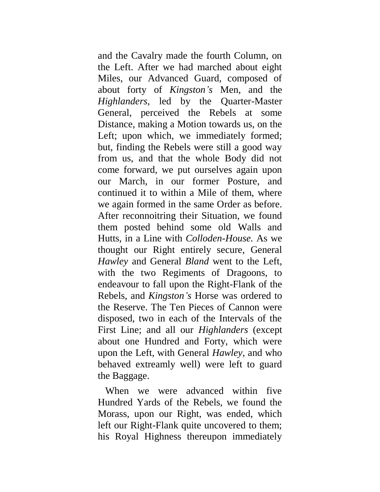and the Cavalry made the fourth Column, on the Left. After we had marched about eight Miles, our Advanced Guard, composed of about forty of *Kingston's* Men, and the *Highlanders,* led by the Quarter-Master General, perceived the Rebels at some Distance, making a Motion towards us, on the Left; upon which, we immediately formed; but, finding the Rebels were still a good way from us, and that the whole Body did not come forward, we put ourselves again upon our March, in our former Posture, and continued it to within a Mile of them, where we again formed in the same Order as before. After reconnoitring their Situation, we found them posted behind some old Walls and Hutts, in a Line with *Colloden-House.* As we thought our Right entirely secure, General *Hawley* and General *Bland* went to the Left, with the two Regiments of Dragoons, to endeavour to fall upon the Right-Flank of the Rebels, and *Kingston's* Horse was ordered to the Reserve. The Ten Pieces of Cannon were disposed, two in each of the Intervals of the First Line; and all our *Highlanders* (except about one Hundred and Forty, which were upon the Left, with General *Hawley,* and who behaved extreamly well) were left to guard the Baggage.

When we were advanced within five Hundred Yards of the Rebels, we found the Morass, upon our Right, was ended, which left our Right-Flank quite uncovered to them; his Royal Highness thereupon immediately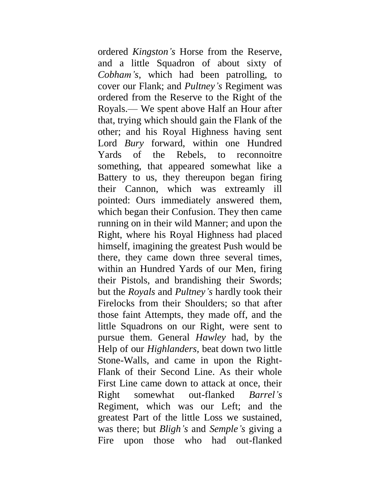ordered *Kingston's* Horse from the Reserve, and a little Squadron of about sixty of *Cobham's,* which had been patrolling, to cover our Flank; and *Pultney's* Regiment was ordered from the Reserve to the Right of the Royals.— We spent above Half an Hour after that, trying which should gain the Flank of the other; and his Royal Highness having sent Lord *Bury* forward, within one Hundred Yards of the Rebels, to reconnoitre something, that appeared somewhat like a Battery to us, they thereupon began firing their Cannon, which was extreamly ill pointed: Ours immediately answered them, which began their Confusion. They then came running on in their wild Manner; and upon the Right, where his Royal Highness had placed himself, imagining the greatest Push would be there, they came down three several times, within an Hundred Yards of our Men, firing their Pistols, and brandishing their Swords; but the *Royals* and *Pultney's* hardly took their Firelocks from their Shoulders; so that after those faint Attempts, they made off, and the little Squadrons on our Right, were sent to pursue them. General *Hawley* had, by the Help of our *Highlanders,* beat down two little Stone-Walls, and came in upon the Right-Flank of their Second Line. As their whole First Line came down to attack at once, their Right somewhat out-flanked *Barrel's*  Regiment, which was our Left; and the greatest Part of the little Loss we sustained, was there; but *Bligh's* and *Semple's* giving a Fire upon those who had out-flanked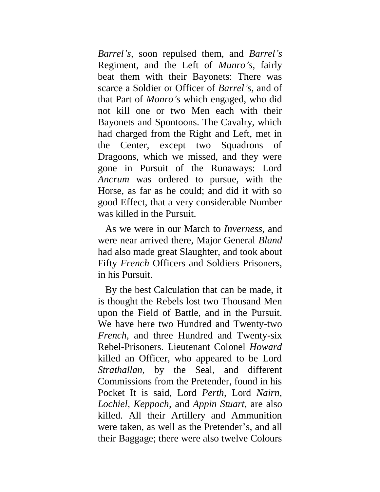*Barrel's,* soon repulsed them, and *Barrel's*  Regiment, and the Left of *Munro's,* fairly beat them with their Bayonets: There was scarce a Soldier or Officer of *Barrel's,* and of that Part of *Monro's* which engaged, who did not kill one or two Men each with their Bayonets and Spontoons. The Cavalry, which had charged from the Right and Left, met in the Center, except two Squadrons of Dragoons, which we missed, and they were gone in Pursuit of the Runaways: Lord *Ancrum* was ordered to pursue, with the Horse, as far as he could; and did it with so good Effect, that a very considerable Number was killed in the Pursuit.

As we were in our March to *Inverness,* and were near arrived there, Major General *Bland*  had also made great Slaughter, and took about Fifty *French* Officers and Soldiers Prisoners, in his Pursuit.

By the best Calculation that can be made, it is thought the Rebels lost two Thousand Men upon the Field of Battle, and in the Pursuit. We have here two Hundred and Twenty-two *French,* and three Hundred and Twenty-six Rebel-Prisoners. Lieutenant Colonel *Howard*  killed an Officer, who appeared to be Lord *Strathallan,* by the Seal, and different Commissions from the Pretender, found in his Pocket It is said, Lord *Perth,* Lord *Nairn, Lochiel, Keppoch,* and *Appin Stuart,* are also killed. All their Artillery and Ammunition were taken, as well as the Pretender's, and all their Baggage; there were also twelve Colours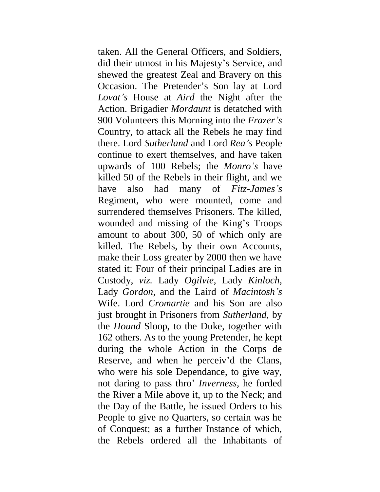taken. All the General Officers, and Soldiers, did their utmost in his Majesty's Service, and shewed the greatest Zeal and Bravery on this Occasion. The Pretender's Son lay at Lord *Lovat's* House at *Aird* the Night after the Action. Brigadier *Mordaunt* is detatched with 900 Volunteers this Morning into the *Frazer's*  Country, to attack all the Rebels he may find there. Lord *Sutherland* and Lord *Rea's* People continue to exert themselves, and have taken upwards of 100 Rebels; the *Monro's* have killed 50 of the Rebels in their flight, and we have also had many of *Fitz-James's*  Regiment, who were mounted, come and surrendered themselves Prisoners. The killed, wounded and missing of the King's Troops amount to about 300, 50 of which only are killed. The Rebels, by their own Accounts, make their Loss greater by 2000 then we have stated it: Four of their principal Ladies are in Custody, *viz.* Lady *Ogilvie,* Lady *Kinloch,*  Lady *Gordon,* and the Laird of *Macintosh's*  Wife. Lord *Cromartie* and his Son are also just brought in Prisoners from *Sutherland,* by the *Hound* Sloop, to the Duke, together with 162 others. As to the young Pretender, he kept during the whole Action in the Corps de Reserve, and when he perceiv'd the Clans, who were his sole Dependance, to give way, not daring to pass thro' *Inverness,* he forded the River a Mile above it, up to the Neck; and the Day of the Battle, he issued Orders to his People to give no Quarters, so certain was he of Conquest; as a further Instance of which, the Rebels ordered all the Inhabitants of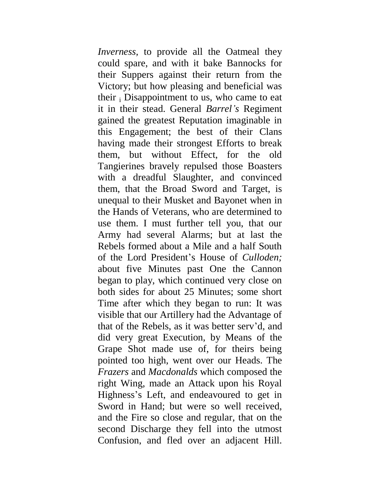*Inverness,* to provide all the Oatmeal they could spare, and with it bake Bannocks for their Suppers against their return from the Victory; but how pleasing and beneficial was their  $\epsilon$  Disappointment to us, who came to eat it in their stead. General *Barrel's* Regiment gained the greatest Reputation imaginable in this Engagement; the best of their Clans having made their strongest Efforts to break them, but without Effect, for the old Tangierines bravely repulsed those Boasters with a dreadful Slaughter, and convinced them, that the Broad Sword and Target, is unequal to their Musket and Bayonet when in the Hands of Veterans, who are determined to use them. I must further tell you, that our Army had several Alarms; but at last the Rebels formed about a Mile and a half South of the Lord President's House of *Culloden;*  about five Minutes past One the Cannon began to play, which continued very close on both sides for about 25 Minutes; some short Time after which they began to run: It was visible that our Artillery had the Advantage of that of the Rebels, as it was better serv'd, and did very great Execution, by Means of the Grape Shot made use of, for theirs being pointed too high, went over our Heads. The *Frazers* and *Macdonalds* which composed the right Wing, made an Attack upon his Royal Highness's Left, and endeavoured to get in Sword in Hand; but were so well received, and the Fire so close and regular, that on the second Discharge they fell into the utmost Confusion, and fled over an adjacent Hill.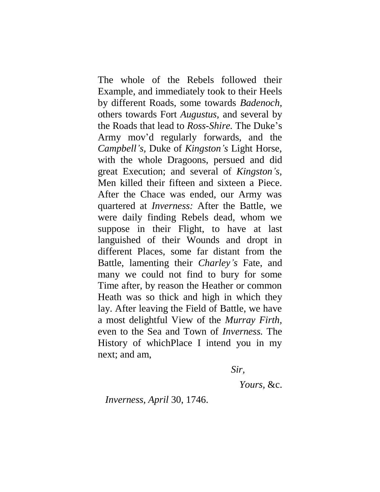The whole of the Rebels followed their Example, and immediately took to their Heels by different Roads, some towards *Badenoch,*  others towards Fort *Augustus,* and several by the Roads that lead to *Ross-Shire.* The Duke's Army mov'd regularly forwards, and the *Campbell's,* Duke of *Kingston's* Light Horse, with the whole Dragoons, persued and did great Execution; and several of *Kingston's,*  Men killed their fifteen and sixteen a Piece. After the Chace was ended, our Army was quartered at *Inverness:* After the Battle, we were daily finding Rebels dead, whom we suppose in their Flight, to have at last languished of their Wounds and dropt in different Places, some far distant from the Battle, lamenting their *Charley's* Fate, and many we could not find to bury for some Time after, by reason the Heather or common Heath was so thick and high in which they lay. After leaving the Field of Battle, we have a most delightful View of the *Murray Firth,*  even to the Sea and Town of *Inverness.* The History of whichPlace I intend you in my next; and am,

*Sir,*

*Yours,* &c.

*Inverness, April* 30, 1746.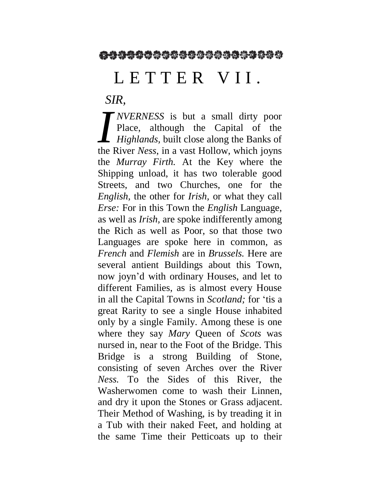## L E T T E R V I I.

*SIR,*

*NVERNESS* is but a small dirty poor Place, although the Capital of the *Highlands,* built close along the Banks of *NVERNESS* is but a small dirty poor<br>Place, although the Capital of the<br>*Highlands*, built close along the Banks of<br>the River *Ness*, in a vast Hollow, which joyns the *Murray Firth.* At the Key where the Shipping unload, it has two tolerable good Streets, and two Churches, one for the *English,* the other for *Irish,* or what they call *Erse:* For in this Town the *English* Language, as well as *Irish,* are spoke indifferently among the Rich as well as Poor, so that those two Languages are spoke here in common, as *French* and *Flemish* are in *Brussels.* Here are several antient Buildings about this Town, now joyn'd with ordinary Houses, and let to different Families, as is almost every House in all the Capital Towns in *Scotland;* for 'tis a great Rarity to see a single House inhabited only by a single Family. Among these is one where they say *Mary* Queen of *Scots* was nursed in, near to the Foot of the Bridge. This Bridge is a strong Building of Stone, consisting of seven Arches over the River *Ness.* To the Sides of this River, the Washerwomen come to wash their Linnen, and dry it upon the Stones or Grass adjacent. Their Method of Washing, is by treading it in a Tub with their naked Feet, and holding at the same Time their Petticoats up to their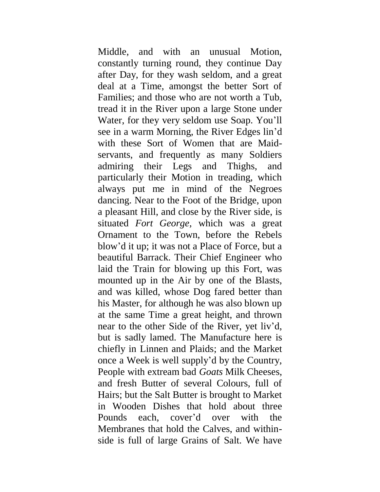Middle, and with an unusual Motion, constantly turning round, they continue Day after Day, for they wash seldom, and a great deal at a Time, amongst the better Sort of Families; and those who are not worth a Tub, tread it in the River upon a large Stone under Water, for they very seldom use Soap. You'll see in a warm Morning, the River Edges lin'd with these Sort of Women that are Maidservants, and frequently as many Soldiers admiring their Legs and Thighs, and particularly their Motion in treading, which always put me in mind of the Negroes dancing. Near to the Foot of the Bridge, upon a pleasant Hill, and close by the River side, is situated *Fort George,* which was a great Ornament to the Town, before the Rebels blow'd it up; it was not a Place of Force, but a beautiful Barrack. Their Chief Engineer who laid the Train for blowing up this Fort, was mounted up in the Air by one of the Blasts, and was killed, whose Dog fared better than his Master, for although he was also blown up at the same Time a great height, and thrown near to the other Side of the River, yet liv'd, but is sadly lamed. The Manufacture here is chiefly in Linnen and Plaids; and the Market once a Week is well supply'd by the Country, People with extream bad *Goats* Milk Cheeses, and fresh Butter of several Colours, full of Hairs; but the Salt Butter is brought to Market in Wooden Dishes that hold about three Pounds each, cover'd over with the Membranes that hold the Calves, and withinside is full of large Grains of Salt. We have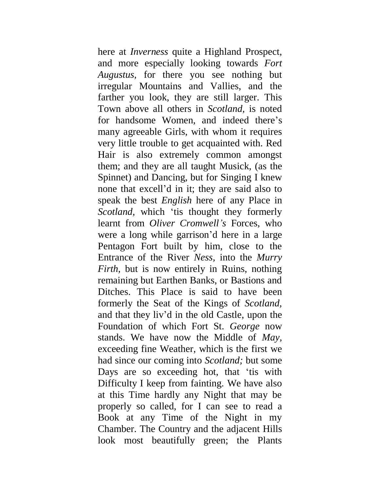here at *Inverness* quite a Highland Prospect, and more especially looking towards *Fort Augustus,* for there you see nothing but irregular Mountains and Vallies, and the farther you look, they are still larger. This Town above all others in *Scotland,* is noted for handsome Women, and indeed there's many agreeable Girls, with whom it requires very little trouble to get acquainted with. Red Hair is also extremely common amongst them; and they are all taught Musick, (as the Spinnet) and Dancing, but for Singing I knew none that excell'd in it; they are said also to speak the best *English* here of any Place in *Scotland,* which 'tis thought they formerly learnt from *Oliver Cromwell's* Forces, who were a long while garrison'd here in a large Pentagon Fort built by him, close to the Entrance of the River *Ness,* into the *Murry Firth,* but is now entirely in Ruins, nothing remaining but Earthen Banks, or Bastions and Ditches. This Place is said to have been formerly the Seat of the Kings of *Scotland,*  and that they liv'd in the old Castle, upon the Foundation of which Fort St. *George* now stands. We have now the Middle of *May,*  exceeding fine Weather, which is the first we had since our coming into *Scotland;* but some Days are so exceeding hot, that 'tis with Difficulty I keep from fainting. We have also at this Time hardly any Night that may be properly so called, for I can see to read a Book at any Time of the Night in my Chamber. The Country and the adjacent Hills look most beautifully green; the Plants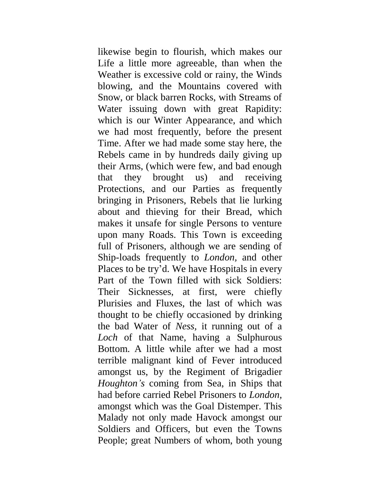likewise begin to flourish, which makes our Life a little more agreeable, than when the Weather is excessive cold or rainy, the Winds blowing, and the Mountains covered with Snow, or black barren Rocks, with Streams of Water issuing down with great Rapidity: which is our Winter Appearance, and which we had most frequently, before the present Time. After we had made some stay here, the Rebels came in by hundreds daily giving up their Arms, (which were few, and bad enough that they brought us) and receiving Protections, and our Parties as frequently bringing in Prisoners, Rebels that lie lurking about and thieving for their Bread, which makes it unsafe for single Persons to venture upon many Roads. This Town is exceeding full of Prisoners, although we are sending of Ship-loads frequently to *London,* and other Places to be try'd. We have Hospitals in every Part of the Town filled with sick Soldiers: Their Sicknesses, at first, were chiefly Plurisies and Fluxes, the last of which was thought to be chiefly occasioned by drinking the bad Water of *Ness,* it running out of a *Loch* of that Name, having a Sulphurous Bottom. A little while after we had a most terrible malignant kind of Fever introduced amongst us, by the Regiment of Brigadier *Houghton's* coming from Sea, in Ships that had before carried Rebel Prisoners to *London,*  amongst which was the Goal Distemper. This Malady not only made Havock amongst our Soldiers and Officers, but even the Towns People; great Numbers of whom, both young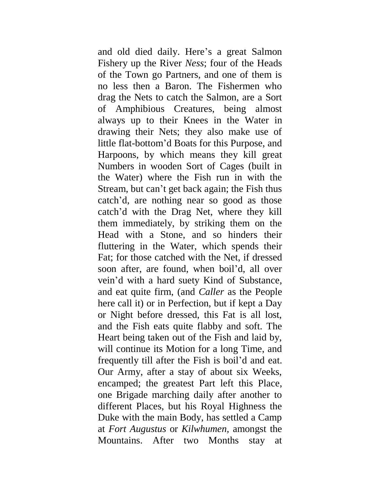and old died daily. Here's a great Salmon Fishery up the River *Ness*; four of the Heads of the Town go Partners, and one of them is no less then a Baron. The Fishermen who drag the Nets to catch the Salmon, are a Sort of Amphibious Creatures, being almost always up to their Knees in the Water in drawing their Nets; they also make use of little flat-bottom'd Boats for this Purpose, and Harpoons, by which means they kill great Numbers in wooden Sort of Cages (built in the Water) where the Fish run in with the Stream, but can't get back again; the Fish thus catch'd, are nothing near so good as those catch'd with the Drag Net, where they kill them immediately, by striking them on the Head with a Stone, and so hinders their fluttering in the Water, which spends their Fat; for those catched with the Net, if dressed soon after, are found, when boil'd, all over vein'd with a hard suety Kind of Substance, and eat quite firm, (and *Caller* as the People here call it) or in Perfection, but if kept a Day or Night before dressed, this Fat is all lost, and the Fish eats quite flabby and soft. The Heart being taken out of the Fish and laid by, will continue its Motion for a long Time, and frequently till after the Fish is boil'd and eat. Our Army, after a stay of about six Weeks, encamped; the greatest Part left this Place, one Brigade marching daily after another to different Places, but his Royal Highness the Duke with the main Body, has settled a Camp at *Fort Augustus* or *Kilwhumen,* amongst the Mountains. After two Months stay at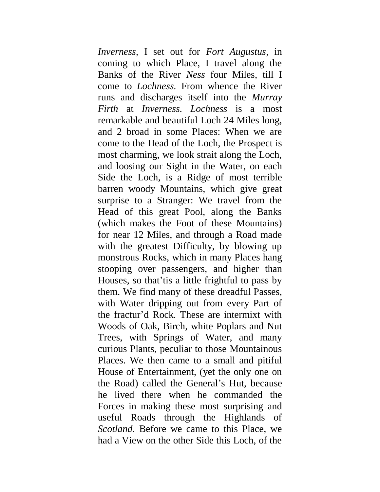*Inverness,* I set out for *Fort Augustus,* in coming to which Place, I travel along the Banks of the River *Ness* four Miles, till I come to *Lochness.* From whence the River runs and discharges itself into the *Murray Firth* at *Inverness. Lochness* is a most remarkable and beautiful Loch 24 Miles long, and 2 broad in some Places: When we are come to the Head of the Loch, the Prospect is most charming, we look strait along the Loch, and loosing our Sight in the Water, on each Side the Loch, is a Ridge of most terrible barren woody Mountains, which give great surprise to a Stranger: We travel from the Head of this great Pool, along the Banks (which makes the Foot of these Mountains) for near 12 Miles, and through a Road made with the greatest Difficulty, by blowing up monstrous Rocks, which in many Places hang stooping over passengers, and higher than Houses, so that'tis a little frightful to pass by them. We find many of these dreadful Passes, with Water dripping out from every Part of the fractur'd Rock. These are intermixt with Woods of Oak, Birch, white Poplars and Nut Trees, with Springs of Water, and many curious Plants, peculiar to those Mountainous Places. We then came to a small and pitiful House of Entertainment, (yet the only one on the Road) called the General's Hut, because he lived there when he commanded the Forces in making these most surprising and useful Roads through the Highlands of *Scotland.* Before we came to this Place, we had a View on the other Side this Loch, of the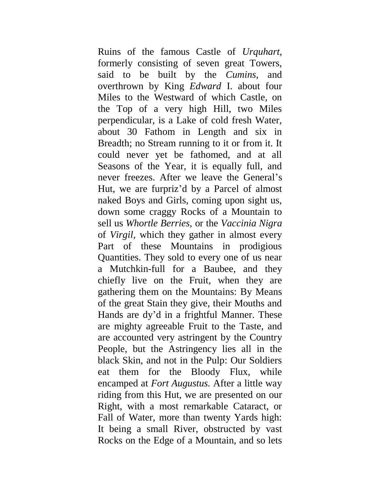Ruins of the famous Castle of *Urquhart,*  formerly consisting of seven great Towers, said to be built by the *Cumins,* and overthrown by King *Edward* I. about four Miles to the Westward of which Castle, on the Top of a very high Hill, two Miles perpendicular, is a Lake of cold fresh Water, about 30 Fathom in Length and six in Breadth; no Stream running to it or from it. It could never yet be fathomed, and at all Seasons of the Year, it is equally full, and never freezes. After we leave the General's Hut, we are furpriz'd by a Parcel of almost naked Boys and Girls, coming upon sight us, down some craggy Rocks of a Mountain to sell us *Whortle Berries,* or the *Vaccinia Nigra*  of *Virgil,* which they gather in almost every Part of these Mountains in prodigious Quantities. They sold to every one of us near a Mutchkin-full for a Baubee, and they chiefly live on the Fruit, when they are gathering them on the Mountains: By Means of the great Stain they give, their Mouths and Hands are dy'd in a frightful Manner. These are mighty agreeable Fruit to the Taste, and are accounted very astringent by the Country People, but the Astringency lies all in the black Skin, and not in the Pulp: Our Soldiers eat them for the Bloody Flux, while encamped at *Fort Augustus.* After a little way riding from this Hut, we are presented on our Right, with a most remarkable Cataract, or Fall of Water, more than twenty Yards high: It being a small River, obstructed by vast Rocks on the Edge of a Mountain, and so lets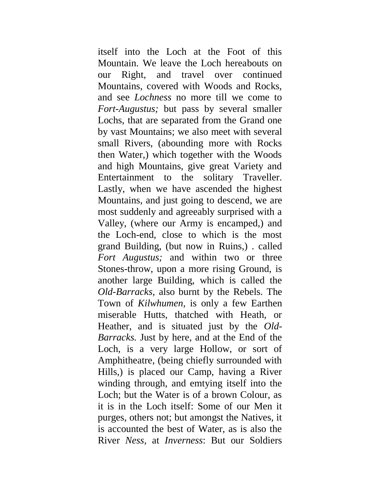itself into the Loch at the Foot of this Mountain. We leave the Loch hereabouts on our Right, and travel over continued Mountains, covered with Woods and Rocks, and see *Lochness* no more till we come to *Fort-Augustus;* but pass by several smaller Lochs, that are separated from the Grand one by vast Mountains; we also meet with several small Rivers, (abounding more with Rocks then Water,) which together with the Woods and high Mountains, give great Variety and Entertainment to the solitary Traveller. Lastly, when we have ascended the highest Mountains, and just going to descend, we are most suddenly and agreeably surprised with a Valley, (where our Army is encamped,) and the Loch-end, close to which is the most grand Building, (but now in Ruins,) . called *Fort Augustus;* and within two or three Stones-throw, upon a more rising Ground, is another large Building, which is called the *Old-Barracks,* also burnt by the Rebels. The Town of *Kilwhumen,* is only a few Earthen miserable Hutts, thatched with Heath, or Heather, and is situated just by the *Old-Barracks.* Just by here, and at the End of the Loch, is a very large Hollow, or sort of Amphitheatre, (being chiefly surrounded with Hills,) is placed our Camp, having a River winding through, and emtying itself into the Loch; but the Water is of a brown Colour, as it is in the Loch itself: Some of our Men it purges, others not; but amongst the Natives, it is accounted the best of Water, as is also the River *Ness,* at *Inverness*: But our Soldiers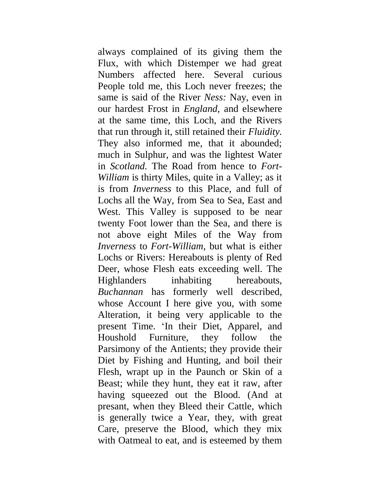always complained of its giving them the Flux, with which Distemper we had great Numbers affected here. Several curious People told me, this Loch never freezes; the same is said of the River *Ness:* Nay, even in our hardest Frost in *England,* and elsewhere at the same time, this Loch, and the Rivers that run through it, still retained their *Fluidity.*  They also informed me, that it abounded; much in Sulphur, and was the lightest Water in *Scotland.* The Road from hence to *Fort-William* is thirty Miles, quite in a Valley; as it is from *Inverness* to this Place, and full of Lochs all the Way, from Sea to Sea, East and West. This Valley is supposed to be near twenty Foot lower than the Sea, and there is not above eight Miles of the Way from *Inverness* to *Fort-William,* but what is either Lochs or Rivers: Hereabouts is plenty of Red Deer, whose Flesh eats exceeding well. The Highlanders inhabiting hereabouts, *Buchannan* has formerly well described, whose Account I here give you, with some Alteration, it being very applicable to the present Time. 'In their Diet, Apparel, and Houshold Furniture, they follow the Parsimony of the Antients; they provide their Diet by Fishing and Hunting, and boil their Flesh, wrapt up in the Paunch or Skin of a Beast; while they hunt, they eat it raw, after having squeezed out the Blood. (And at presant, when they Bleed their Cattle, which is generally twice a Year, they, with great Care, preserve the Blood, which they mix with Oatmeal to eat, and is esteemed by them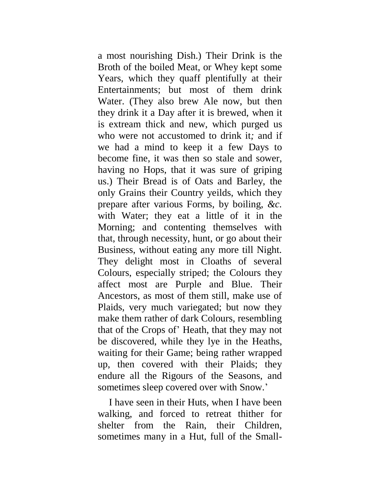a most nourishing Dish.) Their Drink is the Broth of the boiled Meat, or Whey kept some Years, which they quaff plentifully at their Entertainments; but most of them drink Water. (They also brew Ale now, but then they drink it a Day after it is brewed, when it is extream thick and new, which purged us who were not accustomed to drink it*;* and if we had a mind to keep it a few Days to become fine, it was then so stale and sower, having no Hops, that it was sure of griping us.) Their Bread is of Oats and Barley, the only Grains their Country yeilds, which they prepare after various Forms, by boiling, *&c.*  with Water; they eat a little of it in the Morning; and contenting themselves with that, through necessity, hunt, or go about their Business, without eating any more till Night. They delight most in Cloaths of several Colours, especially striped; the Colours they affect most are Purple and Blue. Their Ancestors, as most of them still, make use of Plaids, very much variegated; but now they make them rather of dark Colours, resembling that of the Crops of' Heath, that they may not be discovered, while they lye in the Heaths, waiting for their Game; being rather wrapped up, then covered with their Plaids; they endure all the Rigours of the Seasons, and sometimes sleep covered over with Snow.'

I have seen in their Huts, when I have been walking, and forced to retreat thither for shelter from the Rain, their Children, sometimes many in a Hut, full of the Small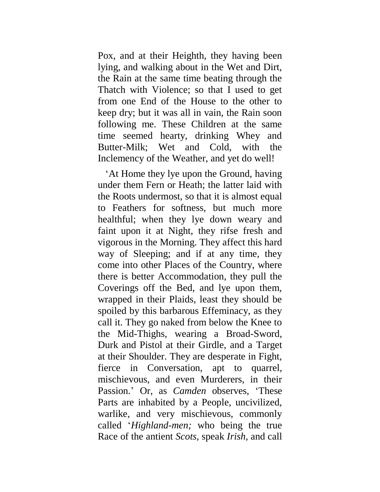Pox, and at their Heighth, they having been lying, and walking about in the Wet and Dirt, the Rain at the same time beating through the Thatch with Violence; so that I used to get from one End of the House to the other to keep dry; but it was all in vain, the Rain soon following me. These Children at the same time seemed hearty, drinking Whey and Butter-Milk; Wet and Cold, with the Inclemency of the Weather, and yet do well!

'At Home they lye upon the Ground, having under them Fern or Heath; the latter laid with the Roots undermost, so that it is almost equal to Feathers for softness, but much more healthful; when they lye down weary and faint upon it at Night, they rifse fresh and vigorous in the Morning. They affect this hard way of Sleeping; and if at any time, they come into other Places of the Country, where there is better Accommodation, they pull the Coverings off the Bed, and lye upon them, wrapped in their Plaids, least they should be spoiled by this barbarous Effeminacy, as they call it. They go naked from below the Knee to the Mid-Thighs, wearing a Broad-Sword, Durk and Pistol at their Girdle, and a Target at their Shoulder. They are desperate in Fight, fierce in Conversation, apt to quarrel, mischievous, and even Murderers, in their Passion.' Or, as *Camden* observes, 'These Parts are inhabited by a People, uncivilized, warlike, and very mischievous, commonly called '*Highland-men;* who being the true Race of the antient *Scots,* speak *Irish,* and call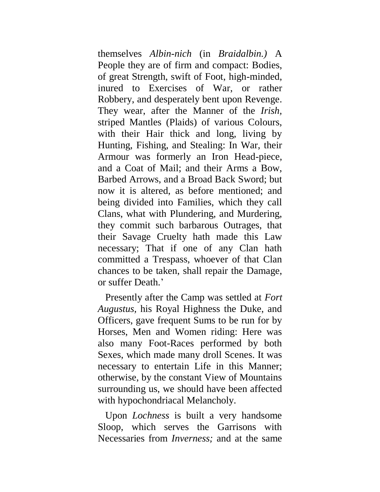themselves *Albin-nich* (in *Braidalbin.)* A People they are of firm and compact: Bodies, of great Strength, swift of Foot, high-minded, inured to Exercises of War, or rather Robbery, and desperately bent upon Revenge. They wear, after the Manner of the *Irish,*  striped Mantles (Plaids) of various Colours, with their Hair thick and long, living by Hunting, Fishing, and Stealing: In War, their Armour was formerly an Iron Head-piece, and a Coat of Mail; and their Arms a Bow, Barbed Arrows, and a Broad Back Sword; but now it is altered, as before mentioned; and being divided into Families, which they call Clans, what with Plundering, and Murdering, they commit such barbarous Outrages, that their Savage Cruelty hath made this Law necessary; That if one of any Clan hath committed a Trespass, whoever of that Clan chances to be taken, shall repair the Damage, or suffer Death.'

Presently after the Camp was settled at *Fort Augustus,* his Royal Highness the Duke, and Officers, gave frequent Sums to be run for by Horses, Men and Women riding: Here was also many Foot-Races performed by both Sexes, which made many droll Scenes. It was necessary to entertain Life in this Manner; otherwise, by the constant View of Mountains surrounding us, we should have been affected with hypochondriacal Melancholy.

Upon *Lochness* is built a very handsome Sloop, which serves the Garrisons with Necessaries from *Inverness;* and at the same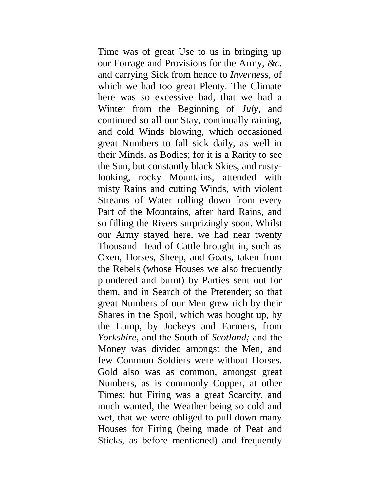Time was of great Use to us in bringing up our Forrage and Provisions for the Army, *&c.*  and carrying Sick from hence to *Inverness,* of which we had too great Plenty. The Climate here was so excessive bad, that we had a Winter from the Beginning of *July,* and continued so all our Stay, continually raining, and cold Winds blowing, which occasioned great Numbers to fall sick daily, as well in their Minds, as Bodies; for it is a Rarity to see the Sun, but constantly black Skies, and rustylooking, rocky Mountains, attended with misty Rains and cutting Winds, with violent Streams of Water rolling down from every Part of the Mountains, after hard Rains, and so filling the Rivers surprizingly soon. Whilst our Army stayed here, we had near twenty Thousand Head of Cattle brought in, such as Oxen, Horses, Sheep, and Goats, taken from the Rebels (whose Houses we also frequently plundered and burnt) by Parties sent out for them, and in Search of the Pretender; so that great Numbers of our Men grew rich by their Shares in the Spoil, which was bought up, by the Lump, by Jockeys and Farmers, from *Yorkshire,* and the South of *Scotland;* and the Money was divided amongst the Men, and few Common Soldiers were without Horses. Gold also was as common, amongst great Numbers, as is commonly Copper, at other Times; but Firing was a great Scarcity, and much wanted, the Weather being so cold and wet, that we were obliged to pull down many Houses for Firing (being made of Peat and Sticks, as before mentioned) and frequently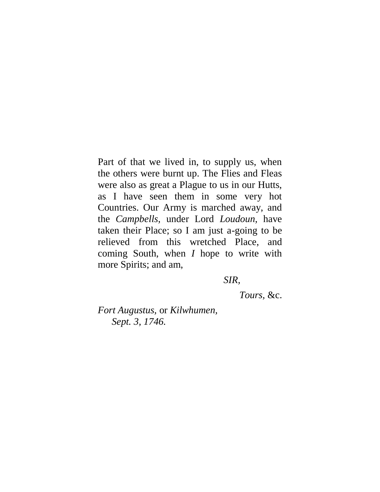Part of that we lived in, to supply us, when the others were burnt up. The Flies and Fleas were also as great a Plague to us in our Hutts, as I have seen them in some very hot Countries. Our Army is marched away, and the *Campbells,* under Lord *Loudoun,* have taken their Place; so I am just a-going to be relieved from this wretched Place, and coming South, when *I* hope to write with more Spirits; and am,

*SIR,*

*Tours,* &c.

*Fort Augustus,* or *Kilwhumen, Sept. 3, 1746.*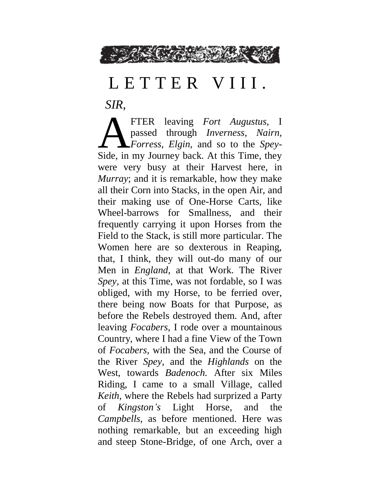

## L E T T E R V I I I.

*SIR,*

FTER leaving *Fort Augustus,* I passed through *Inverness, Nairn, Forress, Elgin,* and so to the *Spey-*FTER leaving Fort Augustus, I<br>passed through *Inverness*, Nairn,<br>Forress, Elgin, and so to the Spey-<br>Side, in my Journey back. At this Time, they were very busy at their Harvest here, in *Murray*; and it is remarkable, how they make all their Corn into Stacks, in the open Air, and their making use of One-Horse Carts, like Wheel-barrows for Smallness, and their frequently carrying it upon Horses from the Field to the Stack, is still more particular. The Women here are so dexterous in Reaping, that, I think, they will out-do many of our Men in *England,* at that Work. The River *Spey,* at this Time, was not fordable, so I was obliged, with my Horse, to be ferried over, there being now Boats for that Purpose, as before the Rebels destroyed them. And, after leaving *Focabers,* I rode over a mountainous Country, where I had a fine View of the Town of *Focabers,* with the Sea, and the Course of the River *Spey,* and the *Highlands* on the West, towards *Badenoch.* After six Miles Riding, I came to a small Village, called *Keith,* where the Rebels had surprized a Party of *Kingston's* Light Horse, and the *Campbells*, as before mentioned. Here was nothing remarkable, but an exceeding high and steep Stone-Bridge, of one Arch, over a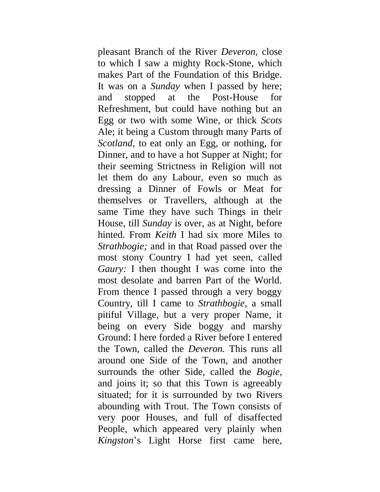pleasant Branch of the River *Deveron,* close to which I saw a mighty Rock-Stone, which makes Part of the Foundation of this Bridge. It was on a *Sunday* when I passed by here; and stopped at the Post-House for Refreshment, but could have nothing but an Egg or two with some Wine, or thick *Scots*  Ale; it being a Custom through many Parts of *Scotland,* to eat only an Egg, or nothing, for Dinner, and to have a hot Supper at Night; for their seeming Strictness in Religion will not let them do any Labour, even so much as dressing a Dinner of Fowls or Meat for themselves or Travellers, although at the same Time they have such Things in their House, till *Sunday* is over, as at Night, before hinted. From *Keith* I had six more Miles to *Strathbogie;* and in that Road passed over the most stony Country I had yet seen, called *Gaury:* I then thought I was come into the most desolate and barren Part of the World. From thence I passed through a very boggy Country, till I came to *Strathbogie,* a small pitiful Village, but a very proper Name, it being on every Side boggy and marshy Ground: I here forded a River before I entered the Town, called the *Deveron.* This runs all around one Side of the Town, and another surrounds the other Side, called the *Bogie,*  and joins it; so that this Town is agreeably situated; for it is surrounded by two Rivers abounding with Trout. The Town consists of very poor Houses, and full of disaffected People, which appeared very plainly when *Kingston*'s Light Horse first came here,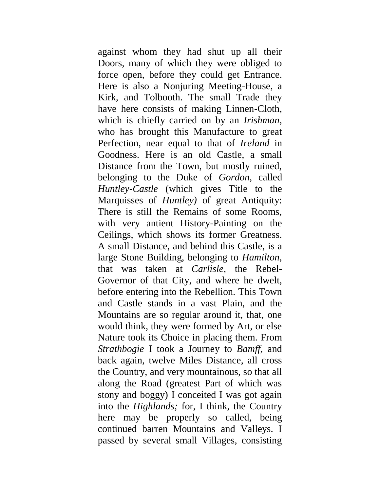against whom they had shut up all their Doors, many of which they were obliged to force open, before they could get Entrance. Here is also a Nonjuring Meeting-House, a Kirk, and Tolbooth. The small Trade they have here consists of making Linnen-Cloth, which is chiefly carried on by an *Irishman,*  who has brought this Manufacture to great Perfection, near equal to that of *Ireland* in Goodness. Here is an old Castle, a small Distance from the Town, but mostly ruined, belonging to the Duke of *Gordon,* called *Huntley-Castle* (which gives Title to the Marquisses of *Huntley)* of great Antiquity: There is still the Remains of some Rooms, with very antient History-Painting on the Ceilings, which shows its former Greatness. A small Distance, and behind this Castle, is a large Stone Building, belonging to *Hamilton,*  that was taken at *Carlisle,* the Rebel-Governor of that City, and where he dwelt, before entering into the Rebellion. This Town and Castle stands in a vast Plain, and the Mountains are so regular around it, that, one would think, they were formed by Art, or else Nature took its Choice in placing them. From *Strathbogie* I took a Journey to *Bamff,* and back again, twelve Miles Distance, all cross the Country, and very mountainous, so that all along the Road (greatest Part of which was stony and boggy) I conceited I was got again into the *Highlands;* for, I think, the Country here may be properly so called, being continued barren Mountains and Valleys. I passed by several small Villages, consisting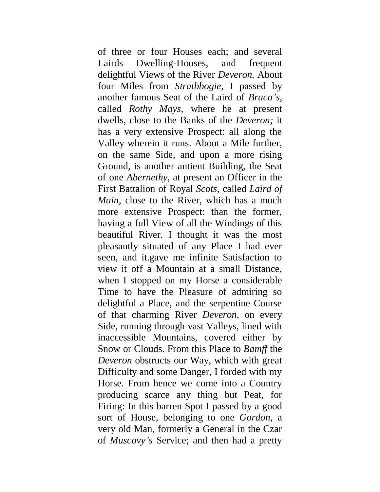of three or four Houses each; and several Lairds Dwelling-Houses, and frequent delightful Views of the River *Deveron.* About four Miles from *Stratbbogie,* I passed by another famous Seat of the Laird of *Braco's,*  called *Rothy Mays,* where he at present dwells, close to the Banks of the *Deveron;* it has a very extensive Prospect: all along the Valley wherein it runs. About a Mile further, on the same Side, and upon a more rising Ground, is another antient Building, the Seat of one *Abernethy,* at present an Officer in the First Battalion of Royal *Scots,* called *Laird of Main,* close to the River, which has a much more extensive Prospect: than the former, having a full View of all the Windings of this beautiful River. I thought it was the most pleasantly situated of any Place I had ever seen, and it.gave me infinite Satisfaction to view it off a Mountain at a small Distance, when I stopped on my Horse a considerable Time to have the Pleasure of admiring so delightful a Place, and the serpentine Course of that charming River *Deveron,* on every Side, running through vast Valleys, lined with inaccessible Mountains, covered either by Snow or Clouds. From this Place to *Bamff* the *Deveron* obstructs our Way, which with great Difficulty and some Danger, I forded with my Horse. From hence we come into a Country producing scarce any thing but Peat, for Firing: In this barren Spot I passed by a good sort of House, belonging to one *Gordon,* a very old Man, formerly a General in the Czar of *Muscovy's* Service; and then had a pretty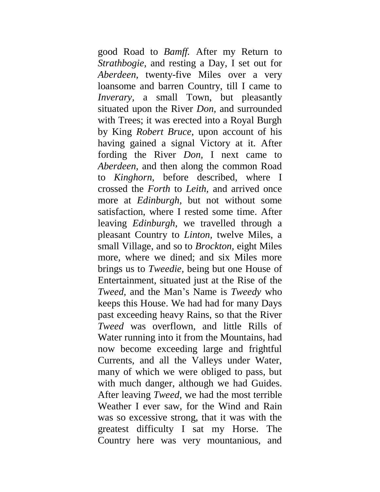good Road to *Bamff.* After my Return to *Strathbogie,* and resting a Day, I set out for *Aberdeen,* twenty-five Miles over a very loansome and barren Country, till I came to *Inverary*, a small Town, but pleasantly situated upon the River *Don,* and surrounded with Trees; it was erected into a Royal Burgh by King *Robert Bruce,* upon account of his having gained a signal Victory at it. After fording the River *Don,* I next came to *Aberdeen,* and then along the common Road to *Kinghorn,* before described, where I crossed the *Forth* to *Leith,* and arrived once more at *Edinburgh,* but not without some satisfaction, where I rested some time. After leaving *Edinburgh,* we travelled through a pleasant Country to *Linton,* twelve Miles, a small Village, and so to *Brockton,* eight Miles more, where we dined; and six Miles more brings us to *Tweedie,* being but one House of Entertainment, situated just at the Rise of the *Tweed,* and the Man's Name is *Tweedy* who keeps this House. We had had for many Days past exceeding heavy Rains, so that the River *Tweed* was overflown, and little Rills of Water running into it from the Mountains, had now become exceeding large and frightful Currents, and all the Valleys under Water, many of which we were obliged to pass, but with much danger, although we had Guides. After leaving *Tweed,* we had the most terrible Weather I ever saw, for the Wind and Rain was so excessive strong, that it was with the greatest difficulty I sat my Horse. The Country here was very mountanious, and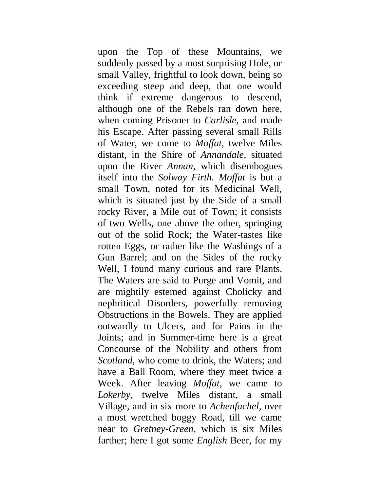upon the Top of these Mountains, we suddenly passed by a most surprising Hole, or small Valley, frightful to look down, being so exceeding steep and deep, that one would think if extreme dangerous to descend, although one of the Rebels ran down here, when coming Prisoner to *Carlisle,* and made his Escape. After passing several small Rills of Water, we come to *Moffat,* twelve Miles distant, in the Shire of *Annandale,* situated upon the River *Annan,* which disembogues itself into the *Solway Firth. Moffat* is but a small Town, noted for its Medicinal Well, which is situated just by the Side of a small rocky River, a Mile out of Town; it consists of two Wells, one above the other, springing out of the solid Rock; the Water-tastes like rotten Eggs, or rather like the Washings of a Gun Barrel; and on the Sides of the rocky Well, I found many curious and rare Plants. The Waters are said to Purge and Vomit, and are mightily estemed against Cholicky and nephritical Disorders, powerfully removing Obstructions in the Bowels. They are applied outwardly to Ulcers, and for Pains in the Joints; and in Summer-time here is a great Concourse of the Nobility and others from *Scotland,* who come to drink, the Waters; and have a Ball Room, where they meet twice a Week. After leaving *Moffat,* we came to *Lokerby,* twelve Miles distant, a small Village, and in six more to *Achenfachel,* over a most wretched boggy Road, till we came near to *Gretney-Green,* which is six Miles farther; here I got some *English* Beer, for my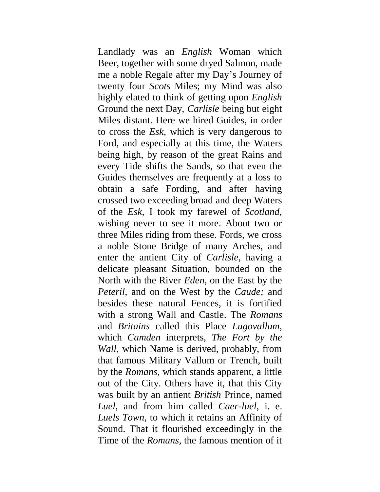Landlady was an *English* Woman which Beer, together with some dryed Salmon, made me a noble Regale after my Day's Journey of twenty four *Scots* Miles; my Mind was also highly elated to think of getting upon *English* Ground the next Day, *Carlisle* being but eight Miles distant. Here we hired Guides, in order to cross the *Esk,* which is very dangerous to Ford, and especially at this time, the Waters being high, by reason of the great Rains and every Tide shifts the Sands, so that even the Guides themselves are frequently at a loss to obtain a safe Fording, and after having crossed two exceeding broad and deep Waters of the *Esk,* I took my farewel of *Scotland,*  wishing never to see it more. About two or three Miles riding from these. Fords, we cross a noble Stone Bridge of many Arches, and enter the antient City of *Carlisle,* having a delicate pleasant Situation, bounded on the North with the River *Eden,* on the East by the *Peteril,* and on the West by the *Caude;* and besides these natural Fences, it is fortified with a strong Wall and Castle. The *Romans*  and *Britains* called this Place *Lugovallum,*  which *Camden* interprets, *The Fort by the Wall,* which Name is derived, probably, from that famous Military Vallum or Trench, built by the *Romans,* which stands apparent, a little out of the City. Others have it, that this City was built by an antient *British* Prince, named *Luel,* and from him called *Caer-luel,* i. e. *Luels Town,* to which it retains an Affinity of Sound. That it flourished exceedingly in the Time of the *Romans,* the famous mention of it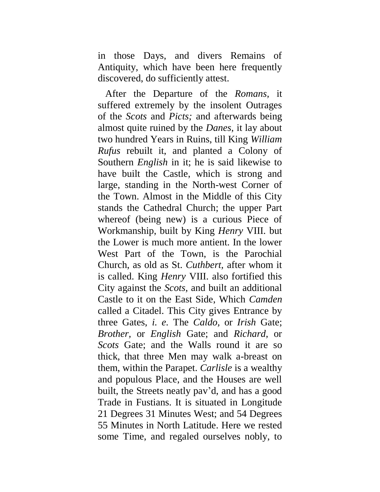in those Days, and divers Remains of Antiquity, which have been here frequently discovered, do sufficiently attest.

After the Departure of the *Romans,* it suffered extremely by the insolent Outrages of the *Scots* and *Picts;* and afterwards being almost quite ruined by the *Danes,* it lay about two hundred Years in Ruins, till King *William Rufus* rebuilt it, and planted a Colony of Southern *English* in it; he is said likewise to have built the Castle, which is strong and large, standing in the North-west Corner of the Town. Almost in the Middle of this City stands the Cathedral Church; the upper Part whereof (being new) is a curious Piece of Workmanship, built by King *Henry* VIII. but the Lower is much more antient. In the lower West Part of the Town, is the Parochial Church, as old as St. *Cuthbert,* after whom it is called. King *Henry* VIII. also fortified this City against the *Scots,* and built an additional Castle to it on the East Side, Which *Camden*  called a Citadel. This City gives Entrance by three Gates, *i. e.* The *Caldo,* or *Irish* Gate; *Brother,* or *English* Gate; and *Richard,* or *Scots* Gate; and the Walls round it are so thick, that three Men may walk a-breast on them, within the Parapet. *Carlisle* is a wealthy and populous Place, and the Houses are well built, the Streets neatly pav'd, and has a good Trade in Fustians. It is situated in Longitude 21 Degrees 31 Minutes West; and 54 Degrees 55 Minutes in North Latitude. Here we rested some Time, and regaled ourselves nobly, to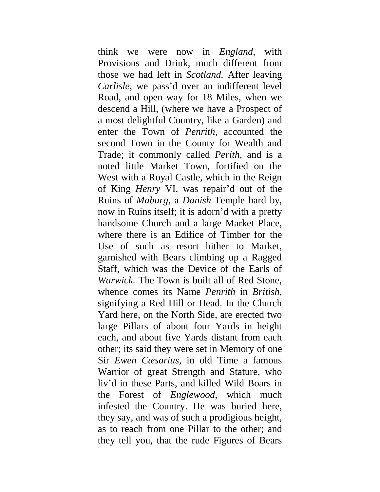think we were now in *England,* with Provisions and Drink, much different from those we had left in *Scotland.* After leaving *Carlisle,* we pass'd over an indifferent level Road, and open way for 18 Miles, when we descend a Hill, (where we have a Prospect of a most delightful Country, like a Garden) and enter the Town of *Penrith,* accounted the second Town in the County for Wealth and Trade; it commonly called *Perith,* and is a noted little Market Town, fortified on the West with a Royal Castle, which in the Reign of King *Henry* VI. was repair'd out of the Ruins of *Maburg,* a *Danish* Temple hard by, now in Ruins itself; it is adorn'd with a pretty handsome Church and a large Market Place, where there is an Edifice of Timber for the Use of such as resort hither to Market, garnished with Bears climbing up a Ragged Staff, which was the Device of the Earls of *Warwick.* The Town is built all of Red Stone, whence comes its Name *Penrith* in *British,*  signifying a Red Hill or Head. In the Church Yard here, on the North Side, are erected two large Pillars of about four Yards in height each, and about five Yards distant from each other; its said they were set in Memory of one Sir *Ewen Cæsarius,* in old Time a famous Warrior of great Strength and Stature, who liv'd in these Parts, and killed Wild Boars in the Forest of *Englewood,* which much infested the Country. He was buried here, they say, and was of such a prodigious height, as to reach from one Pillar to the other; and they tell you, that the rude Figures of Bears